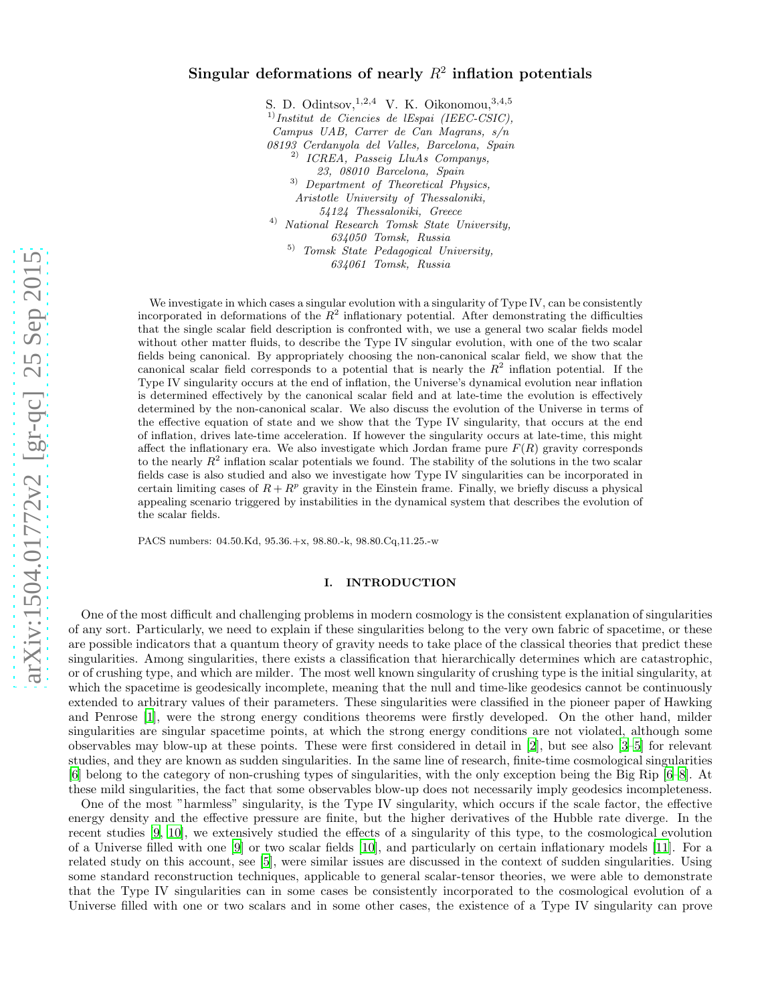# arXiv:1504.01772v2 [gr-qc] 25 Sep 2015 [arXiv:1504.01772v2 \[gr-qc\] 25 Sep 2015](http://arxiv.org/abs/1504.01772v2)

# Singular deformations of nearly  $R^2$  inflation potentials

S. D. Odintsov,  $^{1,2,4}$  V. K. Oikonomou,  $^{3,4,5}$ 1)*Institut de Ciencies de lEspai (IEEC-CSIC), Campus UAB, Carrer de Can Magrans, s/n 08193 Cerdanyola del Valles, Barcelona, Spain* 2) *ICREA, Passeig LluAs Companys, 23, 08010 Barcelona, Spain* 3) *Department of Theoretical Physics, Aristotle University of Thessaloniki, 54124 Thessaloniki, Greece* 4) *National Research Tomsk State University, 634050 Tomsk, Russia* 5) *Tomsk State Pedagogical University, 634061 Tomsk, Russia*

We investigate in which cases a singular evolution with a singularity of Type IV, can be consistently incorporated in deformations of the  $R^2$  inflationary potential. After demonstrating the difficulties that the single scalar field description is confronted with, we use a general two scalar fields model without other matter fluids, to describe the Type IV singular evolution, with one of the two scalar fields being canonical. By appropriately choosing the non-canonical scalar field, we show that the canonical scalar field corresponds to a potential that is nearly the  $R^2$  inflation potential. If the Type IV singularity occurs at the end of inflation, the Universe's dynamical evolution near inflation is determined effectively by the canonical scalar field and at late-time the evolution is effectively determined by the non-canonical scalar. We also discuss the evolution of the Universe in terms of the effective equation of state and we show that the Type IV singularity, that occurs at the end of inflation, drives late-time acceleration. If however the singularity occurs at late-time, this might affect the inflationary era. We also investigate which Jordan frame pure  $F(R)$  gravity corresponds to the nearly  $R^2$  inflation scalar potentials we found. The stability of the solutions in the two scalar fields case is also studied and also we investigate how Type IV singularities can be incorporated in certain limiting cases of  $R + R^p$  gravity in the Einstein frame. Finally, we briefly discuss a physical appealing scenario triggered by instabilities in the dynamical system that describes the evolution of the scalar fields.

PACS numbers: 04.50.Kd, 95.36.+x, 98.80.-k, 98.80.Cq,11.25.-w

# I. INTRODUCTION

One of the most difficult and challenging problems in modern cosmology is the consistent explanation of singularities of any sort. Particularly, we need to explain if these singularities belong to the very own fabric of spacetime, or these are possible indicators that a quantum theory of gravity needs to take place of the classical theories that predict these singularities. Among singularities, there exists a classification that hierarchically determines which are catastrophic, or of crushing type, and which are milder. The most well known singularity of crushing type is the initial singularity, at which the spacetime is geodesically incomplete, meaning that the null and time-like geodesics cannot be continuously extended to arbitrary values of their parameters. These singularities were classified in the pioneer paper of Hawking and Penrose [\[1\]](#page-31-0), were the strong energy conditions theorems were firstly developed. On the other hand, milder singularities are singular spacetime points, at which the strong energy conditions are not violated, although some observables may blow-up at these points. These were first considered in detail in [\[2](#page-31-1)], but see also [\[3](#page-31-2)[–5\]](#page-32-0) for relevant studies, and they are known as sudden singularities. In the same line of research, finite-time cosmological singularities [\[6\]](#page-32-1) belong to the category of non-crushing types of singularities, with the only exception being the Big Rip [\[6](#page-32-1)[–8](#page-32-2)]. At these mild singularities, the fact that some observables blow-up does not necessarily imply geodesics incompleteness.

One of the most "harmless" singularity, is the Type IV singularity, which occurs if the scale factor, the effective energy density and the effective pressure are finite, but the higher derivatives of the Hubble rate diverge. In the recent studies [\[9](#page-32-3), [10\]](#page-32-4), we extensively studied the effects of a singularity of this type, to the cosmological evolution of a Universe filled with one [\[9\]](#page-32-3) or two scalar fields [\[10\]](#page-32-4), and particularly on certain inflationary models [\[11\]](#page-32-5). For a related study on this account, see [\[5\]](#page-32-0), were similar issues are discussed in the context of sudden singularities. Using some standard reconstruction techniques, applicable to general scalar-tensor theories, we were able to demonstrate that the Type IV singularities can in some cases be consistently incorporated to the cosmological evolution of a Universe filled with one or two scalars and in some other cases, the existence of a Type IV singularity can prove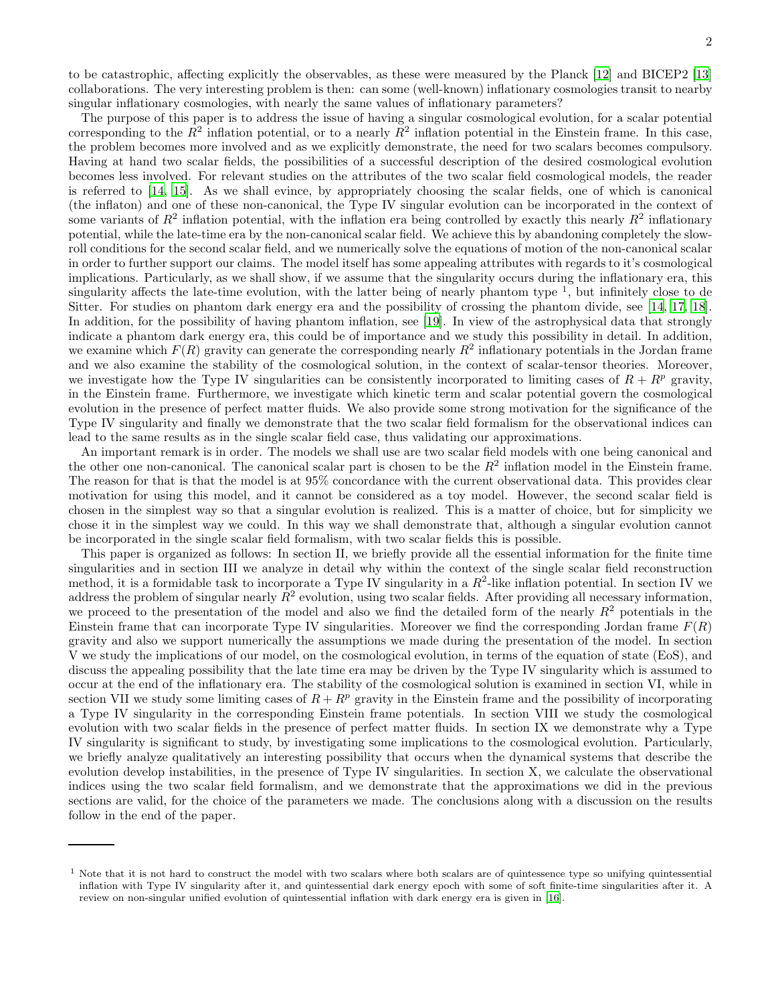to be catastrophic, affecting explicitly the observables, as these were measured by the Planck [\[12\]](#page-32-6) and BICEP2 [\[13](#page-32-7)] collaborations. The very interesting problem is then: can some (well-known) inflationary cosmologies transit to nearby singular inflationary cosmologies, with nearly the same values of inflationary parameters?

The purpose of this paper is to address the issue of having a singular cosmological evolution, for a scalar potential corresponding to the  $R^2$  inflation potential, or to a nearly  $R^2$  inflation potential in the Einstein frame. In this case, the problem becomes more involved and as we explicitly demonstrate, the need for two scalars becomes compulsory. Having at hand two scalar fields, the possibilities of a successful description of the desired cosmological evolution becomes less involved. For relevant studies on the attributes of the two scalar field cosmological models, the reader is referred to [\[14,](#page-32-8) [15\]](#page-32-9). As we shall evince, by appropriately choosing the scalar fields, one of which is canonical (the inflaton) and one of these non-canonical, the Type IV singular evolution can be incorporated in the context of some variants of  $R^2$  inflation potential, with the inflation era being controlled by exactly this nearly  $R^2$  inflationary potential, while the late-time era by the non-canonical scalar field. We achieve this by abandoning completely the slowroll conditions for the second scalar field, and we numerically solve the equations of motion of the non-canonical scalar in order to further support our claims. The model itself has some appealing attributes with regards to it's cosmological implications. Particularly, as we shall show, if we assume that the singularity occurs during the inflationary era, this singularity affects the late-time evolution, with the latter being of nearly phantom type  $^1$ , but infinitely close to de Sitter. For studies on phantom dark energy era and the possibility of crossing the phantom divide, see [\[14,](#page-32-8) [17](#page-32-10), [18\]](#page-32-11). In addition, for the possibility of having phantom inflation, see [\[19\]](#page-32-12). In view of the astrophysical data that strongly indicate a phantom dark energy era, this could be of importance and we study this possibility in detail. In addition, we examine which  $F(R)$  gravity can generate the corresponding nearly  $R^2$  inflationary potentials in the Jordan frame and we also examine the stability of the cosmological solution, in the context of scalar-tensor theories. Moreover, we investigate how the Type IV singularities can be consistently incorporated to limiting cases of  $R + R^p$  gravity, in the Einstein frame. Furthermore, we investigate which kinetic term and scalar potential govern the cosmological evolution in the presence of perfect matter fluids. We also provide some strong motivation for the significance of the Type IV singularity and finally we demonstrate that the two scalar field formalism for the observational indices can lead to the same results as in the single scalar field case, thus validating our approximations.

An important remark is in order. The models we shall use are two scalar field models with one being canonical and the other one non-canonical. The canonical scalar part is chosen to be the  $R^2$  inflation model in the Einstein frame. The reason for that is that the model is at 95% concordance with the current observational data. This provides clear motivation for using this model, and it cannot be considered as a toy model. However, the second scalar field is chosen in the simplest way so that a singular evolution is realized. This is a matter of choice, but for simplicity we chose it in the simplest way we could. In this way we shall demonstrate that, although a singular evolution cannot be incorporated in the single scalar field formalism, with two scalar fields this is possible.

This paper is organized as follows: In section II, we briefly provide all the essential information for the finite time singularities and in section III we analyze in detail why within the context of the single scalar field reconstruction method, it is a formidable task to incorporate a Type IV singularity in a  $R^2$ -like inflation potential. In section IV we address the problem of singular nearly  $R^2$  evolution, using two scalar fields. After providing all necessary information, we proceed to the presentation of the model and also we find the detailed form of the nearly  $R^2$  potentials in the Einstein frame that can incorporate Type IV singularities. Moreover we find the corresponding Jordan frame  $F(R)$ gravity and also we support numerically the assumptions we made during the presentation of the model. In section V we study the implications of our model, on the cosmological evolution, in terms of the equation of state (EoS), and discuss the appealing possibility that the late time era may be driven by the Type IV singularity which is assumed to occur at the end of the inflationary era. The stability of the cosmological solution is examined in section VI, while in section VII we study some limiting cases of  $R + R^p$  gravity in the Einstein frame and the possibility of incorporating a Type IV singularity in the corresponding Einstein frame potentials. In section VIII we study the cosmological evolution with two scalar fields in the presence of perfect matter fluids. In section IX we demonstrate why a Type IV singularity is significant to study, by investigating some implications to the cosmological evolution. Particularly, we briefly analyze qualitatively an interesting possibility that occurs when the dynamical systems that describe the evolution develop instabilities, in the presence of Type IV singularities. In section X, we calculate the observational indices using the two scalar field formalism, and we demonstrate that the approximations we did in the previous sections are valid, for the choice of the parameters we made. The conclusions along with a discussion on the results follow in the end of the paper.

<sup>&</sup>lt;sup>1</sup> Note that it is not hard to construct the model with two scalars where both scalars are of quintessence type so unifying quintessential inflation with Type IV singularity after it, and quintessential dark energy epoch with some of soft finite-time singularities after it. A review on non-singular unified evolution of quintessential inflation with dark energy era is given in [\[16](#page-32-13)].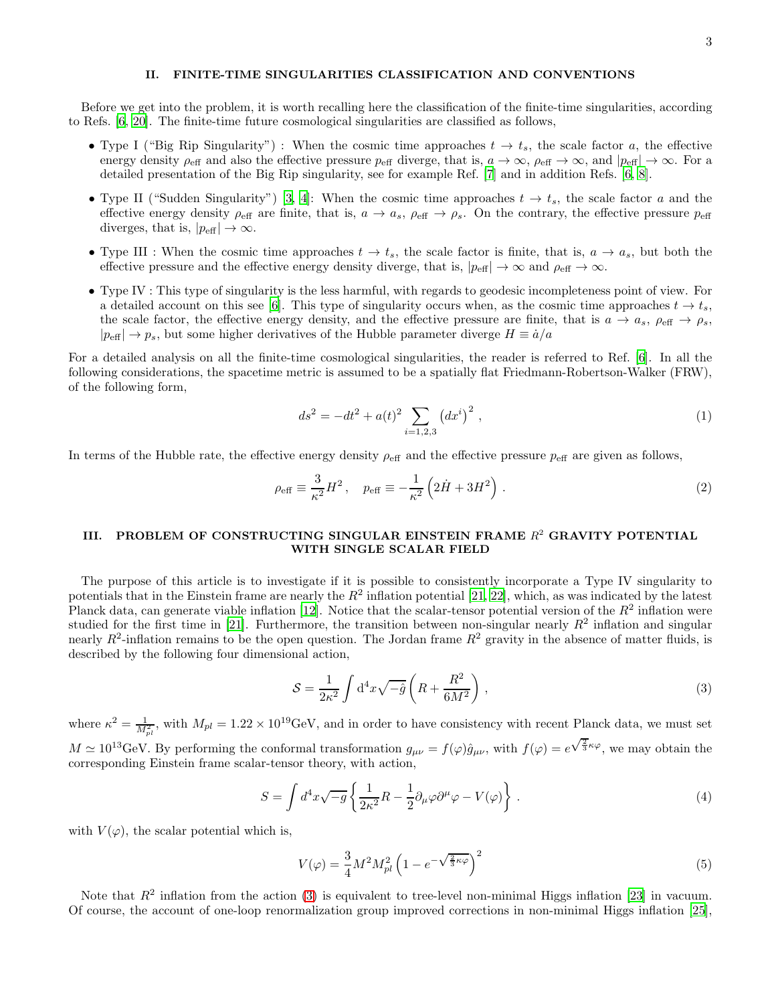# II. FINITE-TIME SINGULARITIES CLASSIFICATION AND CONVENTIONS

Before we get into the problem, it is worth recalling here the classification of the finite-time singularities, according to Refs. [\[6,](#page-32-1) [20\]](#page-32-14). The finite-time future cosmological singularities are classified as follows,

- Type I ("Big Rip Singularity") : When the cosmic time approaches  $t \to t_s$ , the scale factor a, the effective energy density  $\rho_{\text{eff}}$  and also the effective pressure  $p_{\text{eff}}$  diverge, that is,  $a \to \infty$ ,  $\rho_{\text{eff}} \to \infty$ , and  $|p_{\text{eff}}| \to \infty$ . For a detailed presentation of the Big Rip singularity, see for example Ref. [\[7](#page-32-15)] and in addition Refs. [\[6](#page-32-1), [8](#page-32-2)].
- Type II ("Sudden Singularity") [\[3,](#page-31-2) [4](#page-31-3)]: When the cosmic time approaches  $t \to t_s$ , the scale factor a and the effective energy density  $\rho_{\text{eff}}$  are finite, that is,  $a \to a_s$ ,  $\rho_{\text{eff}} \to \rho_s$ . On the contrary, the effective pressure  $p_{\text{eff}}$ diverges, that is,  $|p_{\text{eff}}| \to \infty$ .
- Type III : When the cosmic time approaches  $t \to t_s$ , the scale factor is finite, that is,  $a \to a_s$ , but both the effective pressure and the effective energy density diverge, that is,  $|p_{\text{eff}}| \to \infty$  and  $\rho_{\text{eff}} \to \infty$ .
- Type IV : This type of singularity is the less harmful, with regards to geodesic incompleteness point of view. For a detailed account on this see [\[6](#page-32-1)]. This type of singularity occurs when, as the cosmic time approaches  $t \to t_s$ , the scale factor, the effective energy density, and the effective pressure are finite, that is  $a \to a_s$ ,  $\rho_{\text{eff}} \to \rho_s$ ,  $|p_{\text{eff}}| \rightarrow p_s$ , but some higher derivatives of the Hubble parameter diverge  $H \equiv \dot{a}/a$

For a detailed analysis on all the finite-time cosmological singularities, the reader is referred to Ref. [\[6](#page-32-1)]. In all the following considerations, the spacetime metric is assumed to be a spatially flat Friedmann-Robertson-Walker (FRW), of the following form,

<span id="page-2-2"></span>
$$
ds^{2} = -dt^{2} + a(t)^{2} \sum_{i=1,2,3} (dx^{i})^{2} , \qquad (1)
$$

In terms of the Hubble rate, the effective energy density  $\rho_{\text{eff}}$  and the effective pressure  $p_{\text{eff}}$  are given as follows,

$$
\rho_{\text{eff}} \equiv \frac{3}{\kappa^2} H^2, \quad p_{\text{eff}} \equiv -\frac{1}{\kappa^2} \left( 2\dot{H} + 3H^2 \right).
$$
\n(2)

# III. PROBLEM OF CONSTRUCTING SINGULAR EINSTEIN FRAME  $R^2$  GRAVITY POTENTIAL WITH SINGLE SCALAR FIELD

The purpose of this article is to investigate if it is possible to consistently incorporate a Type IV singularity to potentials that in the Einstein frame are nearly the  $R^2$  inflation potential [\[21](#page-32-16), [22](#page-33-0)], which, as was indicated by the latest Planck data, can generate viable inflation [\[12](#page-32-6)]. Notice that the scalar-tensor potential version of the  $R^2$  inflation were studied for the first time in [\[21\]](#page-32-16). Furthermore, the transition between non-singular nearly  $R^2$  inflation and singular nearly  $R^2$ -inflation remains to be the open question. The Jordan frame  $R^2$  gravity in the absence of matter fluids, is described by the following four dimensional action,

<span id="page-2-0"></span>
$$
S = \frac{1}{2\kappa^2} \int d^4x \sqrt{-\hat{g}} \left( R + \frac{R^2}{6M^2} \right) , \qquad (3)
$$

where  $\kappa^2 = \frac{1}{M_{pl}^2}$ , with  $M_{pl} = 1.22 \times 10^{19}$  GeV, and in order to have consistency with recent Planck data, we must set  $M \simeq 10^{13} \text{GeV}$ . By performing the conformal transformation  $g_{\mu\nu} = f(\varphi) \hat{g}_{\mu\nu}$ , with  $f(\varphi) = e^{\sqrt{\frac{2}{3}}\kappa \varphi}$ , we may obtain the corresponding Einstein frame scalar-tensor theory, with action,

$$
S = \int d^4x \sqrt{-g} \left\{ \frac{1}{2\kappa^2} R - \frac{1}{2} \partial_\mu \varphi \partial^\mu \varphi - V(\varphi) \right\} . \tag{4}
$$

with  $V(\varphi)$ , the scalar potential which is,

<span id="page-2-1"></span>
$$
V(\varphi) = \frac{3}{4}M^2 M_{pl}^2 \left(1 - e^{-\sqrt{\frac{2}{3}\kappa\varphi}}\right)^2
$$
\n<sup>(5)</sup>

Note that  $R^2$  inflation from the action [\(3\)](#page-2-0) is equivalent to tree-level non-minimal Higgs inflation [\[23](#page-33-1)] in vacuum. Of course, the account of one-loop renormalization group improved corrections in non-minimal Higgs inflation [\[25\]](#page-33-2),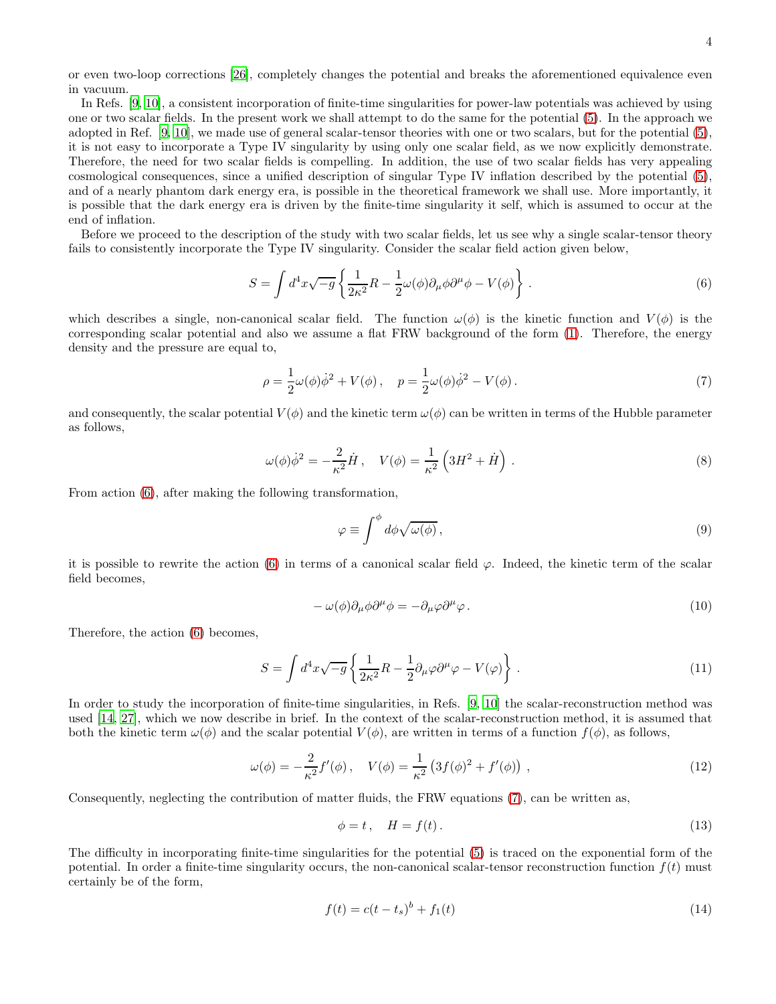or even two-loop corrections [\[26](#page-33-3)], completely changes the potential and breaks the aforementioned equivalence even in vacuum.

In Refs. [\[9](#page-32-3), [10\]](#page-32-4), a consistent incorporation of finite-time singularities for power-law potentials was achieved by using one or two scalar fields. In the present work we shall attempt to do the same for the potential [\(5\)](#page-2-1). In the approach we adopted in Ref. [\[9](#page-32-3), [10\]](#page-32-4), we made use of general scalar-tensor theories with one or two scalars, but for the potential [\(5\)](#page-2-1), it is not easy to incorporate a Type IV singularity by using only one scalar field, as we now explicitly demonstrate. Therefore, the need for two scalar fields is compelling. In addition, the use of two scalar fields has very appealing cosmological consequences, since a unified description of singular Type IV inflation described by the potential [\(5\)](#page-2-1), and of a nearly phantom dark energy era, is possible in the theoretical framework we shall use. More importantly, it is possible that the dark energy era is driven by the finite-time singularity it self, which is assumed to occur at the end of inflation.

Before we proceed to the description of the study with two scalar fields, let us see why a single scalar-tensor theory fails to consistently incorporate the Type IV singularity. Consider the scalar field action given below,

<span id="page-3-0"></span>
$$
S = \int d^4x \sqrt{-g} \left\{ \frac{1}{2\kappa^2} R - \frac{1}{2} \omega(\phi) \partial_\mu \phi \partial^\mu \phi - V(\phi) \right\} . \tag{6}
$$

which describes a single, non-canonical scalar field. The function  $\omega(\phi)$  is the kinetic function and  $V(\phi)$  is the corresponding scalar potential and also we assume a flat FRW background of the form [\(1\)](#page-2-2). Therefore, the energy density and the pressure are equal to,

<span id="page-3-1"></span>
$$
\rho = \frac{1}{2}\omega(\phi)\dot{\phi}^2 + V(\phi), \quad p = \frac{1}{2}\omega(\phi)\dot{\phi}^2 - V(\phi).
$$
\n(7)

and consequently, the scalar potential  $V(\phi)$  and the kinetic term  $\omega(\phi)$  can be written in terms of the Hubble parameter as follows,

$$
\omega(\phi)\dot{\phi}^2 = -\frac{2}{\kappa^2}\dot{H}, \quad V(\phi) = \frac{1}{\kappa^2}\left(3H^2 + \dot{H}\right). \tag{8}
$$

From action [\(6\)](#page-3-0), after making the following transformation,

<span id="page-3-3"></span>
$$
\varphi \equiv \int^{\phi} d\phi \sqrt{\omega(\phi)}, \tag{9}
$$

it is possible to rewrite the action [\(6\)](#page-3-0) in terms of a canonical scalar field  $\varphi$ . Indeed, the kinetic term of the scalar field becomes,

$$
- \omega(\phi)\partial_{\mu}\phi\partial^{\mu}\phi = -\partial_{\mu}\varphi\partial^{\mu}\varphi.
$$
\n(10)

Therefore, the action [\(6\)](#page-3-0) becomes,

<span id="page-3-4"></span>
$$
S = \int d^4x \sqrt{-g} \left\{ \frac{1}{2\kappa^2} R - \frac{1}{2} \partial_\mu \varphi \partial^\mu \varphi - V(\varphi) \right\} . \tag{11}
$$

In order to study the incorporation of finite-time singularities, in Refs. [\[9](#page-32-3), [10\]](#page-32-4) the scalar-reconstruction method was used [\[14,](#page-32-8) [27\]](#page-33-4), which we now describe in brief. In the context of the scalar-reconstruction method, it is assumed that both the kinetic term  $\omega(\phi)$  and the scalar potential  $V(\phi)$ , are written in terms of a function  $f(\phi)$ , as follows,

$$
\omega(\phi) = -\frac{2}{\kappa^2} f'(\phi), \quad V(\phi) = \frac{1}{\kappa^2} \left( 3f(\phi)^2 + f'(\phi) \right) , \tag{12}
$$

Consequently, neglecting the contribution of matter fluids, the FRW equations [\(7\)](#page-3-1), can be written as,

<span id="page-3-5"></span>
$$
\phi = t, \quad H = f(t). \tag{13}
$$

The difficulty in incorporating finite-time singularities for the potential [\(5\)](#page-2-1) is traced on the exponential form of the potential. In order a finite-time singularity occurs, the non-canonical scalar-tensor reconstruction function  $f(t)$  must certainly be of the form,

<span id="page-3-2"></span>
$$
f(t) = c(t - t_s)^b + f_1(t)
$$
\n(14)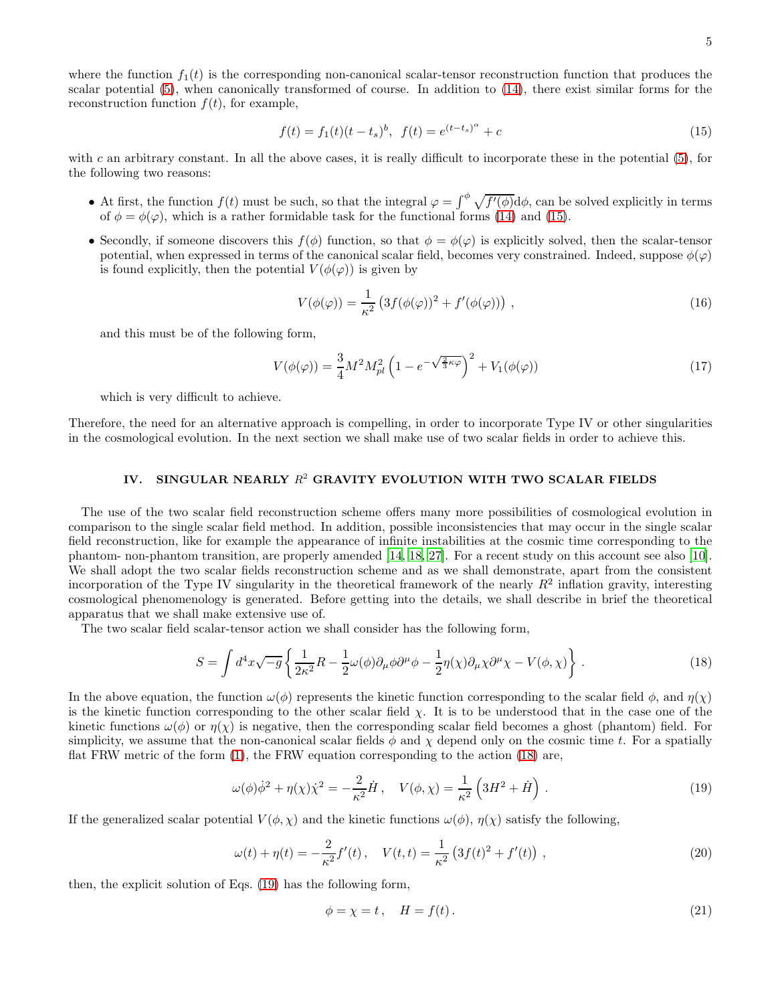where the function  $f_1(t)$  is the corresponding non-canonical scalar-tensor reconstruction function that produces the scalar potential [\(5\)](#page-2-1), when canonically transformed of course. In addition to [\(14\)](#page-3-2), there exist similar forms for the reconstruction function  $f(t)$ , for example,

<span id="page-4-0"></span>
$$
f(t) = f_1(t)(t - t_s)^b, \ f(t) = e^{(t - t_s)^\alpha} + c \tag{15}
$$

with c an arbitrary constant. In all the above cases, it is really difficult to incorporate these in the potential  $(5)$ , for the following two reasons:

- At first, the function  $f(t)$  must be such, so that the integral  $\varphi = \int_{-\infty}^{\phi} \sqrt{f'(\phi)} d\phi$ , can be solved explicitly in terms of  $\phi = \phi(\varphi)$ , which is a rather formidable task for the functional forms [\(14\)](#page-3-2) and [\(15\)](#page-4-0).
- Secondly, if someone discovers this  $f(\phi)$  function, so that  $\phi = \phi(\varphi)$  is explicitly solved, then the scalar-tensor potential, when expressed in terms of the canonical scalar field, becomes very constrained. Indeed, suppose  $\phi(\varphi)$ is found explicitly, then the potential  $V(\phi(\varphi))$  is given by

$$
V(\phi(\varphi)) = \frac{1}{\kappa^2} \left( 3f(\phi(\varphi))^2 + f'(\phi(\varphi)) \right) , \qquad (16)
$$

and this must be of the following form,

$$
V(\phi(\varphi)) = \frac{3}{4}M^2 M_{pl}^2 \left(1 - e^{-\sqrt{\frac{2}{3}\kappa\varphi}}\right)^2 + V_1(\phi(\varphi))
$$
 (17)

which is very difficult to achieve.

Therefore, the need for an alternative approach is compelling, in order to incorporate Type IV or other singularities in the cosmological evolution. In the next section we shall make use of two scalar fields in order to achieve this.

# IV.  $\,$  SINGULAR NEARLY  $R^{2}$  GRAVITY EVOLUTION WITH TWO SCALAR FIELDS

The use of the two scalar field reconstruction scheme offers many more possibilities of cosmological evolution in comparison to the single scalar field method. In addition, possible inconsistencies that may occur in the single scalar field reconstruction, like for example the appearance of infinite instabilities at the cosmic time corresponding to the phantom- non-phantom transition, are properly amended [\[14](#page-32-8), [18,](#page-32-11) [27\]](#page-33-4). For a recent study on this account see also [\[10\]](#page-32-4). We shall adopt the two scalar fields reconstruction scheme and as we shall demonstrate, apart from the consistent incorporation of the Type IV singularity in the theoretical framework of the nearly  $R^2$  inflation gravity, interesting cosmological phenomenology is generated. Before getting into the details, we shall describe in brief the theoretical apparatus that we shall make extensive use of.

The two scalar field scalar-tensor action we shall consider has the following form,

<span id="page-4-1"></span>
$$
S = \int d^4x \sqrt{-g} \left\{ \frac{1}{2\kappa^2} R - \frac{1}{2} \omega(\phi) \partial_\mu \phi \partial^\mu \phi - \frac{1}{2} \eta(\chi) \partial_\mu \chi \partial^\mu \chi - V(\phi, \chi) \right\} \,. \tag{18}
$$

In the above equation, the function  $\omega(\phi)$  represents the kinetic function corresponding to the scalar field  $\phi$ , and  $\eta(\chi)$ is the kinetic function corresponding to the other scalar field  $\chi$ . It is to be understood that in the case one of the kinetic functions  $\omega(\phi)$  or  $\eta(\chi)$  is negative, then the corresponding scalar field becomes a ghost (phantom) field. For simplicity, we assume that the non-canonical scalar fields  $\phi$  and  $\chi$  depend only on the cosmic time t. For a spatially flat FRW metric of the form [\(1\)](#page-2-2), the FRW equation corresponding to the action [\(18\)](#page-4-1) are,

<span id="page-4-2"></span>
$$
\omega(\phi)\dot{\phi}^2 + \eta(\chi)\dot{\chi}^2 = -\frac{2}{\kappa^2}\dot{H}, \quad V(\phi,\chi) = \frac{1}{\kappa^2} \left(3H^2 + \dot{H}\right). \tag{19}
$$

If the generalized scalar potential  $V(\phi, \chi)$  and the kinetic functions  $\omega(\phi)$ ,  $\eta(\chi)$  satisfy the following,

$$
\omega(t) + \eta(t) = -\frac{2}{\kappa^2} f'(t) , \quad V(t, t) = \frac{1}{\kappa^2} \left( 3f(t)^2 + f'(t) \right) , \tag{20}
$$

then, the explicit solution of Eqs. [\(19\)](#page-4-2) has the following form,

<span id="page-4-3"></span>
$$
\phi = \chi = t, \quad H = f(t). \tag{21}
$$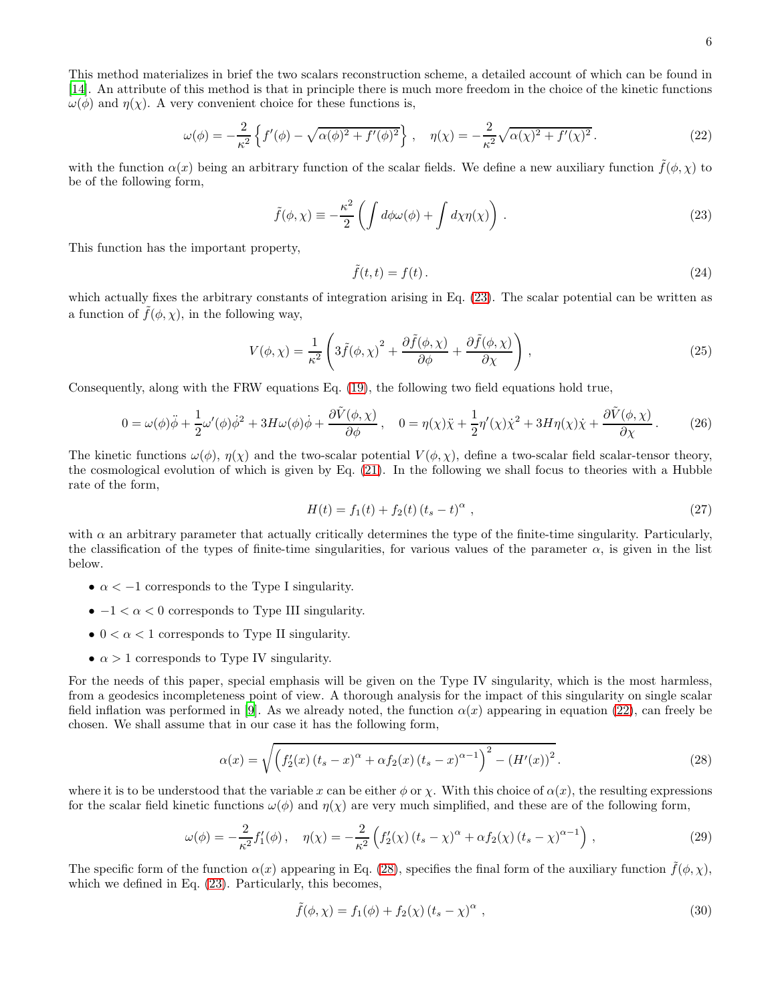6

This method materializes in brief the two scalars reconstruction scheme, a detailed account of which can be found in [\[14\]](#page-32-8). An attribute of this method is that in principle there is much more freedom in the choice of the kinetic functions  $\omega(\phi)$  and  $\eta(\chi)$ . A very convenient choice for these functions is,

<span id="page-5-1"></span>
$$
\omega(\phi) = -\frac{2}{\kappa^2} \left\{ f'(\phi) - \sqrt{\alpha(\phi)^2 + f'(\phi)^2} \right\}, \quad \eta(\chi) = -\frac{2}{\kappa^2} \sqrt{\alpha(\chi)^2 + f'(\chi)^2} \,. \tag{22}
$$

with the function  $\alpha(x)$  being an arbitrary function of the scalar fields. We define a new auxiliary function  $f(\phi, \chi)$  to be of the following form,

<span id="page-5-0"></span>
$$
\tilde{f}(\phi,\chi) \equiv -\frac{\kappa^2}{2} \left( \int d\phi \omega(\phi) + \int d\chi \eta(\chi) \right) . \tag{23}
$$

This function has the important property,

$$
\tilde{f}(t,t) = f(t). \tag{24}
$$

which actually fixes the arbitrary constants of integration arising in Eq.  $(23)$ . The scalar potential can be written as a function of  $\tilde{f}(\phi, \chi)$ , in the following way,

<span id="page-5-5"></span>
$$
V(\phi, \chi) = \frac{1}{\kappa^2} \left( 3\tilde{f}(\phi, \chi)^2 + \frac{\partial \tilde{f}(\phi, \chi)}{\partial \phi} + \frac{\partial \tilde{f}(\phi, \chi)}{\partial \chi} \right),
$$
 (25)

Consequently, along with the FRW equations Eq. [\(19\)](#page-4-2), the following two field equations hold true,

<span id="page-5-4"></span>
$$
0 = \omega(\phi)\ddot{\phi} + \frac{1}{2}\omega'(\phi)\dot{\phi}^2 + 3H\omega(\phi)\dot{\phi} + \frac{\partial \tilde{V}(\phi, \chi)}{\partial \phi}, \quad 0 = \eta(\chi)\ddot{\chi} + \frac{1}{2}\eta'(\chi)\dot{\chi}^2 + 3H\eta(\chi)\dot{\chi} + \frac{\partial \tilde{V}(\phi, \chi)}{\partial \chi}.
$$
 (26)

The kinetic functions  $\omega(\phi)$ ,  $\eta(\chi)$  and the two-scalar potential  $V(\phi, \chi)$ , define a two-scalar field scalar-tensor theory, the cosmological evolution of which is given by Eq. [\(21\)](#page-4-3). In the following we shall focus to theories with a Hubble rate of the form,

$$
H(t) = f_1(t) + f_2(t) (t_s - t)^{\alpha} , \qquad (27)
$$

with  $\alpha$  an arbitrary parameter that actually critically determines the type of the finite-time singularity. Particularly, the classification of the types of finite-time singularities, for various values of the parameter  $\alpha$ , is given in the list below.

- $\alpha < -1$  corresponds to the Type I singularity.
- $\bullet$   $-1 < \alpha < 0$  corresponds to Type III singularity.
- $0 < \alpha < 1$  corresponds to Type II singularity.
- $\alpha > 1$  corresponds to Type IV singularity.

For the needs of this paper, special emphasis will be given on the Type IV singularity, which is the most harmless, from a geodesics incompleteness point of view. A thorough analysis for the impact of this singularity on single scalar field inflation was performed in [\[9\]](#page-32-3). As we already noted, the function  $\alpha(x)$  appearing in equation [\(22\)](#page-5-1), can freely be chosen. We shall assume that in our case it has the following form,

<span id="page-5-2"></span>
$$
\alpha(x) = \sqrt{\left(f_2'(x) \left(t_s - x\right)^{\alpha} + \alpha f_2(x) \left(t_s - x\right)^{\alpha - 1}\right)^2 - \left(H'(x)\right)^2}.
$$
\n(28)

where it is to be understood that the variable x can be either  $\phi$  or x. With this choice of  $\alpha(x)$ , the resulting expressions for the scalar field kinetic functions  $\omega(\phi)$  and  $\eta(\chi)$  are very much simplified, and these are of the following form,

<span id="page-5-3"></span>
$$
\omega(\phi) = -\frac{2}{\kappa^2} f_1'(\phi) , \quad \eta(\chi) = -\frac{2}{\kappa^2} \left( f_2'(\chi) \left( t_s - \chi \right)^{\alpha} + \alpha f_2(\chi) \left( t_s - \chi \right)^{\alpha - 1} \right) , \tag{29}
$$

The specific form of the function  $\alpha(x)$  appearing in Eq. [\(28\)](#page-5-2), specifies the final form of the auxiliary function  $f(\phi, \chi)$ , which we defined in Eq. [\(23\)](#page-5-0). Particularly, this becomes,

$$
\tilde{f}(\phi, \chi) = f_1(\phi) + f_2(\chi) (t_s - \chi)^\alpha , \qquad (30)
$$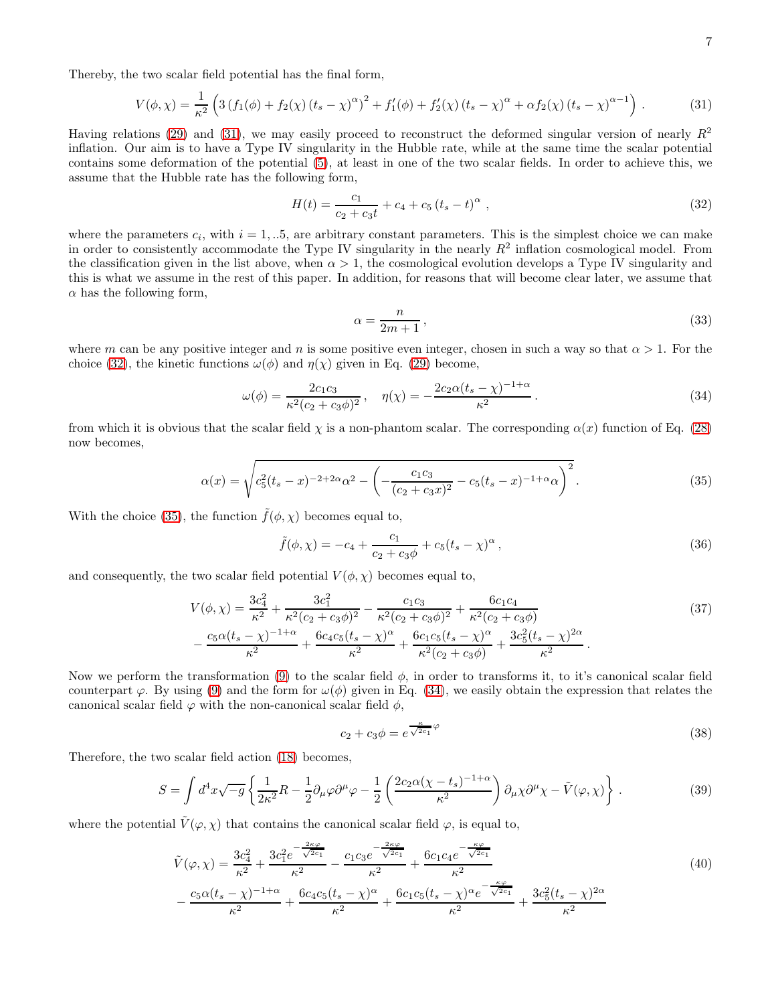Thereby, the two scalar field potential has the final form,

<span id="page-6-0"></span>
$$
V(\phi, \chi) = \frac{1}{\kappa^2} \left( 3 \left( f_1(\phi) + f_2(\chi) \left( t_s - \chi \right)^{\alpha} \right)^2 + f'_1(\phi) + f'_2(\chi) \left( t_s - \chi \right)^{\alpha} + \alpha f_2(\chi) \left( t_s - \chi \right)^{\alpha - 1} \right). \tag{31}
$$

Having relations [\(29\)](#page-5-3) and [\(31\)](#page-6-0), we may easily proceed to reconstruct the deformed singular version of nearly  $R^2$ inflation. Our aim is to have a Type IV singularity in the Hubble rate, while at the same time the scalar potential contains some deformation of the potential [\(5\)](#page-2-1), at least in one of the two scalar fields. In order to achieve this, we assume that the Hubble rate has the following form,

<span id="page-6-1"></span>
$$
H(t) = \frac{c_1}{c_2 + c_3 t} + c_4 + c_5 (t_s - t)^{\alpha} , \qquad (32)
$$

where the parameters  $c_i$ , with  $i = 1, ...5$ , are arbitrary constant parameters. This is the simplest choice we can make in order to consistently accommodate the Type IV singularity in the nearly  $R^2$  inflation cosmological model. From the classification given in the list above, when  $\alpha > 1$ , the cosmological evolution develops a Type IV singularity and this is what we assume in the rest of this paper. In addition, for reasons that will become clear later, we assume that  $\alpha$  has the following form,

<span id="page-6-6"></span>
$$
\alpha = \frac{n}{2m+1},\tag{33}
$$

where m can be any positive integer and n is some positive even integer, chosen in such a way so that  $\alpha > 1$ . For the choice [\(32\)](#page-6-1), the kinetic functions  $\omega(\phi)$  and  $\eta(\chi)$  given in Eq. [\(29\)](#page-5-3) become,

<span id="page-6-3"></span>
$$
\omega(\phi) = \frac{2c_1c_3}{\kappa^2(c_2 + c_3\phi)^2}, \quad \eta(\chi) = -\frac{2c_2\alpha(t_s - \chi)^{-1+\alpha}}{\kappa^2}.
$$
\n(34)

from which it is obvious that the scalar field  $\chi$  is a non-phantom scalar. The corresponding  $\alpha(x)$  function of Eq. [\(28\)](#page-5-2) now becomes,

<span id="page-6-2"></span>
$$
\alpha(x) = \sqrt{c_5^2 (t_s - x)^{-2 + 2\alpha} \alpha^2 - \left( -\frac{c_1 c_3}{(c_2 + c_3 x)^2} - c_5 (t_s - x)^{-1 + \alpha} \alpha \right)^2}.
$$
\n(35)

With the choice [\(35\)](#page-6-2), the function  $\tilde{f}(\phi, \chi)$  becomes equal to,

$$
\tilde{f}(\phi, \chi) = -c_4 + \frac{c_1}{c_2 + c_3 \phi} + c_5 (t_s - \chi)^{\alpha}, \qquad (36)
$$

and consequently, the two scalar field potential  $V(\phi, \chi)$  becomes equal to,

$$
V(\phi, \chi) = \frac{3c_4^2}{\kappa^2} + \frac{3c_1^2}{\kappa^2 (c_2 + c_3 \phi)^2} - \frac{c_1 c_3}{\kappa^2 (c_2 + c_3 \phi)^2} + \frac{6c_1 c_4}{\kappa^2 (c_2 + c_3 \phi)}
$$
  
 
$$
- \frac{c_5 \alpha (t_s - \chi)^{-1 + \alpha}}{\kappa^2} + \frac{6c_4 c_5 (t_s - \chi)^{\alpha}}{\kappa^2} + \frac{6c_1 c_5 (t_s - \chi)^{\alpha}}{\kappa^2 (c_2 + c_3 \phi)} + \frac{3c_5^2 (t_s - \chi)^{2\alpha}}{\kappa^2}.
$$
 (37)

Now we perform the transformation [\(9\)](#page-3-3) to the scalar field  $\phi$ , in order to transforms it, to it's canonical scalar field counterpart  $\varphi$ . By using [\(9\)](#page-3-3) and the form for  $\omega(\phi)$  given in Eq. [\(34\)](#page-6-3), we easily obtain the expression that relates the canonical scalar field  $\varphi$  with the non-canonical scalar field  $\phi$ ,

<span id="page-6-5"></span>
$$
c_2 + c_3 \phi = e^{\frac{\kappa}{\sqrt{2c_1}}\varphi} \tag{38}
$$

Therefore, the two scalar field action [\(18\)](#page-4-1) becomes,

<span id="page-6-4"></span>
$$
S = \int d^4x \sqrt{-g} \left\{ \frac{1}{2\kappa^2} R - \frac{1}{2} \partial_\mu \varphi \partial^\mu \varphi - \frac{1}{2} \left( \frac{2c_2 \alpha (\chi - t_s)^{-1 + \alpha}}{\kappa^2} \right) \partial_\mu \chi \partial^\mu \chi - \tilde{V}(\varphi, \chi) \right\} \,. \tag{39}
$$

where the potential  $\tilde{V}(\varphi, \chi)$  that contains the canonical scalar field  $\varphi$ , is equal to,

$$
\tilde{V}(\varphi,\chi) = \frac{3c_4^2}{\kappa^2} + \frac{3c_1^2 e^{-\frac{2\kappa\varphi}{\sqrt{2c_1}}}}{\kappa^2} - \frac{c_1c_3 e^{-\frac{2\kappa\varphi}{\sqrt{2c_1}}}}{\kappa^2} + \frac{6c_1c_4 e^{-\frac{\kappa\varphi}{\sqrt{2c_1}}}}{\kappa^2} \n- \frac{c_5 \alpha (t_s - \chi)^{-1+\alpha}}{\kappa^2} + \frac{6c_4c_5 (t_s - \chi)^\alpha}{\kappa^2} + \frac{6c_1c_5 (t_s - \chi)^\alpha e^{-\frac{\kappa\varphi}{\sqrt{2c_1}}}}{\kappa^2} + \frac{3c_5^2 (t_s - \chi)^{2\alpha}}{\kappa^2}
$$
\n(40)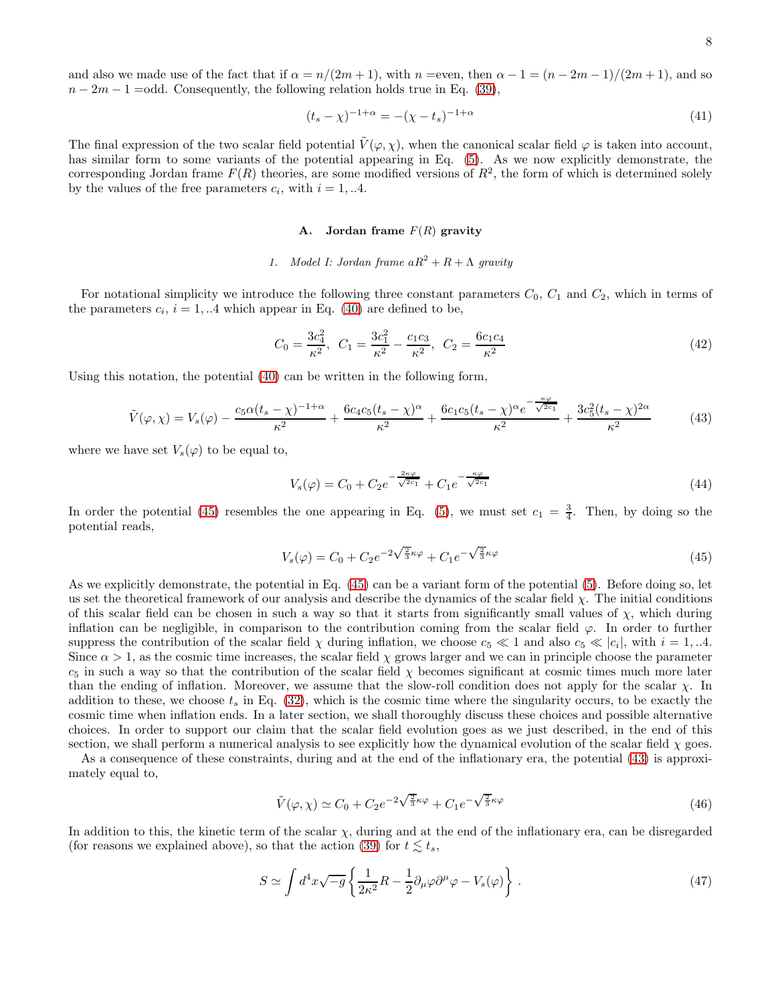and also we made use of the fact that if  $\alpha = n/(2m+1)$ , with  $n =$ even, then  $\alpha - 1 = (n - 2m - 1)/(2m + 1)$ , and so  $n-2m-1 =$ odd. Consequently, the following relation holds true in Eq. [\(39\)](#page-6-4),

$$
(t_s - \chi)^{-1+\alpha} = -(\chi - t_s)^{-1+\alpha} \tag{41}
$$

The final expression of the two scalar field potential  $\tilde{V}(\varphi, \chi)$ , when the canonical scalar field  $\varphi$  is taken into account, has similar form to some variants of the potential appearing in Eq. [\(5\)](#page-2-1). As we now explicitly demonstrate, the corresponding Jordan frame  $F(R)$  theories, are some modified versions of  $R^2$ , the form of which is determined solely by the values of the free parameters  $c_i$ , with  $i = 1, ...4$ .

# A. Jordan frame  $F(R)$  gravity

# *1. Model I: Jordan frame*  $aR^2 + R + \Lambda$  *gravity*

For notational simplicity we introduce the following three constant parameters  $C_0$ ,  $C_1$  and  $C_2$ , which in terms of the parameters  $c_i$ ,  $i = 1, ...4$  which appear in Eq. [\(40\)](#page-6-5) are defined to be,

<span id="page-7-3"></span>
$$
C_0 = \frac{3c_4^2}{\kappa^2}, \ \ C_1 = \frac{3c_1^2}{\kappa^2} - \frac{c_1c_3}{\kappa^2}, \ \ C_2 = \frac{6c_1c_4}{\kappa^2} \tag{42}
$$

Using this notation, the potential [\(40\)](#page-6-5) can be written in the following form,

<span id="page-7-1"></span>
$$
\tilde{V}(\varphi,\chi) = V_s(\varphi) - \frac{c_5 \alpha (t_s - \chi)^{-1+\alpha}}{\kappa^2} + \frac{6c_4 c_5 (t_s - \chi)^\alpha}{\kappa^2} + \frac{6c_1 c_5 (t_s - \chi)^\alpha e^{-\frac{\kappa \varphi}{\sqrt{2c_1}}} }{\kappa^2} + \frac{3c_5^2 (t_s - \chi)^{2\alpha}}{\kappa^2} \tag{43}
$$

where we have set  $V_s(\varphi)$  to be equal to,

$$
V_s(\varphi) = C_0 + C_2 e^{-\frac{2\kappa\varphi}{\sqrt{2c_1}}} + C_1 e^{-\frac{\kappa\varphi}{\sqrt{2c_1}}}
$$
\n(44)

In order the potential [\(45\)](#page-7-0) resembles the one appearing in Eq. [\(5\)](#page-2-1), we must set  $c_1 = \frac{3}{4}$ . Then, by doing so the potential reads,

<span id="page-7-0"></span>
$$
V_s(\varphi) = C_0 + C_2 e^{-2\sqrt{\frac{2}{3}}\kappa\varphi} + C_1 e^{-\sqrt{\frac{2}{3}}\kappa\varphi}
$$
\n(45)

As we explicitly demonstrate, the potential in Eq. [\(45\)](#page-7-0) can be a variant form of the potential [\(5\)](#page-2-1). Before doing so, let us set the theoretical framework of our analysis and describe the dynamics of the scalar field  $\chi$ . The initial conditions of this scalar field can be chosen in such a way so that it starts from significantly small values of  $\chi$ , which during inflation can be negligible, in comparison to the contribution coming from the scalar field  $\varphi$ . In order to further suppress the contribution of the scalar field  $\chi$  during inflation, we choose  $c_5 \ll 1$  and also  $c_5 \ll |c_i|$ , with  $i = 1, ...4$ . Since  $\alpha > 1$ , as the cosmic time increases, the scalar field  $\chi$  grows larger and we can in principle choose the parameter  $c_5$  in such a way so that the contribution of the scalar field  $\chi$  becomes significant at cosmic times much more later than the ending of inflation. Moreover, we assume that the slow-roll condition does not apply for the scalar χ. In addition to these, we choose  $t_s$  in Eq. [\(32\)](#page-6-1), which is the cosmic time where the singularity occurs, to be exactly the cosmic time when inflation ends. In a later section, we shall thoroughly discuss these choices and possible alternative choices. In order to support our claim that the scalar field evolution goes as we just described, in the end of this section, we shall perform a numerical analysis to see explicitly how the dynamical evolution of the scalar field  $\chi$  goes.

As a consequence of these constraints, during and at the end of the inflationary era, the potential [\(43\)](#page-7-1) is approximately equal to,

$$
\tilde{V}(\varphi,\chi) \simeq C_0 + C_2 e^{-2\sqrt{\frac{2}{3}}\kappa\varphi} + C_1 e^{-\sqrt{\frac{2}{3}}\kappa\varphi}
$$
\n(46)

In addition to this, the kinetic term of the scalar  $\chi$ , during and at the end of the inflationary era, can be disregarded (for reasons we explained above), so that the action [\(39\)](#page-6-4) for  $t \lesssim t_s$ ,

<span id="page-7-2"></span>
$$
S \simeq \int d^4x \sqrt{-g} \left\{ \frac{1}{2\kappa^2} R - \frac{1}{2} \partial_\mu \varphi \partial^\mu \varphi - V_s(\varphi) \right\} . \tag{47}
$$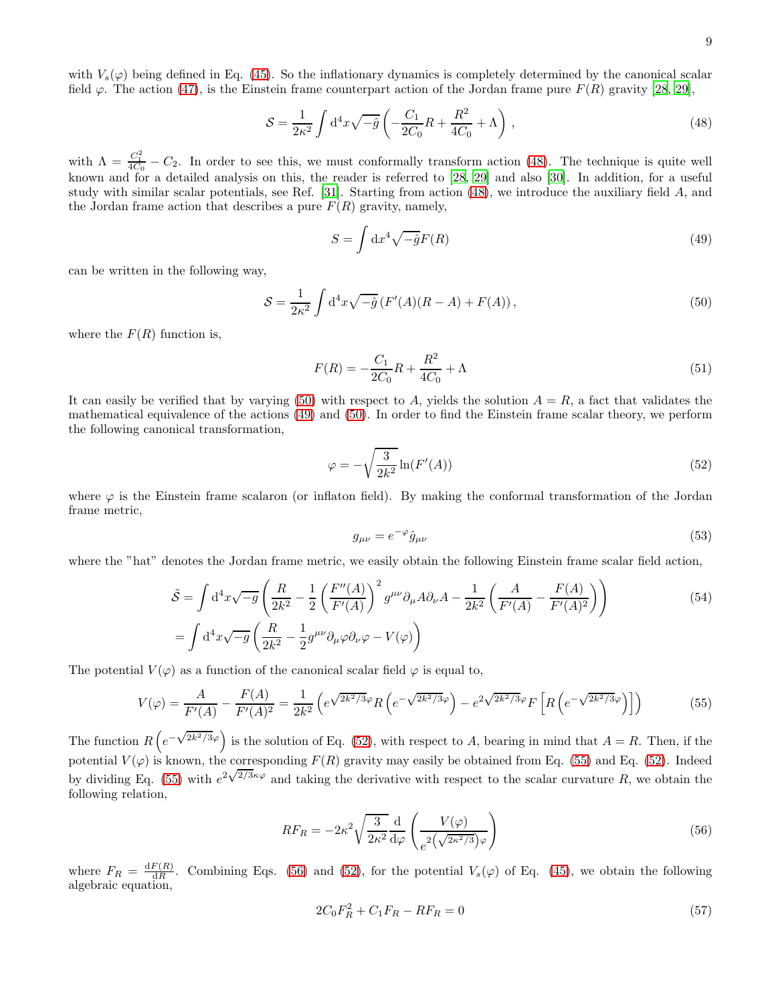with  $V_s(\varphi)$  being defined in Eq. [\(45\)](#page-7-0). So the inflationary dynamics is completely determined by the canonical scalar field  $\varphi$ . The action [\(47\)](#page-7-2), is the Einstein frame counterpart action of the Jordan frame pure  $F(R)$  gravity [\[28](#page-33-5), [29](#page-33-6)],

<span id="page-8-0"></span>
$$
S = \frac{1}{2\kappa^2} \int d^4x \sqrt{-\hat{g}} \left( -\frac{C_1}{2C_0} R + \frac{R^2}{4C_0} + \Lambda \right) , \qquad (48)
$$

with  $\Lambda = \frac{C_1^2}{4C_0} - C_2$ . In order to see this, we must conformally transform action [\(48\)](#page-8-0). The technique is quite well known and for a detailed analysis on this, the reader is referred to [\[28,](#page-33-5) [29](#page-33-6)] and also [\[30](#page-33-7)]. In addition, for a useful study with similar scalar potentials, see Ref. [\[31\]](#page-33-8). Starting from action [\(48\)](#page-8-0), we introduce the auxiliary field A, and the Jordan frame action that describes a pure  $F(R)$  gravity, namely,

<span id="page-8-2"></span>
$$
S = \int \mathrm{d}x^4 \sqrt{-\hat{g}} F(R) \tag{49}
$$

can be written in the following way,

<span id="page-8-1"></span>
$$
\mathcal{S} = \frac{1}{2\kappa^2} \int d^4x \sqrt{-\hat{g}} \left( F'(A)(R - A) + F(A) \right),\tag{50}
$$

where the  $F(R)$  function is,

$$
F(R) = -\frac{C_1}{2C_0}R + \frac{R^2}{4C_0} + \Lambda
$$
\n(51)

It can easily be verified that by varying [\(50\)](#page-8-1) with respect to A, yields the solution  $A = R$ , a fact that validates the mathematical equivalence of the actions [\(49\)](#page-8-2) and [\(50\)](#page-8-1). In order to find the Einstein frame scalar theory, we perform the following canonical transformation,

<span id="page-8-3"></span>
$$
\varphi = -\sqrt{\frac{3}{2k^2}} \ln(F'(A)) \tag{52}
$$

where  $\varphi$  is the Einstein frame scalaron (or inflaton field). By making the conformal transformation of the Jordan frame metric,

<span id="page-8-4"></span>
$$
g_{\mu\nu} = e^{-\varphi} \hat{g}_{\mu\nu} \tag{53}
$$

where the "hat" denotes the Jordan frame metric, we easily obtain the following Einstein frame scalar field action,

$$
\tilde{S} = \int d^4x \sqrt{-g} \left( \frac{R}{2k^2} - \frac{1}{2} \left( \frac{F''(A)}{F'(A)} \right)^2 g^{\mu\nu} \partial_\mu A \partial_\nu A - \frac{1}{2k^2} \left( \frac{A}{F'(A)} - \frac{F(A)}{F'(A)^2} \right) \right)
$$
\n
$$
= \int d^4x \sqrt{-g} \left( \frac{R}{2k^2} - \frac{1}{2} g^{\mu\nu} \partial_\mu \varphi \partial_\nu \varphi - V(\varphi) \right)
$$
\n(54)

The potential  $V(\varphi)$  as a function of the canonical scalar field  $\varphi$  is equal to,

$$
V(\varphi) = \frac{A}{F'(A)} - \frac{F(A)}{F'(A)^2} = \frac{1}{2k^2} \left( e^{\sqrt{2k^2/3}\varphi} R \left( e^{-\sqrt{2k^2/3}\varphi} \right) - e^{2\sqrt{2k^2/3}\varphi} F \left[ R \left( e^{-\sqrt{2k^2/3}\varphi} \right) \right] \right) \tag{55}
$$

The function  $R\left(e^{-\sqrt{2k^2/3}\varphi}\right)$  is the solution of Eq. [\(52\)](#page-8-3), with respect to A, bearing in mind that  $A = R$ . Then, if the potential  $V(\varphi)$  is known, the corresponding  $F(R)$  gravity may easily be obtained from Eq. [\(55\)](#page-8-4) and Eq. [\(52\)](#page-8-3). Indeed by dividing Eq. [\(55\)](#page-8-4) with  $e^{2\sqrt{2/3\kappa}\varphi}$  and taking the derivative with respect to the scalar curvature R, we obtain the following relation,

<span id="page-8-5"></span>
$$
RF_R = -2\kappa^2 \sqrt{\frac{3}{2\kappa^2}} \frac{d}{d\varphi} \left( \frac{V(\varphi)}{e^{2\left(\sqrt{2\kappa^2/3}\right)\varphi}} \right)
$$
(56)

where  $F_R = \frac{dF(R)}{dR}$  $\frac{dR(R)}{dR}$ . Combining Eqs. [\(56\)](#page-8-5) and [\(52\)](#page-8-3), for the potential  $V_s(\varphi)$  of Eq. [\(45\)](#page-7-0), we obtain the following algebraic equation,

$$
2C_0F_R^2 + C_1F_R - RF_R = 0\tag{57}
$$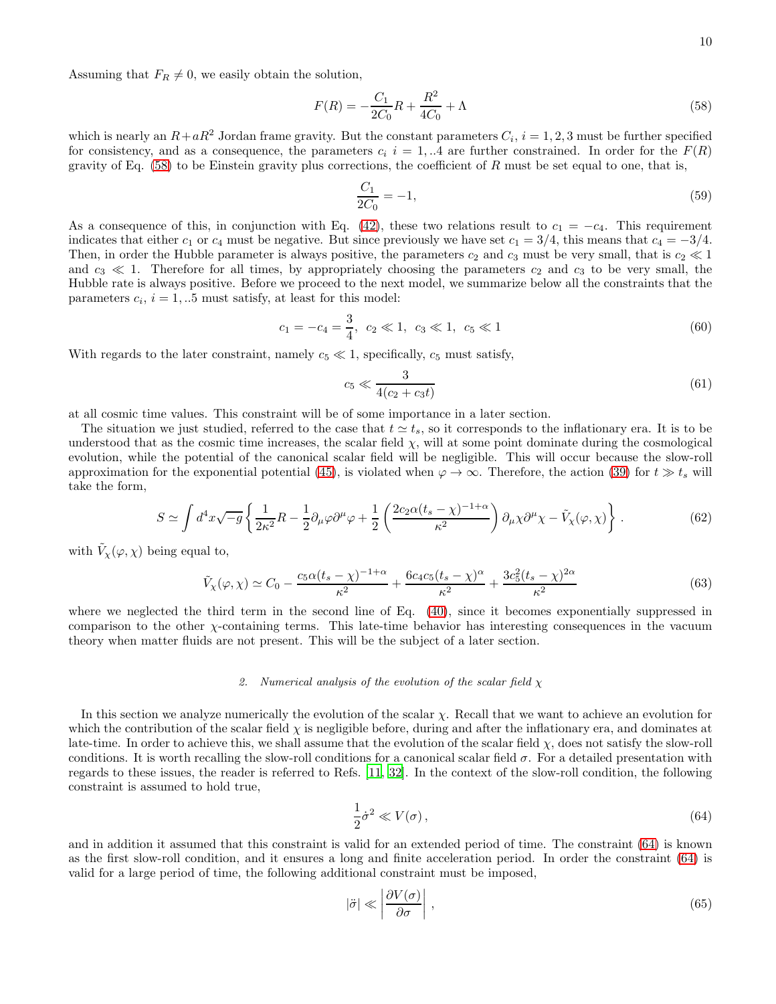Assuming that  $F_R \neq 0$ , we easily obtain the solution,

<span id="page-9-0"></span>
$$
F(R) = -\frac{C_1}{2C_0}R + \frac{R^2}{4C_0} + \Lambda
$$
\n(58)

which is nearly an  $R+aR^2$  Jordan frame gravity. But the constant parameters  $C_i$ ,  $i=1,2,3$  must be further specified for consistency, and as a consequence, the parameters  $c_i$  i = 1, ..4 are further constrained. In order for the  $F(R)$ gravity of Eq.  $(58)$  to be Einstein gravity plus corrections, the coefficient of R must be set equal to one, that is,

$$
\frac{C_1}{2C_0} = -1,\t\t(59)
$$

As a consequence of this, in conjunction with Eq. [\(42\)](#page-7-3), these two relations result to  $c_1 = -c_4$ . This requirement indicates that either c<sub>1</sub> or c<sub>4</sub> must be negative. But since previously we have set  $c_1 = 3/4$ , this means that  $c_4 = -3/4$ . Then, in order the Hubble parameter is always positive, the parameters  $c_2$  and  $c_3$  must be very small, that is  $c_2 \ll 1$ and  $c_3 \ll 1$ . Therefore for all times, by appropriately choosing the parameters  $c_2$  and  $c_3$  to be very small, the Hubble rate is always positive. Before we proceed to the next model, we summarize below all the constraints that the parameters  $c_i$ ,  $i = 1, ...5$  must satisfy, at least for this model:

<span id="page-9-3"></span>
$$
c_1 = -c_4 = \frac{3}{4}, \ c_2 \ll 1, \ c_3 \ll 1, \ c_5 \ll 1 \tag{60}
$$

With regards to the later constraint, namely  $c_5 \ll 1$ , specifically,  $c_5$  must satisfy,

<span id="page-9-4"></span>
$$
c_5 \ll \frac{3}{4(c_2 + c_3 t)}\tag{61}
$$

at all cosmic time values. This constraint will be of some importance in a later section.

The situation we just studied, referred to the case that  $t \approx t_s$ , so it corresponds to the inflationary era. It is to be understood that as the cosmic time increases, the scalar field  $\chi$ , will at some point dominate during the cosmological evolution, while the potential of the canonical scalar field will be negligible. This will occur because the slow-roll approximation for the exponential potential [\(45\)](#page-7-0), is violated when  $\varphi \to \infty$ . Therefore, the action [\(39\)](#page-6-4) for  $t \gg t_s$  will take the form,

<span id="page-9-6"></span>
$$
S \simeq \int d^4x \sqrt{-g} \left\{ \frac{1}{2\kappa^2} R - \frac{1}{2} \partial_\mu \varphi \partial^\mu \varphi + \frac{1}{2} \left( \frac{2c_2 \alpha (t_s - \chi)^{-1 + \alpha}}{\kappa^2} \right) \partial_\mu \chi \partial^\mu \chi - \tilde{V}_\chi(\varphi, \chi) \right\} \,. \tag{62}
$$

with  $\tilde{V}_\chi(\varphi,\chi)$  being equal to,

<span id="page-9-5"></span>
$$
\tilde{V}_{\chi}(\varphi,\chi) \simeq C_0 - \frac{c_5 \alpha (t_s - \chi)^{-1+\alpha}}{\kappa^2} + \frac{6c_4 c_5 (t_s - \chi)^{\alpha}}{\kappa^2} + \frac{3c_5^2 (t_s - \chi)^{2\alpha}}{\kappa^2}
$$
\n(63)

where we neglected the third term in the second line of Eq. [\(40\)](#page-6-5), since it becomes exponentially suppressed in comparison to the other  $\chi$ -containing terms. This late-time behavior has interesting consequences in the vacuum theory when matter fluids are not present. This will be the subject of a later section.

### *2. Numerical analysis of the evolution of the scalar field* χ

In this section we analyze numerically the evolution of the scalar  $\chi$ . Recall that we want to achieve an evolution for which the contribution of the scalar field  $\chi$  is negligible before, during and after the inflationary era, and dominates at late-time. In order to achieve this, we shall assume that the evolution of the scalar field  $\chi$ , does not satisfy the slow-roll conditions. It is worth recalling the slow-roll conditions for a canonical scalar field  $\sigma$ . For a detailed presentation with regards to these issues, the reader is referred to Refs. [\[11,](#page-32-5) [32](#page-33-9)]. In the context of the slow-roll condition, the following constraint is assumed to hold true,

<span id="page-9-1"></span>
$$
\frac{1}{2}\dot{\sigma}^2 \ll V(\sigma),\tag{64}
$$

and in addition it assumed that this constraint is valid for an extended period of time. The constraint [\(64\)](#page-9-1) is known as the first slow-roll condition, and it ensures a long and finite acceleration period. In order the constraint [\(64\)](#page-9-1) is valid for a large period of time, the following additional constraint must be imposed,

<span id="page-9-2"></span>
$$
|\ddot{\sigma}| \ll \left| \frac{\partial V(\sigma)}{\partial \sigma} \right|,\tag{65}
$$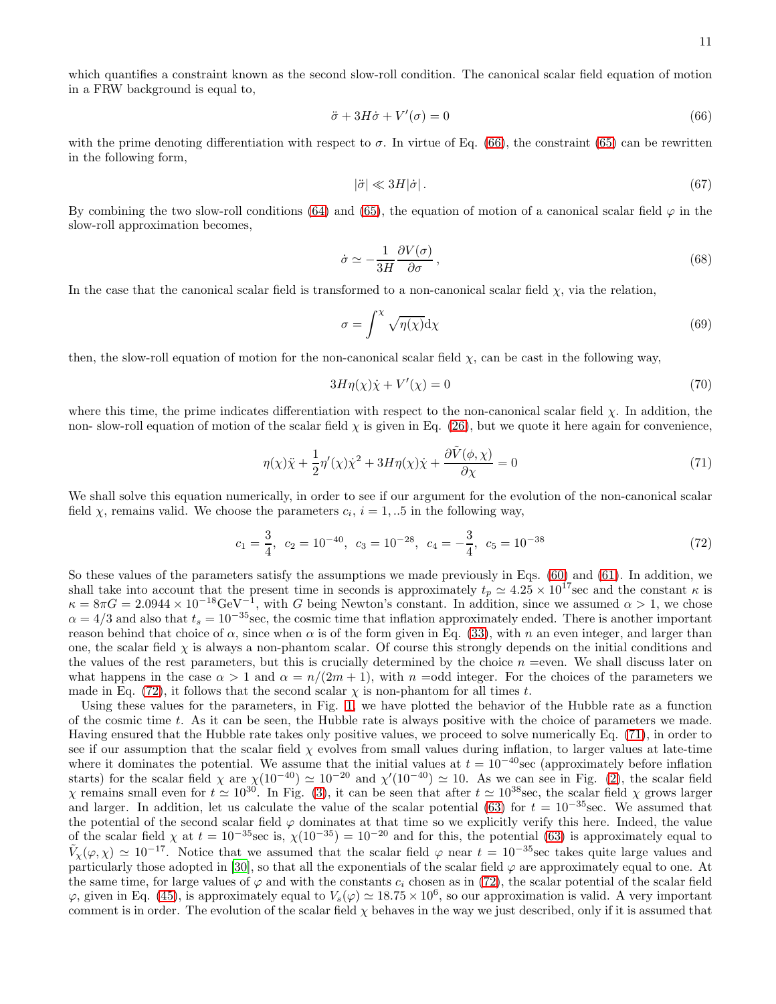which quantifies a constraint known as the second slow-roll condition. The canonical scalar field equation of motion in a FRW background is equal to,

<span id="page-10-0"></span>
$$
\ddot{\sigma} + 3H\dot{\sigma} + V'(\sigma) = 0 \tag{66}
$$

with the prime denoting differentiation with respect to  $\sigma$ . In virtue of Eq. [\(66\)](#page-10-0), the constraint [\(65\)](#page-9-2) can be rewritten in the following form,

$$
|\ddot{\sigma}| \ll 3H|\dot{\sigma}|.\tag{67}
$$

By combining the two slow-roll conditions [\(64\)](#page-9-1) and [\(65\)](#page-9-2), the equation of motion of a canonical scalar field  $\varphi$  in the slow-roll approximation becomes,

$$
\dot{\sigma} \simeq -\frac{1}{3H} \frac{\partial V(\sigma)}{\partial \sigma},\tag{68}
$$

In the case that the canonical scalar field is transformed to a non-canonical scalar field  $\chi$ , via the relation,

$$
\sigma = \int^{\chi} \sqrt{\eta(\chi)} \mathrm{d}\chi \tag{69}
$$

then, the slow-roll equation of motion for the non-canonical scalar field  $\chi$ , can be cast in the following way,

<span id="page-10-3"></span>
$$
3H\eta(\chi)\dot{\chi} + V'(\chi) = 0\tag{70}
$$

where this time, the prime indicates differentiation with respect to the non-canonical scalar field  $\chi$ . In addition, the non- slow-roll equation of motion of the scalar field  $\chi$  is given in Eq. [\(26\)](#page-5-4), but we quote it here again for convenience,

<span id="page-10-2"></span>
$$
\eta(\chi)\ddot{\chi} + \frac{1}{2}\eta'(\chi)\dot{\chi}^2 + 3H\eta(\chi)\dot{\chi} + \frac{\partial \tilde{V}(\phi, \chi)}{\partial \chi} = 0
$$
\n(71)

We shall solve this equation numerically, in order to see if our argument for the evolution of the non-canonical scalar field  $\chi$ , remains valid. We choose the parameters  $c_i$ ,  $i = 1, ...5$  in the following way,

<span id="page-10-1"></span>
$$
c_1 = \frac{3}{4}
$$
,  $c_2 = 10^{-40}$ ,  $c_3 = 10^{-28}$ ,  $c_4 = -\frac{3}{4}$ ,  $c_5 = 10^{-38}$  (72)

So these values of the parameters satisfy the assumptions we made previously in Eqs. [\(60\)](#page-9-3) and [\(61\)](#page-9-4). In addition, we shall take into account that the present time in seconds is approximately  $t_p \simeq 4.25 \times 10^{17}$  sec and the constant  $\kappa$  is  $\kappa = 8\pi G = 2.0944 \times 10^{-18} \text{GeV}^{-1}$ , with G being Newton's constant. In addition, since we assumed  $\alpha > 1$ , we chose  $\alpha = 4/3$  and also that  $t_s = 10^{-35}$  sec, the cosmic time that inflation approximately ended. There is another important reason behind that choice of  $\alpha$ , since when  $\alpha$  is of the form given in Eq. [\(33\)](#page-6-6), with n an even integer, and larger than one, the scalar field  $\chi$  is always a non-phantom scalar. Of course this strongly depends on the initial conditions and the values of the rest parameters, but this is crucially determined by the choice  $n =$ even. We shall discuss later on what happens in the case  $\alpha > 1$  and  $\alpha = n/(2m + 1)$ , with  $n =$ odd integer. For the choices of the parameters we made in Eq. [\(72\)](#page-10-1), it follows that the second scalar  $\chi$  is non-phantom for all times t.

Using these values for the parameters, in Fig. [1,](#page-11-0) we have plotted the behavior of the Hubble rate as a function of the cosmic time t. As it can be seen, the Hubble rate is always positive with the choice of parameters we made. Having ensured that the Hubble rate takes only positive values, we proceed to solve numerically Eq. [\(71\)](#page-10-2), in order to see if our assumption that the scalar field  $\chi$  evolves from small values during inflation, to larger values at late-time where it dominates the potential. We assume that the initial values at  $t = 10^{-40}$  sec (approximately before inflation starts) for the scalar field  $\chi$  are  $\chi(10^{-40}) \simeq 10^{-20}$  and  $\chi'(10^{-40}) \simeq 10$ . As we can see in Fig. [\(2\)](#page-11-1), the scalar field  $χ$  remains small even for  $t ≈ 10^{30}$ . In Fig. [\(3\)](#page-12-0), it can be seen that after  $t ≈ 10^{38}$  sec, the scalar field  $χ$  grows larger and larger. In addition, let us calculate the value of the scalar potential [\(63\)](#page-9-5) for  $t = 10^{-35}$  sec. We assumed that the potential of the second scalar field  $\varphi$  dominates at that time so we explicitly verify this here. Indeed, the value of the scalar field  $\chi$  at  $t = 10^{-35}$ sec is,  $\chi(10^{-35}) = 10^{-20}$  and for this, the potential [\(63\)](#page-9-5) is approximately equal to  $\tilde{V}_\chi(\varphi,\chi) \simeq 10^{-17}$ . Notice that we assumed that the scalar field  $\varphi$  near  $t = 10^{-35}$  sec takes quite large values and particularly those adopted in [\[30\]](#page-33-7), so that all the exponentials of the scalar field  $\varphi$  are approximately equal to one. At the same time, for large values of  $\varphi$  and with the constants  $c_i$  chosen as in [\(72\)](#page-10-1), the scalar potential of the scalar field  $\varphi$ , given in Eq. [\(45\)](#page-7-0), is approximately equal to  $V_s(\varphi) \simeq 18.75 \times 10^6$ , so our approximation is valid. A very important comment is in order. The evolution of the scalar field  $\chi$  behaves in the way we just described, only if it is assumed that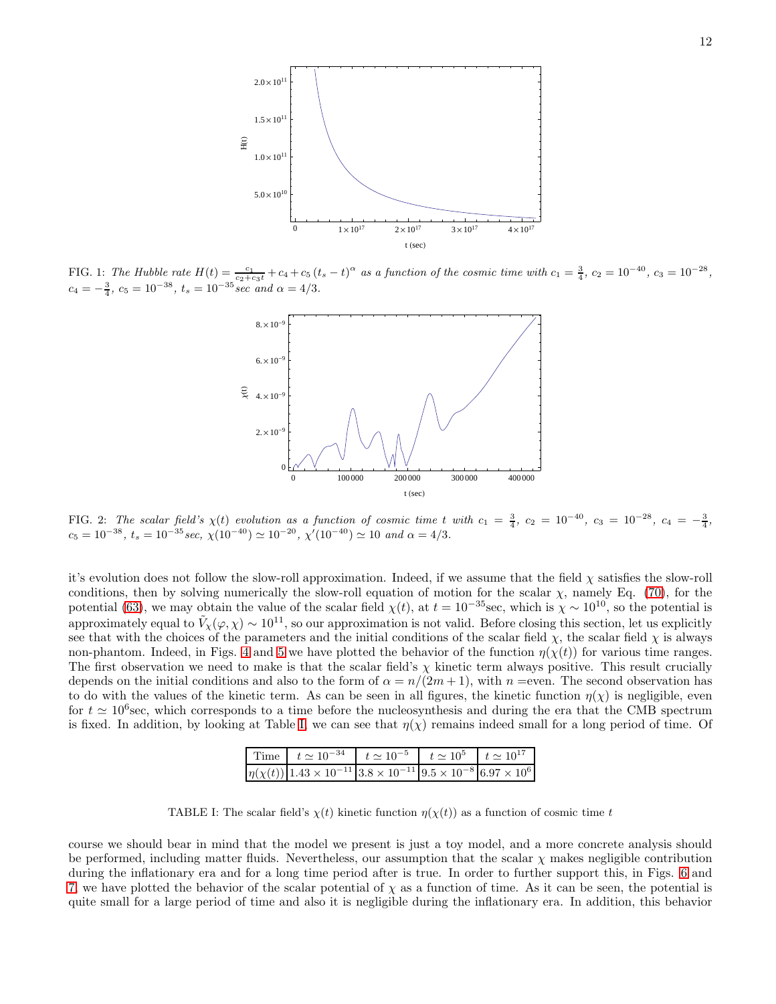

<span id="page-11-0"></span>FIG. 1: *The Hubble rate*  $H(t) = \frac{c_1}{c_2+c_3t} + c_4 + c_5(t_s-t)^\alpha$  as a function of the cosmic time with  $c_1 = \frac{3}{4}$ ,  $c_2 = 10^{-40}$ ,  $c_3 = 10^{-28}$ ,  $c_4 = -\frac{3}{4}, c_5 = 10^{-38}, t_s = 10^{-35} \sec \ and \ \alpha = 4/3.$ 



<span id="page-11-1"></span>FIG. 2: *The scalar field's*  $\chi(t)$  *evolution as a function of cosmic time* t *with*  $c_1 = \frac{3}{4}$ ,  $c_2 = 10^{-40}$ ,  $c_3 = 10^{-28}$ ,  $c_4 = -\frac{3}{4}$ ,  $c_5 = 10^{-38}, t_s = 10^{-35} sec, \ \chi(10^{-40}) \simeq 10^{-20}, \ \chi'(10^{-40}) \simeq 10 \ and \ \alpha = 4/3.$ 

it's evolution does not follow the slow-roll approximation. Indeed, if we assume that the field  $\chi$  satisfies the slow-roll conditions, then by solving numerically the slow-roll equation of motion for the scalar  $\chi$ , namely Eq. [\(70\)](#page-10-3), for the potential [\(63\)](#page-9-5), we may obtain the value of the scalar field  $\chi(t)$ , at  $t = 10^{-35}$  sec, which is  $\chi \sim 10^{10}$ , so the potential is approximately equal to  $\tilde{V}_\chi(\varphi,\chi) \sim 10^{11}$ , so our approximation is not valid. Before closing this section, let us explicitly see that with the choices of the parameters and the initial conditions of the scalar field  $\chi$ , the scalar field  $\chi$  is always non-phantom. Indeed, in Figs. [4](#page-12-1) and [5](#page-13-0) we have plotted the behavior of the function  $\eta(\chi(t))$  for various time ranges. The first observation we need to make is that the scalar field's  $\chi$  kinetic term always positive. This result crucially depends on the initial conditions and also to the form of  $\alpha = n/(2m+1)$ , with  $n =$ even. The second observation has to do with the values of the kinetic term. As can be seen in all figures, the kinetic function  $\eta(\chi)$  is negligible, even for  $t \approx 10^6$  sec, which corresponds to a time before the nucleosynthesis and during the era that the CMB spectrum is fixed. In addition, by looking at Table [I,](#page-11-2) we can see that  $\eta(\chi)$  remains indeed small for a long period of time. Of

|  | Time   $t \approx 10^{-34}$   $t \approx 10^{-5}$   $t \approx 10^5$   $t \approx 10^{17}$                     |  |  |  |
|--|----------------------------------------------------------------------------------------------------------------|--|--|--|
|  | $\eta(\chi(t))$ 1.43 × 10 <sup>-11</sup> 3.8 × 10 <sup>-11</sup> 9.5 × 10 <sup>-8</sup> 6.97 × 10 <sup>6</sup> |  |  |  |

<span id="page-11-2"></span>TABLE I: The scalar field's  $\chi(t)$  kinetic function  $\eta(\chi(t))$  as a function of cosmic time t

course we should bear in mind that the model we present is just a toy model, and a more concrete analysis should be performed, including matter fluids. Nevertheless, our assumption that the scalar  $\chi$  makes negligible contribution during the inflationary era and for a long time period after is true. In order to further support this, in Figs. [6](#page-13-1) and [7,](#page-14-0) we have plotted the behavior of the scalar potential of  $\chi$  as a function of time. As it can be seen, the potential is quite small for a large period of time and also it is negligible during the inflationary era. In addition, this behavior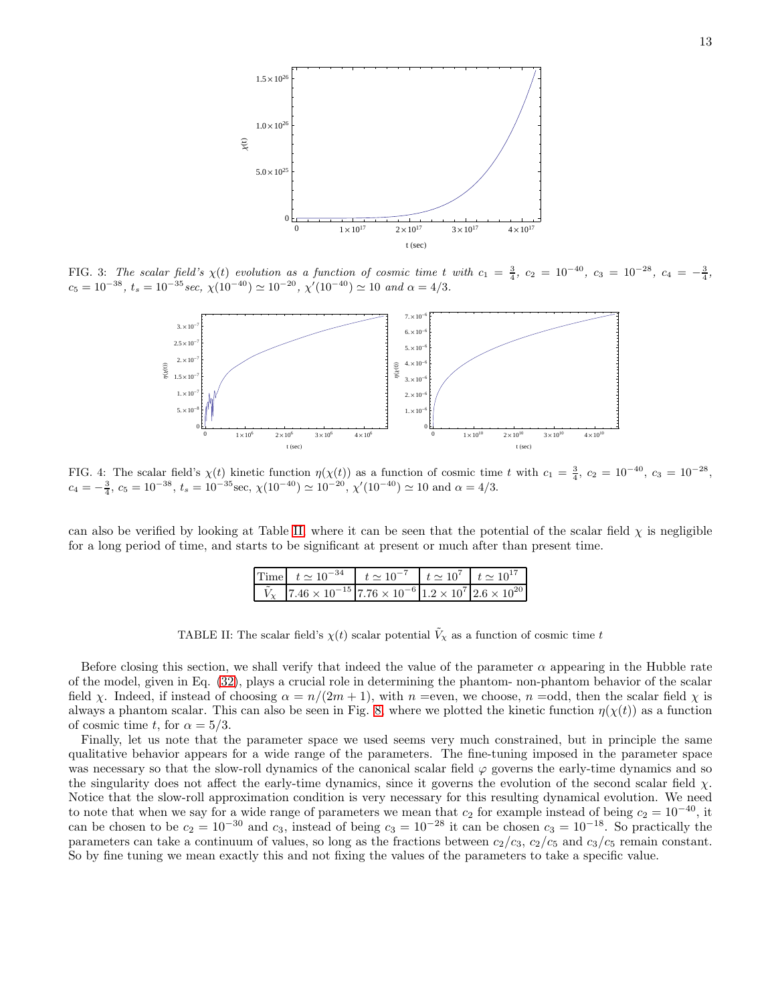

FIG. 3: *The scalar field's*  $\chi(t)$  *evolution as a function of cosmic time* t *with*  $c_1 = \frac{3}{4}$ ,  $c_2 = 10^{-40}$ ,  $c_3 = 10^{-28}$ ,  $c_4 = -\frac{3}{4}$ ,  $c_5 = 10^{-38}$ ,  $t_s = 10^{-35}$  sec,  $\chi(10^{-40}) \simeq 10^{-20}$ ,  $\chi'(10^{-40}) \simeq 10$  and  $\alpha = 4/3$ .

<span id="page-12-0"></span>

<span id="page-12-1"></span>FIG. 4: The scalar field's  $\chi(t)$  kinetic function  $\eta(\chi(t))$  as a function of cosmic time t with  $c_1 = \frac{3}{4}$ ,  $c_2 = 10^{-40}$ ,  $c_3 = 10^{-28}$ ,  $c_4 = -\frac{3}{4}, c_5 = 10^{-38}, t_s = 10^{-35}$ sec,  $\chi(10^{-40}) \simeq 10^{-20}, \chi'(10^{-40}) \simeq 10$  and  $\alpha = 4/3$ .

can also be verified by looking at Table [II,](#page-12-2) where it can be seen that the potential of the scalar field  $\chi$  is negligible for a long period of time, and starts to be significant at present or much after than present time.

| Time $t \approx 10^{-34}$ $t \approx 10^{-7}$ $t \approx 10^{7}$ $t \approx 10^{17}$                             |  |  |
|------------------------------------------------------------------------------------------------------------------|--|--|
| $\tilde{V}_{\chi}$ 7.46 × 10 <sup>-15</sup> 7.76 × 10 <sup>-6</sup> 1.2 × 10 <sup>7</sup> 2.6 × 10 <sup>20</sup> |  |  |

<span id="page-12-2"></span>TABLE II: The scalar field's  $\chi(t)$  scalar potential  $\tilde{V}_\chi$  as a function of cosmic time t

Before closing this section, we shall verify that indeed the value of the parameter  $\alpha$  appearing in the Hubble rate of the model, given in Eq. [\(32\)](#page-6-1), plays a crucial role in determining the phantom- non-phantom behavior of the scalar field x. Indeed, if instead of choosing  $\alpha = n/(2m+1)$ , with  $n =$ even, we choose,  $n =$ odd, then the scalar field x is always a phantom scalar. This can also be seen in Fig. [8,](#page-14-1) where we plotted the kinetic function  $\eta(\chi(t))$  as a function of cosmic time t, for  $\alpha = 5/3$ .

Finally, let us note that the parameter space we used seems very much constrained, but in principle the same qualitative behavior appears for a wide range of the parameters. The fine-tuning imposed in the parameter space was necessary so that the slow-roll dynamics of the canonical scalar field  $\varphi$  governs the early-time dynamics and so the singularity does not affect the early-time dynamics, since it governs the evolution of the second scalar field  $\chi$ . Notice that the slow-roll approximation condition is very necessary for this resulting dynamical evolution. We need to note that when we say for a wide range of parameters we mean that  $c_2$  for example instead of being  $c_2 = 10^{-40}$ , it can be chosen to be  $c_2 = 10^{-30}$  and  $c_3$ , instead of being  $c_3 = 10^{-28}$  it can be chosen  $c_3 = 10^{-18}$ . So practically the parameters can take a continuum of values, so long as the fractions between  $c_2/c_3$ ,  $c_2/c_5$  and  $c_3/c_5$  remain constant. So by fine tuning we mean exactly this and not fixing the values of the parameters to take a specific value.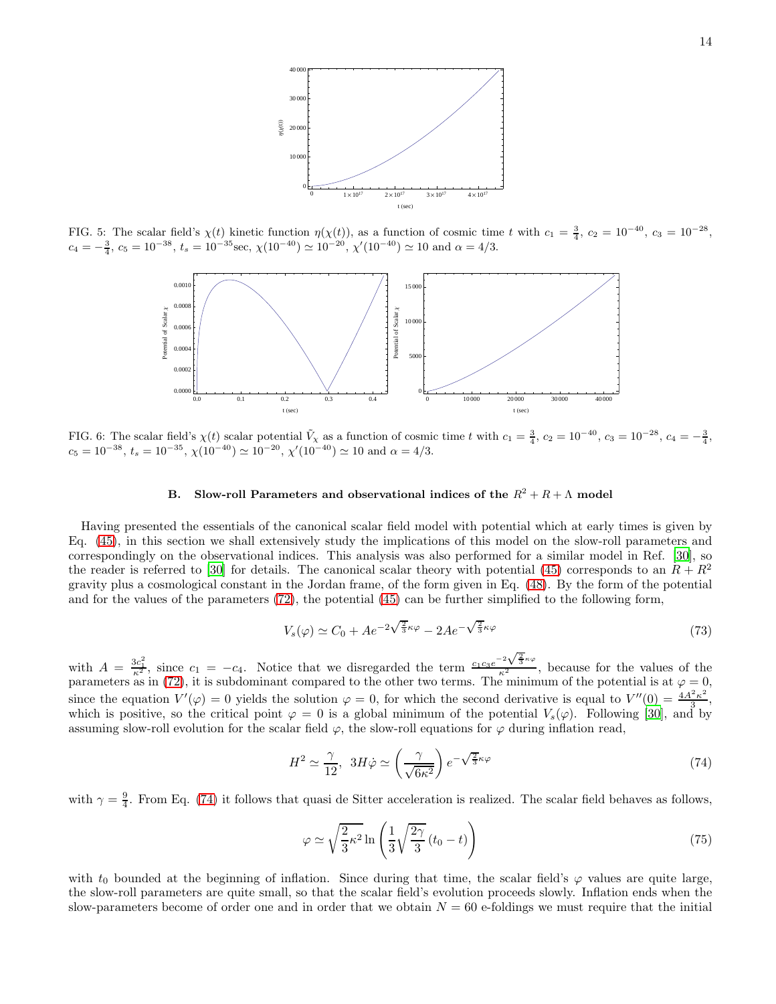

FIG. 5: The scalar field's  $\chi(t)$  kinetic function  $\eta(\chi(t))$ , as a function of cosmic time t with  $c_1 = \frac{3}{4}$ ,  $c_2 = 10^{-40}$ ,  $c_3 = 10^{-28}$ ,  $c_4 = -\frac{3}{4}, c_5 = 10^{-38}, t_s = 10^{-35}$ sec,  $\chi(10^{-40}) \simeq 10^{-20}, \chi'(10^{-40}) \simeq 10$  and  $\alpha = 4/3$ .

<span id="page-13-0"></span>

<span id="page-13-1"></span>FIG. 6: The scalar field's  $\chi(t)$  scalar potential  $\tilde{V}_\chi$  as a function of cosmic time t with  $c_1 = \frac{3}{4}$ ,  $c_2 = 10^{-40}$ ,  $c_3 = 10^{-28}$ ,  $c_4 = -\frac{3}{4}$ ,  $c_5 = 10^{-38}, t_s = 10^{-35}, \chi(10^{-40}) \simeq 10^{-20}, \chi'(10^{-40}) \simeq 10$  and  $\alpha = 4/3$ .

# B. Slow-roll Parameters and observational indices of the  $R^2 + R + \Lambda$  model

Having presented the essentials of the canonical scalar field model with potential which at early times is given by Eq. [\(45\)](#page-7-0), in this section we shall extensively study the implications of this model on the slow-roll parameters and correspondingly on the observational indices. This analysis was also performed for a similar model in Ref. [\[30\]](#page-33-7), so the reader is referred to [\[30\]](#page-33-7) for details. The canonical scalar theory with potential [\(45\)](#page-7-0) corresponds to an  $R + R^2$ gravity plus a cosmological constant in the Jordan frame, of the form given in Eq. [\(48\)](#page-8-0). By the form of the potential and for the values of the parameters [\(72\)](#page-10-1), the potential [\(45\)](#page-7-0) can be further simplified to the following form,

$$
V_s(\varphi) \simeq C_0 + Ae^{-2\sqrt{\frac{2}{3}}\kappa\varphi} - 2Ae^{-\sqrt{\frac{2}{3}}\kappa\varphi}
$$
\n(73)

with  $A = \frac{3c_1^2}{\kappa^2}$ , since  $c_1 = -c_4$ . Notice that we disregarded the term  $\frac{c_1c_3e^{-2\sqrt{\frac{2}{3}}\kappa\varphi}}{\kappa^2}$ , because for the values of the parameters as in [\(72\)](#page-10-1), it is subdominant compared to the other two terms. The minimum of the potential is at  $\varphi = 0$ , since the equation  $V'(\varphi) = 0$  yields the solution  $\varphi = 0$ , for which the second derivative is equal to  $V''(0) = \frac{4A^2\kappa^2}{3}$  $\frac{5\kappa^2}{3},$ which is positive, so the critical point  $\varphi = 0$  is a global minimum of the potential  $V_s(\varphi)$ . Following [\[30](#page-33-7)], and by assuming slow-roll evolution for the scalar field  $\varphi$ , the slow-roll equations for  $\varphi$  during inflation read,

<span id="page-13-2"></span>
$$
H^2 \simeq \frac{\gamma}{12}, \ \ 3H\dot{\varphi} \simeq \left(\frac{\gamma}{\sqrt{6\kappa^2}}\right)e^{-\sqrt{\frac{2}{3}}\kappa\varphi} \tag{74}
$$

with  $\gamma = \frac{9}{4}$ . From Eq. [\(74\)](#page-13-2) it follows that quasi de Sitter acceleration is realized. The scalar field behaves as follows,

$$
\varphi \simeq \sqrt{\frac{2}{3}\kappa^2} \ln\left(\frac{1}{3}\sqrt{\frac{2\gamma}{3}}(t_0 - t)\right) \tag{75}
$$

with  $t_0$  bounded at the beginning of inflation. Since during that time, the scalar field's  $\varphi$  values are quite large, the slow-roll parameters are quite small, so that the scalar field's evolution proceeds slowly. Inflation ends when the slow-parameters become of order one and in order that we obtain  $N = 60$  e-foldings we must require that the initial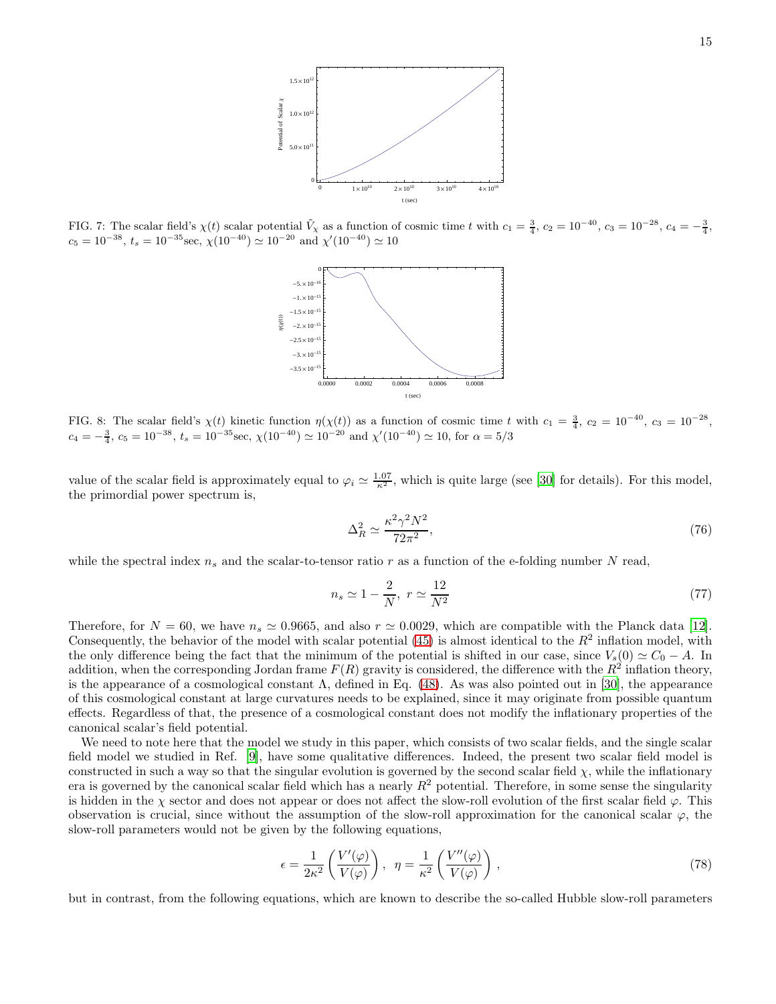

<span id="page-14-0"></span>FIG. 7: The scalar field's  $\chi(t)$  scalar potential  $\tilde{V}_\chi$  as a function of cosmic time t with  $c_1 = \frac{3}{4}$ ,  $c_2 = 10^{-40}$ ,  $c_3 = 10^{-28}$ ,  $c_4 = -\frac{3}{4}$ ,  $c_5 = 10^{-38}$ ,  $t_s = 10^{-35}$ sec,  $\chi(10^{-40}) \simeq 10^{-20}$  and  $\chi'(10^{-40}) \simeq 10$ 



<span id="page-14-1"></span>FIG. 8: The scalar field's  $\chi(t)$  kinetic function  $\eta(\chi(t))$  as a function of cosmic time t with  $c_1 = \frac{3}{4}$ ,  $c_2 = 10^{-40}$ ,  $c_3 = 10^{-28}$ ,  $c_4 = -\frac{3}{4}$ ,  $c_5 = 10^{-38}$ ,  $t_s = 10^{-35}$  sec,  $\chi(10^{-40}) \simeq 10^{-20}$  and  $\chi'(10^{-40}) \simeq 10$ , for  $\alpha = 5/3$ 

value of the scalar field is approximately equal to  $\varphi_i \simeq \frac{1.07}{\kappa^2}$ , which is quite large (see [\[30\]](#page-33-7) for details). For this model, the primordial power spectrum is,

$$
\Delta_R^2 \simeq \frac{\kappa^2 \gamma^2 N^2}{72\pi^2},\tag{76}
$$

while the spectral index  $n_s$  and the scalar-to-tensor ratio r as a function of the e-folding number N read,

$$
n_s \simeq 1 - \frac{2}{N}, \ r \simeq \frac{12}{N^2} \tag{77}
$$

Therefore, for  $N = 60$ , we have  $n_s \approx 0.9665$ , and also  $r \approx 0.0029$ , which are compatible with the Planck data [\[12\]](#page-32-6). Consequently, the behavior of the model with scalar potential  $(45)$  is almost identical to the  $R<sup>2</sup>$  inflation model, with the only difference being the fact that the minimum of the potential is shifted in our case, since  $V_s(0) \simeq C_0 - A$ . In addition, when the corresponding Jordan frame  $F(R)$  gravity is considered, the difference with the  $R^2$  inflation theory, is the appearance of a cosmological constant  $\Lambda$ , defined in Eq. [\(48\)](#page-8-0). As was also pointed out in [\[30\]](#page-33-7), the appearance of this cosmological constant at large curvatures needs to be explained, since it may originate from possible quantum effects. Regardless of that, the presence of a cosmological constant does not modify the inflationary properties of the canonical scalar's field potential.

We need to note here that the model we study in this paper, which consists of two scalar fields, and the single scalar field model we studied in Ref. [\[9\]](#page-32-3), have some qualitative differences. Indeed, the present two scalar field model is constructed in such a way so that the singular evolution is governed by the second scalar field  $\chi$ , while the inflationary era is governed by the canonical scalar field which has a nearly  $R^2$  potential. Therefore, in some sense the singularity is hidden in the  $\chi$  sector and does not appear or does not affect the slow-roll evolution of the first scalar field  $\varphi$ . This observation is crucial, since without the assumption of the slow-roll approximation for the canonical scalar  $\varphi$ , the slow-roll parameters would not be given by the following equations,

<span id="page-14-2"></span>
$$
\epsilon = \frac{1}{2\kappa^2} \left( \frac{V'(\varphi)}{V(\varphi)} \right), \quad \eta = \frac{1}{\kappa^2} \left( \frac{V''(\varphi)}{V(\varphi)} \right),\tag{78}
$$

but in contrast, from the following equations, which are known to describe the so-called Hubble slow-roll parameters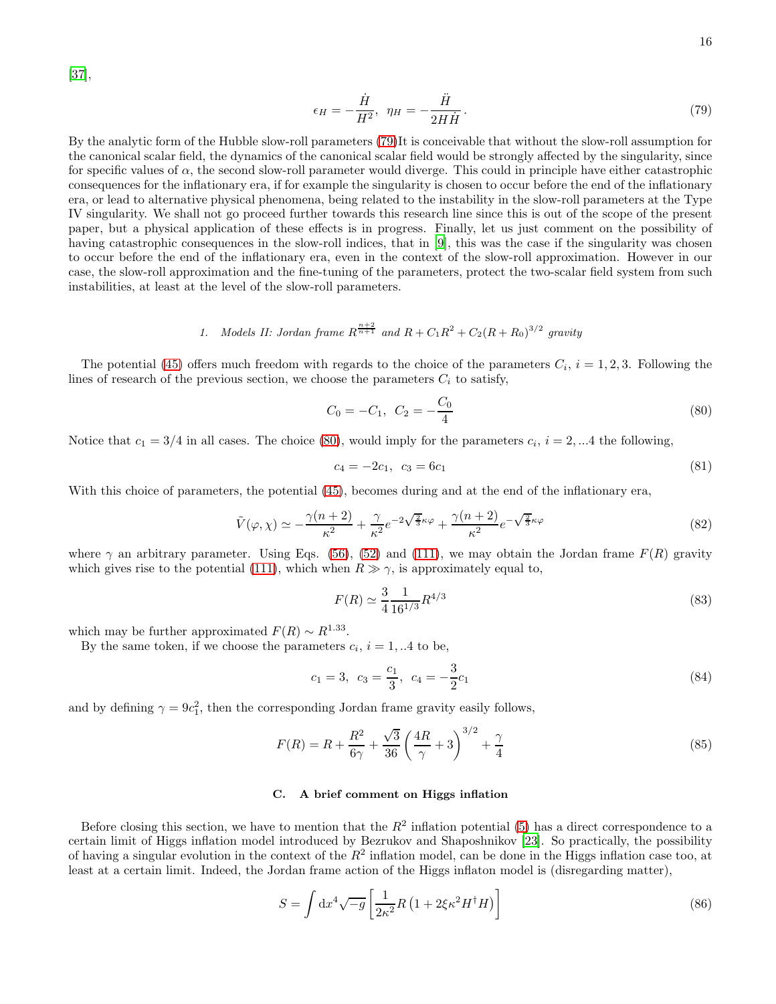[\[37\]](#page-33-10),

<span id="page-15-0"></span>
$$
\epsilon_H = -\frac{\dot{H}}{H^2}, \ \ \eta_H = -\frac{\ddot{H}}{2H\dot{H}}.\tag{79}
$$

By the analytic form of the Hubble slow-roll parameters [\(79\)](#page-15-0)It is conceivable that without the slow-roll assumption for the canonical scalar field, the dynamics of the canonical scalar field would be strongly affected by the singularity, since for specific values of  $\alpha$ , the second slow-roll parameter would diverge. This could in principle have either catastrophic consequences for the inflationary era, if for example the singularity is chosen to occur before the end of the inflationary era, or lead to alternative physical phenomena, being related to the instability in the slow-roll parameters at the Type IV singularity. We shall not go proceed further towards this research line since this is out of the scope of the present paper, but a physical application of these effects is in progress. Finally, let us just comment on the possibility of having catastrophic consequences in the slow-roll indices, that in [\[9](#page-32-3)], this was the case if the singularity was chosen to occur before the end of the inflationary era, even in the context of the slow-roll approximation. However in our case, the slow-roll approximation and the fine-tuning of the parameters, protect the two-scalar field system from such instabilities, at least at the level of the slow-roll parameters.

1. Models II: Jordan frame 
$$
R^{\frac{n+2}{n+1}}
$$
 and  $R + C_1R^2 + C_2(R + R_0)^{3/2}$  gravity

The potential [\(45\)](#page-7-0) offers much freedom with regards to the choice of the parameters  $C_i$ ,  $i = 1, 2, 3$ . Following the lines of research of the previous section, we choose the parameters  $C_i$  to satisfy,

<span id="page-15-1"></span>
$$
C_0 = -C_1, \ C_2 = -\frac{C_0}{4} \tag{80}
$$

Notice that  $c_1 = 3/4$  in all cases. The choice [\(80\)](#page-15-1), would imply for the parameters  $c_i$ ,  $i = 2, ...4$  the following,

$$
c_4 = -2c_1, \ c_3 = 6c_1 \tag{81}
$$

With this choice of parameters, the potential [\(45\)](#page-7-0), becomes during and at the end of the inflationary era,

$$
\tilde{V}(\varphi,\chi) \simeq -\frac{\gamma(n+2)}{\kappa^2} + \frac{\gamma}{\kappa^2} e^{-2\sqrt{\frac{2}{3}}\kappa\varphi} + \frac{\gamma(n+2)}{\kappa^2} e^{-\sqrt{\frac{2}{3}}\kappa\varphi}
$$
\n(82)

where  $\gamma$  an arbitrary parameter. Using Eqs. [\(56\)](#page-8-5), [\(52\)](#page-8-3) and [\(111\)](#page-21-0), we may obtain the Jordan frame  $F(R)$  gravity which gives rise to the potential [\(111\)](#page-21-0), which when  $R \gg \gamma$ , is approximately equal to,

$$
F(R) \simeq \frac{3}{4} \frac{1}{16^{1/3}} R^{4/3} \tag{83}
$$

which may be further approximated  $F(R) \sim R^{1.33}$ .

By the same token, if we choose the parameters  $c_i$ ,  $i = 1,..4$  to be,

$$
c_1 = 3, \ c_3 = \frac{c_1}{3}, \ c_4 = -\frac{3}{2}c_1 \tag{84}
$$

and by defining  $\gamma = 9c_1^2$ , then the corresponding Jordan frame gravity easily follows,

$$
F(R) = R + \frac{R^2}{6\gamma} + \frac{\sqrt{3}}{36} \left(\frac{4R}{\gamma} + 3\right)^{3/2} + \frac{\gamma}{4}
$$
\n(85)

# C. A brief comment on Higgs inflation

Before closing this section, we have to mention that the  $R^2$  inflation potential [\(5\)](#page-2-1) has a direct correspondence to a certain limit of Higgs inflation model introduced by Bezrukov and Shaposhnikov [\[23](#page-33-1)]. So practically, the possibility of having a singular evolution in the context of the  $R^2$  inflation model, can be done in the Higgs inflation case too, at least at a certain limit. Indeed, the Jordan frame action of the Higgs inflaton model is (disregarding matter),

$$
S = \int \mathrm{d}x^4 \sqrt{-g} \left[ \frac{1}{2\kappa^2} R \left( 1 + 2\xi \kappa^2 H^\dagger H \right) \right] \tag{86}
$$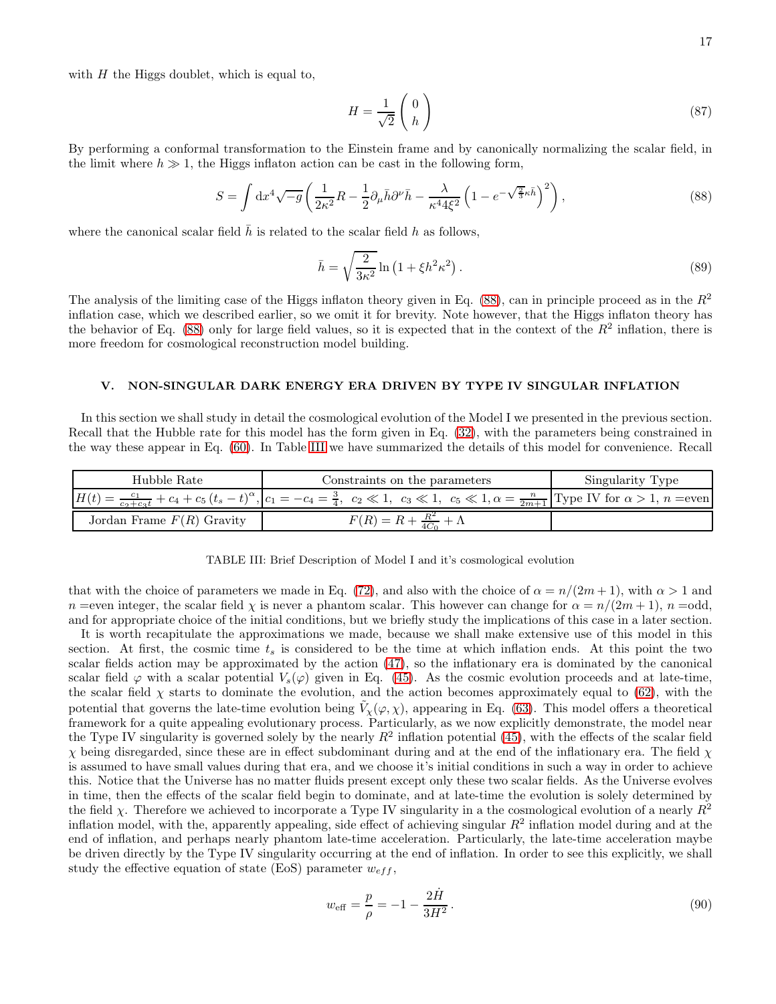with  $H$  the Higgs doublet, which is equal to,

$$
H = \frac{1}{\sqrt{2}} \begin{pmatrix} 0 \\ h \end{pmatrix} \tag{87}
$$

By performing a conformal transformation to the Einstein frame and by canonically normalizing the scalar field, in the limit where  $h \gg 1$ , the Higgs inflaton action can be cast in the following form,

<span id="page-16-0"></span>
$$
S = \int dx^4 \sqrt{-g} \left( \frac{1}{2\kappa^2} R - \frac{1}{2} \partial_\mu \bar{h} \partial^\nu \bar{h} - \frac{\lambda}{\kappa^4 4\xi^2} \left( 1 - e^{-\sqrt{\frac{2}{3}} \kappa \bar{h}} \right)^2 \right),\tag{88}
$$

where the canonical scalar field  $\bar{h}$  is related to the scalar field h as follows,

$$
\bar{h} = \sqrt{\frac{2}{3\kappa^2}} \ln \left( 1 + \xi h^2 \kappa^2 \right). \tag{89}
$$

The analysis of the limiting case of the Higgs inflaton theory given in Eq.  $(88)$ , can in principle proceed as in the  $R<sup>2</sup>$ inflation case, which we described earlier, so we omit it for brevity. Note however, that the Higgs inflaton theory has the behavior of Eq.  $(88)$  only for large field values, so it is expected that in the context of the  $R<sup>2</sup>$  inflation, there is more freedom for cosmological reconstruction model building.

# V. NON-SINGULAR DARK ENERGY ERA DRIVEN BY TYPE IV SINGULAR INFLATION

In this section we shall study in detail the cosmological evolution of the Model I we presented in the previous section. Recall that the Hubble rate for this model has the form given in Eq. [\(32\)](#page-6-1), with the parameters being constrained in the way these appear in Eq. [\(60\)](#page-9-3). In Table [III](#page-16-1) we have summarized the details of this model for convenience. Recall

| Hubble Rate                 | Constraints on the parameters                                                                                                                                                                      | Singularity Type |  |  |
|-----------------------------|----------------------------------------------------------------------------------------------------------------------------------------------------------------------------------------------------|------------------|--|--|
|                             | $H(t) = \frac{c_1}{c_2+c_3t} + c_4 + c_5(t_s-t)^{\alpha}$ , $c_1 = -c_4 = \frac{3}{4}$ , $c_2 \ll 1$ , $c_3 \ll 1$ , $c_5 \ll 1$ , $\alpha = \frac{n}{2m+1}$ Type IV for $\alpha > 1$ , $n = even$ |                  |  |  |
| Jordan Frame $F(R)$ Gravity | $F(R) = R + \frac{R^2}{4C_0} + \Lambda$                                                                                                                                                            |                  |  |  |

<span id="page-16-1"></span>

|  |  |  |  |  |  |  |  | TABLE III: Brief Description of Model I and it's cosmological evolution |  |
|--|--|--|--|--|--|--|--|-------------------------------------------------------------------------|--|
|--|--|--|--|--|--|--|--|-------------------------------------------------------------------------|--|

that with the choice of parameters we made in Eq. [\(72\)](#page-10-1), and also with the choice of  $\alpha = n/(2m+1)$ , with  $\alpha > 1$  and n =even integer, the scalar field  $\chi$  is never a phantom scalar. This however can change for  $\alpha = n/(2m+1)$ ,  $n =$ odd, and for appropriate choice of the initial conditions, but we briefly study the implications of this case in a later section.

It is worth recapitulate the approximations we made, because we shall make extensive use of this model in this section. At first, the cosmic time  $t_s$  is considered to be the time at which inflation ends. At this point the two scalar fields action may be approximated by the action [\(47\)](#page-7-2), so the inflationary era is dominated by the canonical scalar field  $\varphi$  with a scalar potential  $V_s(\varphi)$  given in Eq. [\(45\)](#page-7-0). As the cosmic evolution proceeds and at late-time, the scalar field  $\chi$  starts to dominate the evolution, and the action becomes approximately equal to [\(62\)](#page-9-6), with the potential that governs the late-time evolution being  $\tilde{V}_\chi(\varphi,\chi)$ , appearing in Eq. [\(63\)](#page-9-5). This model offers a theoretical framework for a quite appealing evolutionary process. Particularly, as we now explicitly demonstrate, the model near the Type IV singularity is governed solely by the nearly  $R^2$  inflation potential [\(45\)](#page-7-0), with the effects of the scalar field  $\chi$  being disregarded, since these are in effect subdominant during and at the end of the inflationary era. The field  $\chi$ is assumed to have small values during that era, and we choose it's initial conditions in such a way in order to achieve this. Notice that the Universe has no matter fluids present except only these two scalar fields. As the Universe evolves in time, then the effects of the scalar field begin to dominate, and at late-time the evolution is solely determined by the field  $\chi$ . Therefore we achieved to incorporate a Type IV singularity in a the cosmological evolution of a nearly  $R^2$ inflation model, with the, apparently appealing, side effect of achieving singular  $R^2$  inflation model during and at the end of inflation, and perhaps nearly phantom late-time acceleration. Particularly, the late-time acceleration maybe be driven directly by the Type IV singularity occurring at the end of inflation. In order to see this explicitly, we shall study the effective equation of state (EoS) parameter  $w_{eff}$ ,

$$
w_{\text{eff}} = \frac{p}{\rho} = -1 - \frac{2\dot{H}}{3H^2}.
$$
\n(90)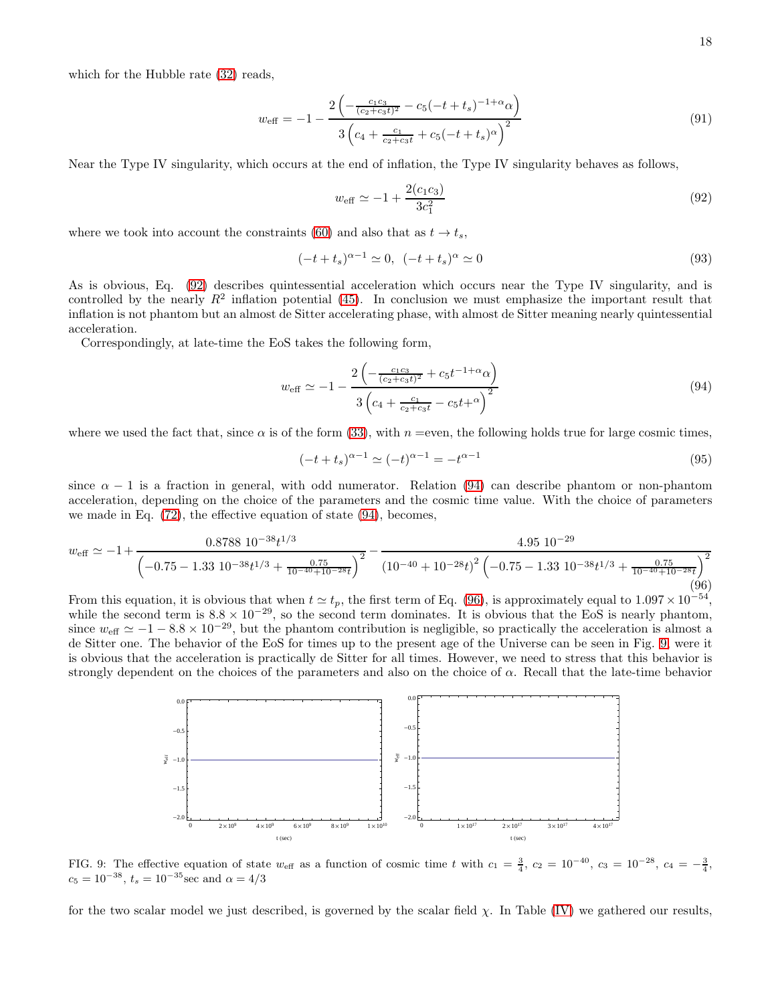which for the Hubble rate  $(32)$  reads,

$$
w_{\text{eff}} = -1 - \frac{2\left(-\frac{c_1c_3}{(c_2 + c_3t)^2} - c_5\left(-t + t_s\right)^{-1+\alpha}\alpha\right)}{3\left(c_4 + \frac{c_1}{c_2 + c_3t} + c_5\left(-t + t_s\right)^{\alpha}\right)^2}
$$
\n(91)

Near the Type IV singularity, which occurs at the end of inflation, the Type IV singularity behaves as follows,

<span id="page-17-0"></span>
$$
w_{\text{eff}} \simeq -1 + \frac{2(c_1 c_3)}{3c_1^2} \tag{92}
$$

where we took into account the constraints [\(60\)](#page-9-3) and also that as  $t \to t_s$ ,

$$
(-t + t_s)^{\alpha - 1} \simeq 0, \ \ (-t + t_s)^{\alpha} \simeq 0 \tag{93}
$$

As is obvious, Eq. [\(92\)](#page-17-0) describes quintessential acceleration which occurs near the Type IV singularity, and is controlled by the nearly  $R^2$  inflation potential [\(45\)](#page-7-0). In conclusion we must emphasize the important result that inflation is not phantom but an almost de Sitter accelerating phase, with almost de Sitter meaning nearly quintessential acceleration.

Correspondingly, at late-time the EoS takes the following form,

<span id="page-17-1"></span>
$$
w_{\text{eff}} \simeq -1 - \frac{2\left(-\frac{c_1c_3}{(c_2 + c_3t)^2} + c_5t^{-1+\alpha}\alpha\right)}{3\left(c_4 + \frac{c_1}{c_2 + c_3t} - c_5t^{+\alpha}\right)^2}
$$
(94)

where we used the fact that, since  $\alpha$  is of the form [\(33\)](#page-6-6), with  $n =$ even, the following holds true for large cosmic times,

$$
(-t + t_s)^{\alpha - 1} \simeq (-t)^{\alpha - 1} = -t^{\alpha - 1}
$$
\n(95)

since  $\alpha - 1$  is a fraction in general, with odd numerator. Relation [\(94\)](#page-17-1) can describe phantom or non-phantom acceleration, depending on the choice of the parameters and the cosmic time value. With the choice of parameters we made in Eq. [\(72\)](#page-10-1), the effective equation of state [\(94\)](#page-17-1), becomes,

<span id="page-17-2"></span>
$$
w_{\text{eff}} \simeq -1 + \frac{0.8788 \, 10^{-38} t^{1/3}}{\left(-0.75 - 1.33 \, 10^{-38} t^{1/3} + \frac{0.75}{10^{-40} + 10^{-28} t}\right)^2} - \frac{4.95 \, 10^{-29}}{\left(10^{-40} + 10^{-28} t\right)^2 \left(-0.75 - 1.33 \, 10^{-38} t^{1/3} + \frac{0.75}{10^{-40} + 10^{-28} t}\right)^2}
$$
\n
$$
(96)
$$

From this equation, it is obvious that when  $t \simeq t_p$ , the first term of Eq. [\(96\)](#page-17-2), is approximately equal to  $1.097 \times 10^{-54}$ , while the second term is  $8.8 \times 10^{-29}$ , so the second term dominates. It is obvious that the EoS is nearly phantom, since  $w_{\text{eff}} \simeq -1 - 8.8 \times 10^{-29}$ , but the phantom contribution is negligible, so practically the acceleration is almost a de Sitter one. The behavior of the EoS for times up to the present age of the Universe can be seen in Fig. [9,](#page-17-3) were it is obvious that the acceleration is practically de Sitter for all times. However, we need to stress that this behavior is strongly dependent on the choices of the parameters and also on the choice of  $\alpha$ . Recall that the late-time behavior



<span id="page-17-3"></span>FIG. 9: The effective equation of state  $w_{\text{eff}}$  as a function of cosmic time t with  $c_1 = \frac{3}{4}$ ,  $c_2 = 10^{-40}$ ,  $c_3 = 10^{-28}$ ,  $c_4 = -\frac{3}{4}$ ,  $c_5 = 10^{-38}, t_s = 10^{-35}$  sec and  $\alpha = 4/3$ 

for the two scalar model we just described, is governed by the scalar field  $\chi$ . In Table [\(IV\)](#page-18-0) we gathered our results,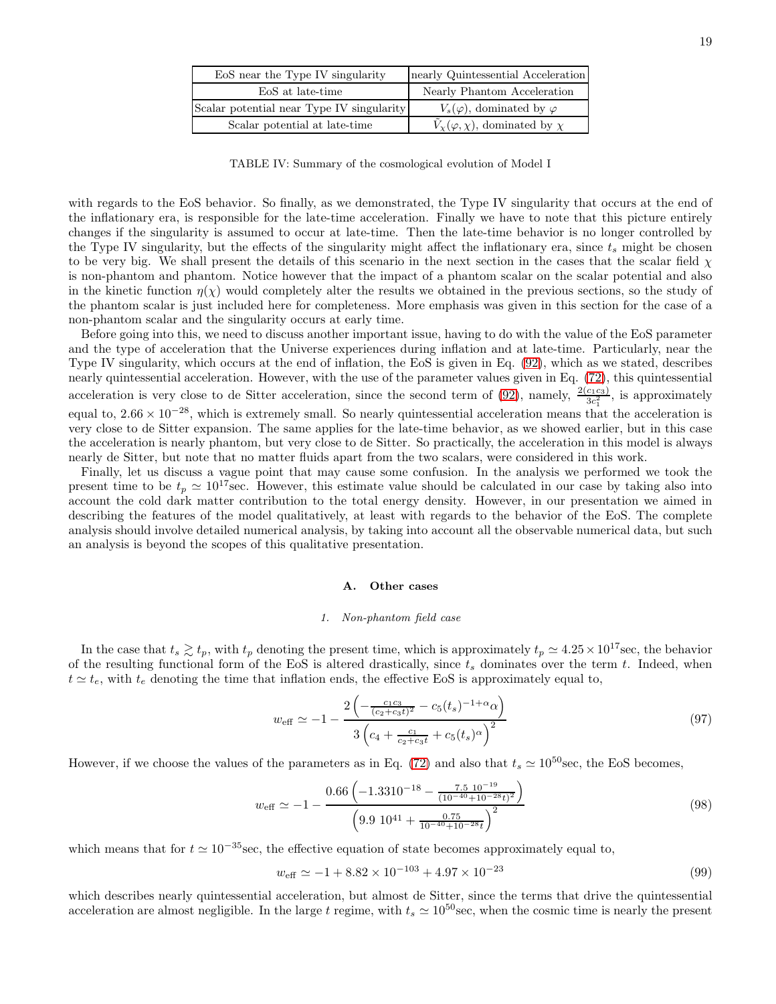| EoS near the Type IV singularity          | nearly Quintessential Acceleration             |  |  |  |
|-------------------------------------------|------------------------------------------------|--|--|--|
| EoS at late-time                          | Nearly Phantom Acceleration                    |  |  |  |
| Scalar potential near Type IV singularity | $V_s(\varphi)$ , dominated by $\varphi$        |  |  |  |
| Scalar potential at late-time             | $V_{\chi}(\varphi,\chi)$ , dominated by $\chi$ |  |  |  |

<span id="page-18-0"></span>TABLE IV: Summary of the cosmological evolution of Model I

with regards to the EoS behavior. So finally, as we demonstrated, the Type IV singularity that occurs at the end of the inflationary era, is responsible for the late-time acceleration. Finally we have to note that this picture entirely changes if the singularity is assumed to occur at late-time. Then the late-time behavior is no longer controlled by the Type IV singularity, but the effects of the singularity might affect the inflationary era, since  $t_s$  might be chosen to be very big. We shall present the details of this scenario in the next section in the cases that the scalar field  $\chi$ is non-phantom and phantom. Notice however that the impact of a phantom scalar on the scalar potential and also in the kinetic function  $\eta(\chi)$  would completely alter the results we obtained in the previous sections, so the study of the phantom scalar is just included here for completeness. More emphasis was given in this section for the case of a non-phantom scalar and the singularity occurs at early time.

Before going into this, we need to discuss another important issue, having to do with the value of the EoS parameter and the type of acceleration that the Universe experiences during inflation and at late-time. Particularly, near the Type IV singularity, which occurs at the end of inflation, the EoS is given in Eq. [\(92\)](#page-17-0), which as we stated, describes nearly quintessential acceleration. However, with the use of the parameter values given in Eq. [\(72\)](#page-10-1), this quintessential acceleration is very close to de Sitter acceleration, since the second term of [\(92\)](#page-17-0), namely,  $\frac{2(c_1c_3)}{3c_1^2}$ , is approximately equal to,  $2.66 \times 10^{-28}$ , which is extremely small. So nearly quintessential acceleration means that the acceleration is very close to de Sitter expansion. The same applies for the late-time behavior, as we showed earlier, but in this case the acceleration is nearly phantom, but very close to de Sitter. So practically, the acceleration in this model is always nearly de Sitter, but note that no matter fluids apart from the two scalars, were considered in this work.

Finally, let us discuss a vague point that may cause some confusion. In the analysis we performed we took the present time to be  $t_p \simeq 10^{17}$  sec. However, this estimate value should be calculated in our case by taking also into account the cold dark matter contribution to the total energy density. However, in our presentation we aimed in describing the features of the model qualitatively, at least with regards to the behavior of the EoS. The complete analysis should involve detailed numerical analysis, by taking into account all the observable numerical data, but such an analysis is beyond the scopes of this qualitative presentation.

# A. Other cases

#### *1. Non-phantom field case*

In the case that  $t_s \gtrsim t_p$ , with  $t_p$  denoting the present time, which is approximately  $t_p \simeq 4.25 \times 10^{17}$ sec, the behavior of the resulting functional form of the EoS is altered drastically, since  $t_s$  dominates over the term t. Indeed, when  $t \simeq t_e$ , with  $t_e$  denoting the time that inflation ends, the effective EoS is approximately equal to,

<span id="page-18-1"></span>
$$
w_{\text{eff}} \simeq -1 - \frac{2\left(-\frac{c_1c_3}{(c_2 + c_3t)^2} - c_5(t_s)^{-1+\alpha}\alpha\right)}{3\left(c_4 + \frac{c_1}{c_2 + c_3t} + c_5(t_s)^{\alpha}\right)^2}
$$
(97)

However, if we choose the values of the parameters as in Eq. [\(72\)](#page-10-1) and also that  $t_s \simeq 10^{50}$  sec, the EoS becomes,

$$
w_{\text{eff}} \simeq -1 - \frac{0.66 \left( -1.3310^{-18} - \frac{7.5 \, 10^{-19}}{(10^{-40} + 10^{-28} t)^2} \right)}{\left( 9.9 \, 10^{41} + \frac{0.75}{10^{-40} + 10^{-28} t} \right)^2}
$$
\n(98)

which means that for  $t \approx 10^{-35}$  sec, the effective equation of state becomes approximately equal to,

$$
w_{\text{eff}} \simeq -1 + 8.82 \times 10^{-103} + 4.97 \times 10^{-23} \tag{99}
$$

which describes nearly quintessential acceleration, but almost de Sitter, since the terms that drive the quintessential acceleration are almost negligible. In the large t regime, with  $t_s \simeq 10^{50}$  sec, when the cosmic time is nearly the present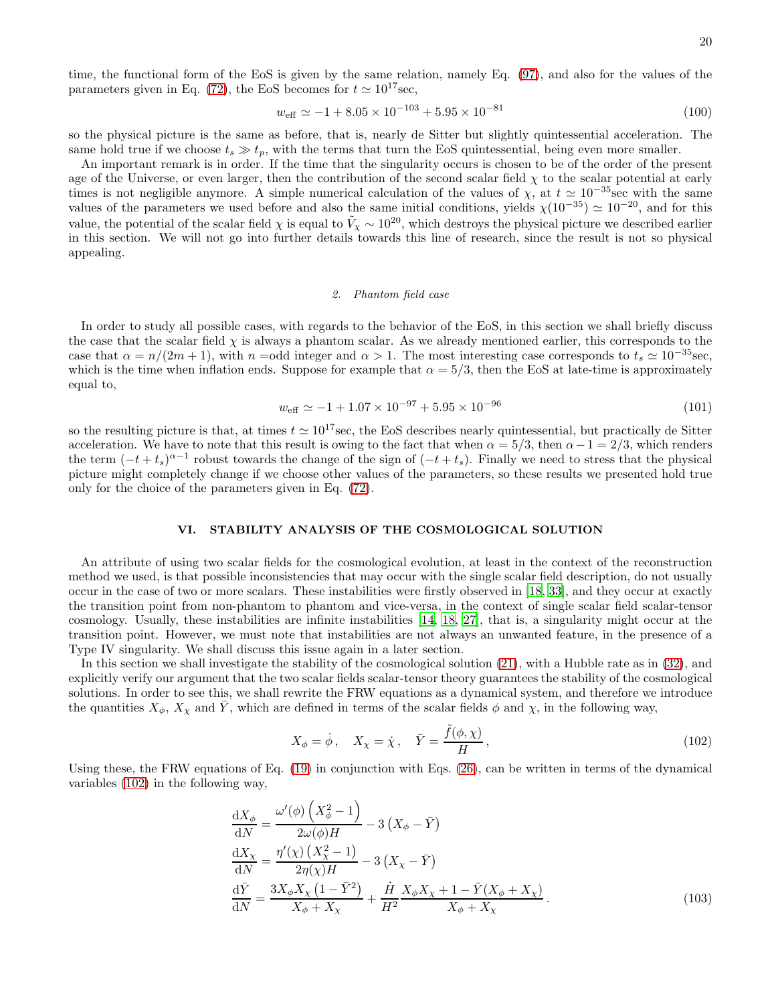time, the functional form of the EoS is given by the same relation, namely Eq. [\(97\)](#page-18-1), and also for the values of the parameters given in Eq. [\(72\)](#page-10-1), the EoS becomes for  $t \approx 10^{17}$  sec,

$$
w_{\text{eff}} \simeq -1 + 8.05 \times 10^{-103} + 5.95 \times 10^{-81} \tag{100}
$$

so the physical picture is the same as before, that is, nearly de Sitter but slightly quintessential acceleration. The same hold true if we choose  $t_s \gg t_p$ , with the terms that turn the EoS quintessential, being even more smaller.

An important remark is in order. If the time that the singularity occurs is chosen to be of the order of the present age of the Universe, or even larger, then the contribution of the second scalar field  $\chi$  to the scalar potential at early times is not negligible anymore. A simple numerical calculation of the values of  $\chi$ , at  $t \approx 10^{-35}$ sec with the same values of the parameters we used before and also the same initial conditions, yields  $\chi(10^{-35}) \simeq 10^{-20}$ , and for this value, the potential of the scalar field  $\chi$  is equal to  $\tilde{V}_{\chi} \sim 10^{20}$ , which destroys the physical picture we described earlier in this section. We will not go into further details towards this line of research, since the result is not so physical appealing.

#### *2. Phantom field case*

In order to study all possible cases, with regards to the behavior of the EoS, in this section we shall briefly discuss the case that the scalar field  $\chi$  is always a phantom scalar. As we already mentioned earlier, this corresponds to the case that  $\alpha = n/(2m+1)$ , with  $n =$ odd integer and  $\alpha > 1$ . The most interesting case corresponds to  $t_s \approx 10^{-35}$ sec, which is the time when inflation ends. Suppose for example that  $\alpha = 5/3$ , then the EoS at late-time is approximately equal to,

$$
w_{\text{eff}} \simeq -1 + 1.07 \times 10^{-97} + 5.95 \times 10^{-96} \tag{101}
$$

so the resulting picture is that, at times  $t \approx 10^{17}$  sec, the EoS describes nearly quintessential, but practically de Sitter acceleration. We have to note that this result is owing to the fact that when  $\alpha = 5/3$ , then  $\alpha - 1 = 2/3$ , which renders the term  $(-t + t_s)^{\alpha-1}$  robust towards the change of the sign of  $(-t + t_s)$ . Finally we need to stress that the physical picture might completely change if we choose other values of the parameters, so these results we presented hold true only for the choice of the parameters given in Eq. [\(72\)](#page-10-1).

## VI. STABILITY ANALYSIS OF THE COSMOLOGICAL SOLUTION

An attribute of using two scalar fields for the cosmological evolution, at least in the context of the reconstruction method we used, is that possible inconsistencies that may occur with the single scalar field description, do not usually occur in the case of two or more scalars. These instabilities were firstly observed in [\[18,](#page-32-11) [33](#page-33-11)], and they occur at exactly the transition point from non-phantom to phantom and vice-versa, in the context of single scalar field scalar-tensor cosmology. Usually, these instabilities are infinite instabilities [\[14,](#page-32-8) [18](#page-32-11), [27\]](#page-33-4), that is, a singularity might occur at the transition point. However, we must note that instabilities are not always an unwanted feature, in the presence of a Type IV singularity. We shall discuss this issue again in a later section.

In this section we shall investigate the stability of the cosmological solution [\(21\)](#page-4-3), with a Hubble rate as in [\(32\)](#page-6-1), and explicitly verify our argument that the two scalar fields scalar-tensor theory guarantees the stability of the cosmological solutions. In order to see this, we shall rewrite the FRW equations as a dynamical system, and therefore we introduce the quantities  $X_{\phi}$ ,  $X_{\chi}$  and  $\overline{Y}$ , which are defined in terms of the scalar fields  $\phi$  and  $\chi$ , in the following way,

<span id="page-19-1"></span><span id="page-19-0"></span>
$$
X_{\phi} = \dot{\phi}, \quad X_{\chi} = \dot{\chi}, \quad \bar{Y} = \frac{\tilde{f}(\phi, \chi)}{H}, \tag{102}
$$

Using these, the FRW equations of Eq.  $(19)$  in conjunction with Eqs.  $(26)$ , can be written in terms of the dynamical variables [\(102\)](#page-19-0) in the following way,

$$
\frac{\mathrm{d}X_{\phi}}{\mathrm{d}N} = \frac{\omega'(\phi)\left(X_{\phi}^{2}-1\right)}{2\omega(\phi)H} - 3\left(X_{\phi}-\bar{Y}\right)
$$
\n
$$
\frac{\mathrm{d}X_{\chi}}{\mathrm{d}N} = \frac{\eta'(\chi)\left(X_{\chi}^{2}-1\right)}{2\eta(\chi)H} - 3\left(X_{\chi}-\bar{Y}\right)
$$
\n
$$
\frac{\mathrm{d}\bar{Y}}{\mathrm{d}N} = \frac{3X_{\phi}X_{\chi}\left(1-\bar{Y}^{2}\right)}{X_{\phi}+X_{\chi}} + \frac{\dot{H}}{H^{2}}\frac{X_{\phi}X_{\chi}+1-\bar{Y}(X_{\phi}+X_{\chi})}{X_{\phi}+X_{\chi}}.
$$
\n(103)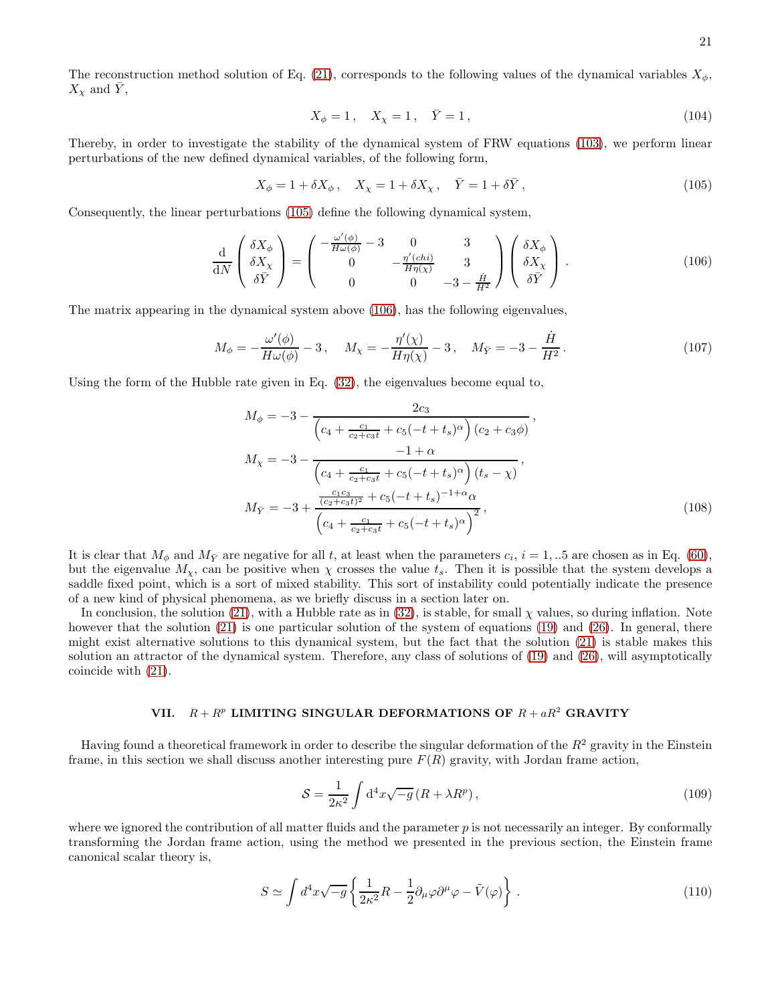The reconstruction method solution of Eq. [\(21\)](#page-4-3), corresponds to the following values of the dynamical variables  $X_{\phi}$ ,  $X_{\chi}$  and  $\overline{Y}_{\chi}$ 

$$
X_{\phi} = 1, \quad X_{\chi} = 1, \quad \bar{Y} = 1,
$$
\n(104)

Thereby, in order to investigate the stability of the dynamical system of FRW equations [\(103\)](#page-19-1), we perform linear perturbations of the new defined dynamical variables, of the following form,

<span id="page-20-0"></span>
$$
X_{\phi} = 1 + \delta X_{\phi} , \quad X_{\chi} = 1 + \delta X_{\chi} , \quad \bar{Y} = 1 + \delta \bar{Y} , \tag{105}
$$

Consequently, the linear perturbations [\(105\)](#page-20-0) define the following dynamical system,

<span id="page-20-1"></span>
$$
\frac{\mathrm{d}}{\mathrm{d}N} \begin{pmatrix} \delta X_{\phi} \\ \delta X_{\chi} \\ \delta \bar{Y} \end{pmatrix} = \begin{pmatrix} -\frac{\omega'(\phi)}{H\omega(\phi)} - 3 & 0 & 3 \\ 0 & -\frac{\eta'(chi)}{H\eta(\chi)} & 3 \\ 0 & 0 & -3 - \frac{\dot{H}}{H^2} \end{pmatrix} \begin{pmatrix} \delta X_{\phi} \\ \delta X_{\chi} \\ \delta \bar{Y} \end{pmatrix} . \tag{106}
$$

The matrix appearing in the dynamical system above [\(106\)](#page-20-1), has the following eigenvalues,

$$
M_{\phi} = -\frac{\omega'(\phi)}{H\omega(\phi)} - 3\,, \quad M_{\chi} = -\frac{\eta'(\chi)}{H\eta(\chi)} - 3\,, \quad M_{\bar{Y}} = -3 - \frac{\dot{H}}{H^2}\,. \tag{107}
$$

Using the form of the Hubble rate given in Eq. [\(32\)](#page-6-1), the eigenvalues become equal to,

$$
M_{\phi} = -3 - \frac{2c_3}{\left(c_4 + \frac{c_1}{c_2 + c_3 t} + c_5(-t + t_s)^{\alpha}\right)(c_2 + c_3 \phi)},
$$
  
\n
$$
M_{\chi} = -3 - \frac{-1 + \alpha}{\left(c_4 + \frac{c_1}{c_2 + c_3 t} + c_5(-t + t_s)^{\alpha}\right)(t_s - \chi)},
$$
  
\n
$$
M_{\bar{Y}} = -3 + \frac{\frac{c_1 c_3}{(c_2 + c_3 t)^2} + c_5(-t + t_s)^{-1 + \alpha} \alpha}{\left(c_4 + \frac{c_1}{c_2 + c_3 t} + c_5(-t + t_s)^{\alpha}\right)^2},
$$
\n(108)

It is clear that  $M_{\phi}$  and  $M_{\bar{Y}}$  are negative for all t, at least when the parameters  $c_i$ ,  $i = 1, ...5$  are chosen as in Eq. [\(60\)](#page-9-3), but the eigenvalue  $M_{\chi}$ , can be positive when  $\chi$  crosses the value  $t_s$ . Then it is possible that the system develops a saddle fixed point, which is a sort of mixed stability. This sort of instability could potentially indicate the presence of a new kind of physical phenomena, as we briefly discuss in a section later on.

In conclusion, the solution [\(21\)](#page-4-3), with a Hubble rate as in [\(32\)](#page-6-1), is stable, for small  $\chi$  values, so during inflation. Note however that the solution [\(21\)](#page-4-3) is one particular solution of the system of equations [\(19\)](#page-4-2) and [\(26\)](#page-5-4). In general, there might exist alternative solutions to this dynamical system, but the fact that the solution [\(21\)](#page-4-3) is stable makes this solution an attractor of the dynamical system. Therefore, any class of solutions of [\(19\)](#page-4-2) and [\(26\)](#page-5-4), will asymptotically coincide with [\(21\)](#page-4-3).

# VII.  $R + R^p$  LIMITING SINGULAR DEFORMATIONS OF  $R + aR^2$  GRAVITY

Having found a theoretical framework in order to describe the singular deformation of the  $R^2$  gravity in the Einstein frame, in this section we shall discuss another interesting pure  $F(R)$  gravity, with Jordan frame action,

$$
S = \frac{1}{2\kappa^2} \int d^4x \sqrt{-g} \left( R + \lambda R^p \right),\tag{109}
$$

where we ignored the contribution of all matter fluids and the parameter  $p$  is not necessarily an integer. By conformally transforming the Jordan frame action, using the method we presented in the previous section, the Einstein frame canonical scalar theory is,

$$
S \simeq \int d^4x \sqrt{-g} \left\{ \frac{1}{2\kappa^2} R - \frac{1}{2} \partial_\mu \varphi \partial^\mu \varphi - \tilde{V}(\varphi) \right\} . \tag{110}
$$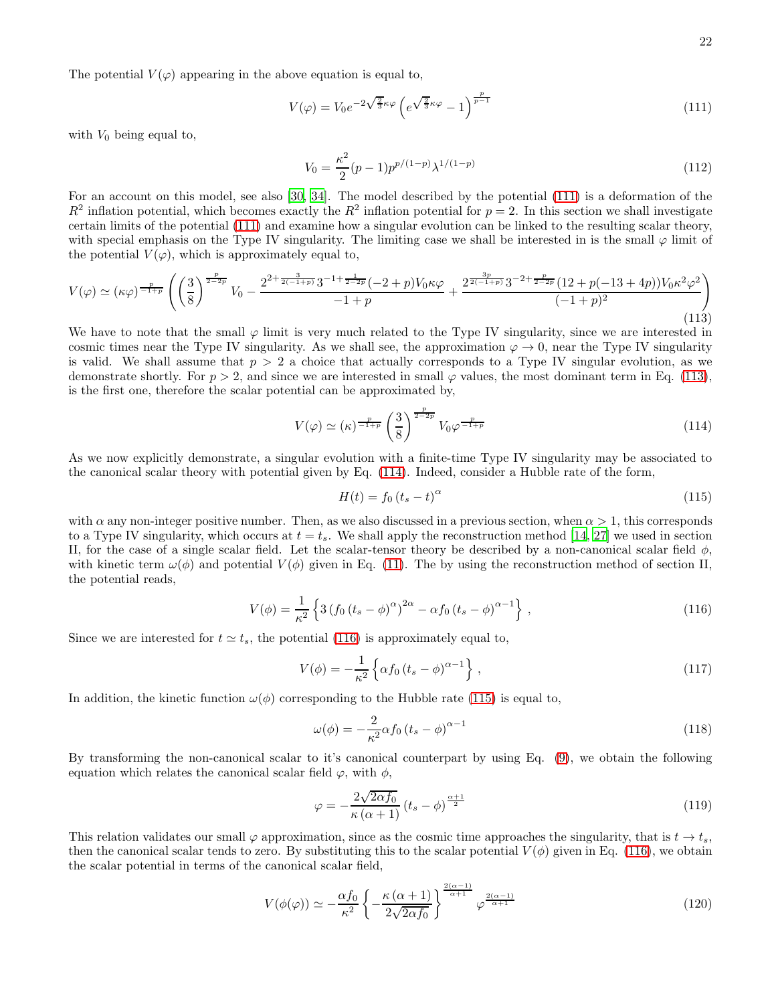The potential  $V(\varphi)$  appearing in the above equation is equal to,

<span id="page-21-0"></span>
$$
V(\varphi) = V_0 e^{-2\sqrt{\frac{2}{3}}\kappa\varphi} \left( e^{\sqrt{\frac{2}{3}}\kappa\varphi} - 1 \right)^{\frac{p}{p-1}}
$$
\n(111)

with  $V_0$  being equal to,

$$
V_0 = \frac{\kappa^2}{2} (p-1) p^{p/(1-p)} \lambda^{1/(1-p)} \tag{112}
$$

For an account on this model, see also [\[30,](#page-33-7) [34\]](#page-33-12). The model described by the potential [\(111\)](#page-21-0) is a deformation of the  $R^2$  inflation potential, which becomes exactly the  $R^2$  inflation potential for  $p=2$ . In this section we shall investigate certain limits of the potential [\(111\)](#page-21-0) and examine how a singular evolution can be linked to the resulting scalar theory, with special emphasis on the Type IV singularity. The limiting case we shall be interested in is the small  $\varphi$  limit of the potential  $V(\varphi)$ , which is approximately equal to,

<span id="page-21-1"></span>
$$
V(\varphi) \simeq (\kappa \varphi)^{-\frac{p}{1+p}} \left( \left(\frac{3}{8}\right)^{\frac{p}{2-2p}} V_0 - \frac{2^{2+\frac{3}{2(-1+p)}} 3^{-1+\frac{1}{2-2p}} (-2+p)V_0 \kappa \varphi}{-1+p} + \frac{2^{\frac{3p}{2(-1+p)}} 3^{-2+\frac{p}{2-2p}} (12+p(-13+4p)) V_0 \kappa^2 \varphi^2}{(-1+p)^2} \right)
$$
\n(113)

We have to note that the small  $\varphi$  limit is very much related to the Type IV singularity, since we are interested in cosmic times near the Type IV singularity. As we shall see, the approximation  $\varphi \to 0$ , near the Type IV singularity is valid. We shall assume that  $p > 2$  a choice that actually corresponds to a Type IV singular evolution, as we demonstrate shortly. For  $p > 2$ , and since we are interested in small  $\varphi$  values, the most dominant term in Eq. [\(113\)](#page-21-1), is the first one, therefore the scalar potential can be approximated by,

<span id="page-21-2"></span>
$$
V(\varphi) \simeq (\kappa)^{\frac{p}{-1+p}} \left(\frac{3}{8}\right)^{\frac{p}{2-2p}} V_0 \varphi^{\frac{p}{-1+p}}
$$
\n(114)

As we now explicitly demonstrate, a singular evolution with a finite-time Type IV singularity may be associated to the canonical scalar theory with potential given by Eq. [\(114\)](#page-21-2). Indeed, consider a Hubble rate of the form,

<span id="page-21-4"></span>
$$
H(t) = f_0 \left( t_s - t \right)^\alpha \tag{115}
$$

with  $\alpha$  any non-integer positive number. Then, as we also discussed in a previous section, when  $\alpha > 1$ , this corresponds to a Type IV singularity, which occurs at  $t = t_s$ . We shall apply the reconstruction method [\[14,](#page-32-8) [27\]](#page-33-4) we used in section II, for the case of a single scalar field. Let the scalar-tensor theory be described by a non-canonical scalar field  $\phi$ , with kinetic term  $\omega(\phi)$  and potential  $V(\phi)$  given in Eq. [\(11\)](#page-3-4). The by using the reconstruction method of section II, the potential reads,

<span id="page-21-3"></span>
$$
V(\phi) = \frac{1}{\kappa^2} \left\{ 3 \left( f_0 \left( t_s - \phi \right)^{\alpha} \right)^{2\alpha} - \alpha f_0 \left( t_s - \phi \right)^{\alpha - 1} \right\},\tag{116}
$$

Since we are interested for  $t \approx t_s$ , the potential [\(116\)](#page-21-3) is approximately equal to,

$$
V(\phi) = -\frac{1}{\kappa^2} \left\{ \alpha f_0 \left( t_s - \phi \right)^{\alpha - 1} \right\},\tag{117}
$$

In addition, the kinetic function  $\omega(\phi)$  corresponding to the Hubble rate [\(115\)](#page-21-4) is equal to,

$$
\omega(\phi) = -\frac{2}{\kappa^2} \alpha f_0 \left( t_s - \phi \right)^{\alpha - 1} \tag{118}
$$

By transforming the non-canonical scalar to it's canonical counterpart by using Eq. [\(9\)](#page-3-3), we obtain the following equation which relates the canonical scalar field  $\varphi$ , with  $\phi$ ,

$$
\varphi = -\frac{2\sqrt{2\alpha f_0}}{\kappa \left(\alpha + 1\right)} \left(t_s - \phi\right)^{\frac{\alpha + 1}{2}} \tag{119}
$$

This relation validates our small  $\varphi$  approximation, since as the cosmic time approaches the singularity, that is  $t \to t_s$ , then the canonical scalar tends to zero. By substituting this to the scalar potential  $V(\phi)$  given in Eq. [\(116\)](#page-21-3), we obtain the scalar potential in terms of the canonical scalar field,

<span id="page-21-5"></span>
$$
V(\phi(\varphi)) \simeq -\frac{\alpha f_0}{\kappa^2} \left\{ -\frac{\kappa (\alpha+1)}{2\sqrt{2\alpha f_0}} \right\}^{\frac{2(\alpha-1)}{\alpha+1}} \varphi^{\frac{2(\alpha-1)}{\alpha+1}} \tag{120}
$$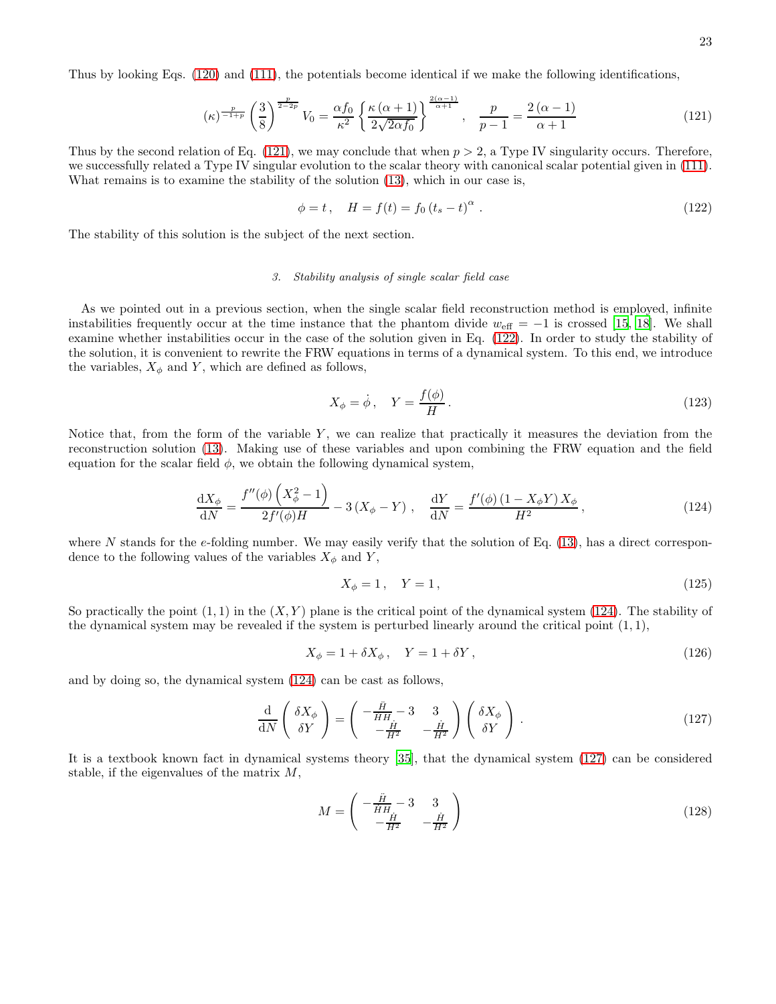Thus by looking Eqs. [\(120\)](#page-21-5) and [\(111\)](#page-21-0), the potentials become identical if we make the following identifications,

<span id="page-22-0"></span>
$$
(\kappa)^{\frac{p}{-1+p}}\left(\frac{3}{8}\right)^{\frac{p}{2-2p}}V_0 = \frac{\alpha f_0}{\kappa^2} \left\{ \frac{\kappa(\alpha+1)}{2\sqrt{2\alpha f_0}} \right\}^{\frac{2(\alpha-1)}{\alpha+1}}, \quad \frac{p}{p-1} = \frac{2(\alpha-1)}{\alpha+1} \tag{121}
$$

Thus by the second relation of Eq.  $(121)$ , we may conclude that when  $p > 2$ , a Type IV singularity occurs. Therefore, we successfully related a Type IV singular evolution to the scalar theory with canonical scalar potential given in [\(111\)](#page-21-0). What remains is to examine the stability of the solution [\(13\)](#page-3-5), which in our case is,

<span id="page-22-1"></span>
$$
\phi = t, \quad H = f(t) = f_0 (t_s - t)^{\alpha} . \tag{122}
$$

The stability of this solution is the subject of the next section.

#### *3. Stability analysis of single scalar field case*

As we pointed out in a previous section, when the single scalar field reconstruction method is employed, infinite instabilities frequently occur at the time instance that the phantom divide  $w_{\text{eff}} = -1$  is crossed [\[15,](#page-32-9) [18\]](#page-32-11). We shall examine whether instabilities occur in the case of the solution given in Eq. [\(122\)](#page-22-1). In order to study the stability of the solution, it is convenient to rewrite the FRW equations in terms of a dynamical system. To this end, we introduce the variables,  $X_{\phi}$  and Y, which are defined as follows,

$$
X_{\phi} = \dot{\phi}, \quad Y = \frac{f(\phi)}{H}.
$$
\n(123)

Notice that, from the form of the variable  $Y$ , we can realize that practically it measures the deviation from the reconstruction solution [\(13\)](#page-3-5). Making use of these variables and upon combining the FRW equation and the field equation for the scalar field  $\phi$ , we obtain the following dynamical system,

<span id="page-22-2"></span>
$$
\frac{dX_{\phi}}{dN} = \frac{f''(\phi)\left(X_{\phi}^2 - 1\right)}{2f'(\phi)H} - 3\left(X_{\phi} - Y\right), \quad \frac{dY}{dN} = \frac{f'(\phi)\left(1 - X_{\phi}Y\right)X_{\phi}}{H^2},\tag{124}
$$

where N stands for the e-folding number. We may easily verify that the solution of Eq.  $(13)$ , has a direct correspondence to the following values of the variables  $X_{\phi}$  and Y,

$$
X_{\phi} = 1, \quad Y = 1,
$$
\n(125)

So practically the point  $(1, 1)$  in the  $(X, Y)$  plane is the critical point of the dynamical system  $(124)$ . The stability of the dynamical system may be revealed if the system is perturbed linearly around the critical point  $(1, 1)$ ,

$$
X_{\phi} = 1 + \delta X_{\phi}, \quad Y = 1 + \delta Y, \tag{126}
$$

and by doing so, the dynamical system [\(124\)](#page-22-2) can be cast as follows,

<span id="page-22-3"></span>
$$
\frac{\mathrm{d}}{\mathrm{d}N} \left( \begin{array}{c} \delta X_{\phi} \\ \delta Y \end{array} \right) = \left( \begin{array}{cc} -\frac{\ddot{H}}{HH} - 3 & 3 \\ -\frac{\dot{H}}{H^2} & -\frac{\dot{H}}{H^2} \end{array} \right) \left( \begin{array}{c} \delta X_{\phi} \\ \delta Y \end{array} \right) \,. \tag{127}
$$

It is a textbook known fact in dynamical systems theory [\[35](#page-33-13)], that the dynamical system [\(127\)](#page-22-3) can be considered stable, if the eigenvalues of the matrix  $M$ ,

$$
M = \begin{pmatrix} -\frac{\ddot{H}}{\dot{H}H} - 3 & 3\\ -\frac{\dot{H}}{H^2} & -\frac{\dot{H}}{H^2} \end{pmatrix}
$$
(128)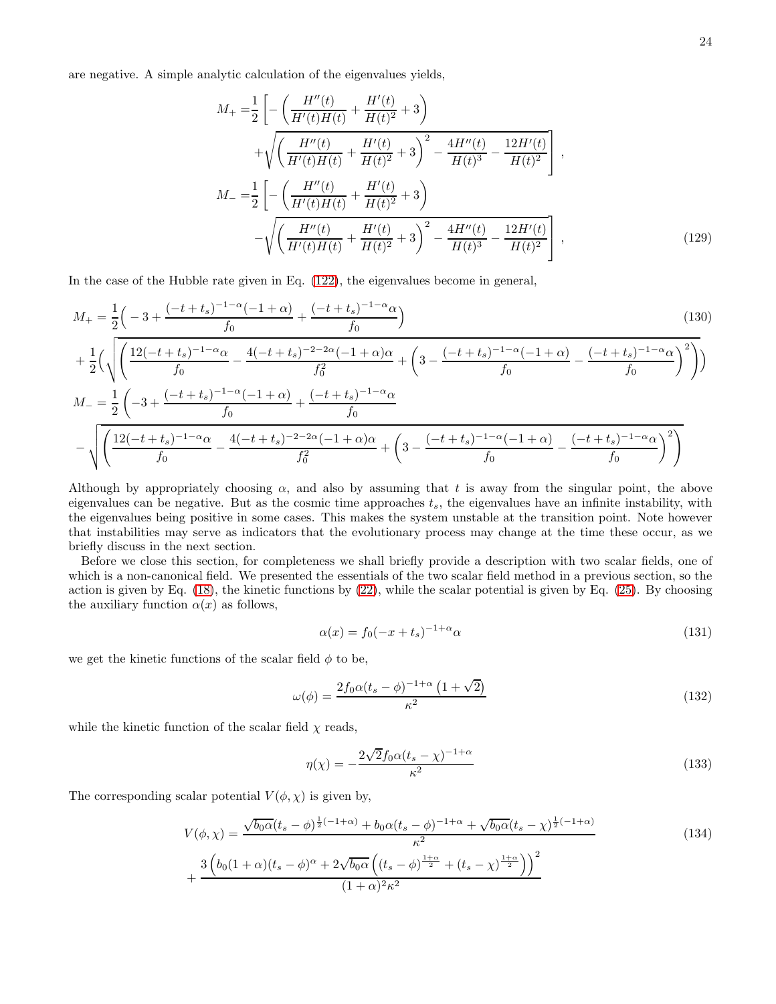are negative. A simple analytic calculation of the eigenvalues yields,

$$
M_{+} = \frac{1}{2} \left[ -\left( \frac{H''(t)}{H'(t)H(t)} + \frac{H'(t)}{H(t)^{2}} + 3 \right) + \sqrt{\left( \frac{H''(t)}{H'(t)H(t)} + \frac{H'(t)}{H(t)^{2}} + 3 \right)^{2} - \frac{4H''(t)}{H(t)^{3}} - \frac{12H'(t)}{H(t)^{2}}} \right],
$$
  

$$
M_{-} = \frac{1}{2} \left[ -\left( \frac{H''(t)}{H'(t)H(t)} + \frac{H'(t)}{H(t)^{2}} + 3 \right) - \sqrt{\left( \frac{H''(t)}{H'(t)H(t)} + \frac{H'(t)}{H(t)^{2}} + 3 \right)^{2} - \frac{4H''(t)}{H(t)^{3}} - \frac{12H'(t)}{H(t)^{2}}} \right],
$$
(129)

In the case of the Hubble rate given in Eq. [\(122\)](#page-22-1), the eigenvalues become in general,

$$
M_{+} = \frac{1}{2} \left( -3 + \frac{(-t + t_{s})^{-1-\alpha}(-1 + \alpha)}{f_{0}} + \frac{(-t + t_{s})^{-1-\alpha}\alpha}{f_{0}} \right)
$$
\n
$$
+ \frac{1}{2} \left( \sqrt{\left( \frac{12(-t + t_{s})^{-1-\alpha}\alpha}{f_{0}} - \frac{4(-t + t_{s})^{-2-2\alpha}(-1 + \alpha)\alpha}{f_{0}^{2}} + \left( 3 - \frac{(-t + t_{s})^{-1-\alpha}(-1 + \alpha)}{f_{0}} - \frac{(-t + t_{s})^{-1-\alpha}\alpha}{f_{0}} \right)^{2}}{f_{0}} \right)} \right)
$$
\n
$$
M_{-} = \frac{1}{2} \left( -3 + \frac{(-t + t_{s})^{-1-\alpha}(-1 + \alpha)}{f_{0}} + \frac{(-t + t_{s})^{-1-\alpha}\alpha}{f_{0}}
$$
\n
$$
- \sqrt{\left( \frac{12(-t + t_{s})^{-1-\alpha}\alpha}{f_{0}} - \frac{4(-t + t_{s})^{-2-2\alpha}(-1 + \alpha)\alpha}{f_{0}^{2}} + \left( 3 - \frac{(-t + t_{s})^{-1-\alpha}(-1 + \alpha)}{f_{0}} - \frac{(-t + t_{s})^{-1-\alpha}\alpha}{f_{0}} \right)^{2} \right)}
$$
\n(130)

Although by appropriately choosing  $\alpha$ , and also by assuming that t is away from the singular point, the above eigenvalues can be negative. But as the cosmic time approaches  $t<sub>s</sub>$ , the eigenvalues have an infinite instability, with the eigenvalues being positive in some cases. This makes the system unstable at the transition point. Note however that instabilities may serve as indicators that the evolutionary process may change at the time these occur, as we briefly discuss in the next section.

Before we close this section, for completeness we shall briefly provide a description with two scalar fields, one of which is a non-canonical field. We presented the essentials of the two scalar field method in a previous section, so the action is given by Eq. [\(18\)](#page-4-1), the kinetic functions by [\(22\)](#page-5-1), while the scalar potential is given by Eq. [\(25\)](#page-5-5). By choosing the auxiliary function  $\alpha(x)$  as follows,

$$
\alpha(x) = f_0(-x + t_s)^{-1+\alpha}\alpha\tag{131}
$$

we get the kinetic functions of the scalar field  $\phi$  to be,

$$
\omega(\phi) = \frac{2f_0 \alpha (t_s - \phi)^{-1 + \alpha} \left(1 + \sqrt{2}\right)}{\kappa^2} \tag{132}
$$

while the kinetic function of the scalar field  $\chi$  reads,

$$
\eta(\chi) = -\frac{2\sqrt{2}f_0\alpha(t_s - \chi)^{-1+\alpha}}{\kappa^2} \tag{133}
$$

The corresponding scalar potential  $V(\phi, \chi)$  is given by,

$$
V(\phi, \chi) = \frac{\sqrt{b_0 \alpha} (t_s - \phi)^{\frac{1}{2}(-1+\alpha)} + b_0 \alpha (t_s - \phi)^{-1+\alpha} + \sqrt{b_0 \alpha} (t_s - \chi)^{\frac{1}{2}(-1+\alpha)}}{\kappa^2} + \frac{3 \left(b_0(1+\alpha)(t_s - \phi)^{\alpha} + 2\sqrt{b_0 \alpha} \left((t_s - \phi)^{\frac{1+\alpha}{2}} + (t_s - \chi)^{\frac{1+\alpha}{2}}\right)\right)^2}{(1+\alpha)^2 \kappa^2}
$$
(134)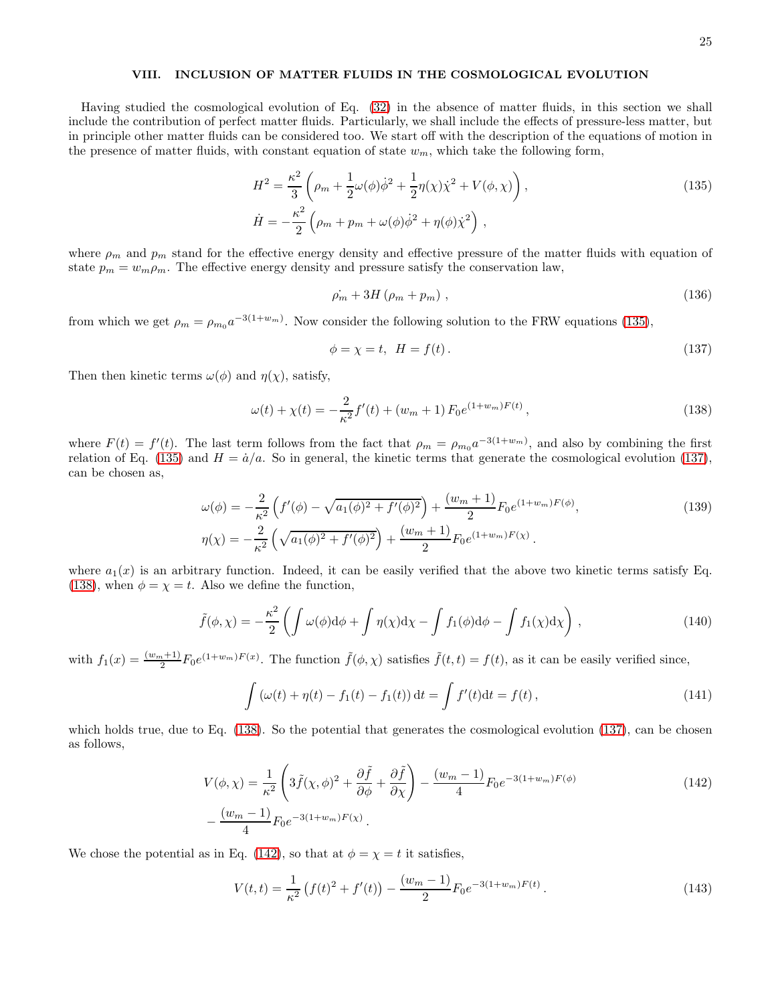# VIII. INCLUSION OF MATTER FLUIDS IN THE COSMOLOGICAL EVOLUTION

Having studied the cosmological evolution of Eq. [\(32\)](#page-6-1) in the absence of matter fluids, in this section we shall include the contribution of perfect matter fluids. Particularly, we shall include the effects of pressure-less matter, but in principle other matter fluids can be considered too. We start off with the description of the equations of motion in the presence of matter fluids, with constant equation of state  $w_m$ , which take the following form,

$$
H^{2} = \frac{\kappa^{2}}{3} \left( \rho_{m} + \frac{1}{2} \omega(\phi) \dot{\phi}^{2} + \frac{1}{2} \eta(\chi) \dot{\chi}^{2} + V(\phi, \chi) \right),
$$
  
\n
$$
\dot{H} = -\frac{\kappa^{2}}{2} \left( \rho_{m} + p_{m} + \omega(\phi) \dot{\phi}^{2} + \eta(\phi) \dot{\chi}^{2} \right),
$$
\n(135)

where  $\rho_m$  and  $p_m$  stand for the effective energy density and effective pressure of the matter fluids with equation of state  $p_m = w_m \rho_m$ . The effective energy density and pressure satisfy the conservation law,

<span id="page-24-0"></span>
$$
\dot{\rho_m} + 3H\left(\rho_m + p_m\right),\tag{136}
$$

from which we get  $\rho_m = \rho_{m_0} a^{-3(1+w_m)}$ . Now consider the following solution to the FRW equations [\(135\)](#page-24-0),

<span id="page-24-4"></span><span id="page-24-1"></span>
$$
\phi = \chi = t, \quad H = f(t). \tag{137}
$$

Then then kinetic terms  $\omega(\phi)$  and  $\eta(\chi)$ , satisfy,

<span id="page-24-2"></span>
$$
\omega(t) + \chi(t) = -\frac{2}{\kappa^2} f'(t) + (w_m + 1) F_0 e^{(1+w_m)F(t)}, \qquad (138)
$$

where  $F(t) = f'(t)$ . The last term follows from the fact that  $\rho_m = \rho_{m_0} a^{-3(1+w_m)}$ , and also by combining the first relation of Eq. [\(135\)](#page-24-0) and  $H = \dot{a}/a$ . So in general, the kinetic terms that generate the cosmological evolution [\(137\)](#page-24-1), can be chosen as,

$$
\omega(\phi) = -\frac{2}{\kappa^2} \left( f'(\phi) - \sqrt{a_1(\phi)^2 + f'(\phi)^2} \right) + \frac{(w_m + 1)}{2} F_0 e^{(1+w_m)F(\phi)},
$$
  
\n
$$
\eta(\chi) = -\frac{2}{\kappa^2} \left( \sqrt{a_1(\phi)^2 + f'(\phi)^2} \right) + \frac{(w_m + 1)}{2} F_0 e^{(1+w_m)F(\chi)}.
$$
\n(139)

where  $a_1(x)$  is an arbitrary function. Indeed, it can be easily verified that the above two kinetic terms satisfy Eq. [\(138\)](#page-24-2), when  $\phi = \chi = t$ . Also we define the function,

$$
\tilde{f}(\phi,\chi) = -\frac{\kappa^2}{2} \left( \int \omega(\phi) d\phi + \int \eta(\chi) d\chi - \int f_1(\phi) d\phi - \int f_1(\chi) d\chi \right),\tag{140}
$$

with  $f_1(x) = \frac{(w_m+1)}{2} F_0 e^{(1+w_m)F(x)}$ . The function  $\tilde{f}(\phi, \chi)$  satisfies  $\tilde{f}(t,t) = f(t)$ , as it can be easily verified since,

<span id="page-24-3"></span>
$$
\int (\omega(t) + \eta(t) - f_1(t) - f_1(t)) dt = \int f'(t) dt = f(t),
$$
\n(141)

which holds true, due to Eq. [\(138\)](#page-24-2). So the potential that generates the cosmological evolution [\(137\)](#page-24-1), can be chosen as follows,

$$
V(\phi, \chi) = \frac{1}{\kappa^2} \left( 3\tilde{f}(\chi, \phi)^2 + \frac{\partial \tilde{f}}{\partial \phi} + \frac{\partial \tilde{f}}{\partial \chi} \right) - \frac{(w_m - 1)}{4} F_0 e^{-3(1 + w_m)F(\phi)} - \frac{(w_m - 1)}{4} F_0 e^{-3(1 + w_m)F(\chi)}.
$$
\n(142)

We chose the potential as in Eq. [\(142\)](#page-24-3), so that at  $\phi = \chi = t$  it satisfies,

$$
V(t,t) = \frac{1}{\kappa^2} \left( f(t)^2 + f'(t) \right) - \frac{(w_m - 1)}{2} F_0 e^{-3(1+w_m)F(t)}.
$$
 (143)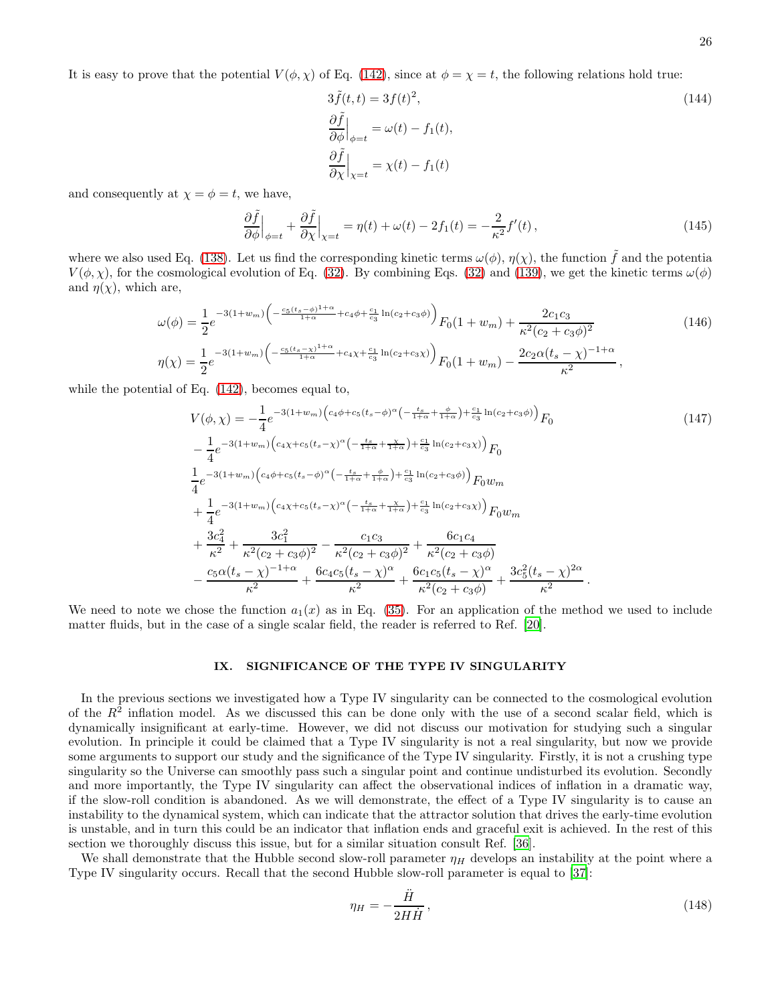It is easy to prove that the potential  $V(\phi, \chi)$  of Eq. [\(142\)](#page-24-3), since at  $\phi = \chi = t$ , the following relations hold true:

$$
3\tilde{f}(t,t) = 3f(t)^{2},
$$
  
\n
$$
\frac{\partial \tilde{f}}{\partial \phi}\Big|_{\phi=t} = \omega(t) - f_{1}(t),
$$
  
\n
$$
\frac{\partial \tilde{f}}{\partial \chi}\Big|_{\chi=t} = \chi(t) - f_{1}(t)
$$
\n(144)

and consequently at  $\chi = \phi = t$ , we have,

$$
\frac{\partial \tilde{f}}{\partial \phi}\Big|_{\phi=t} + \frac{\partial \tilde{f}}{\partial \chi}\Big|_{\chi=t} = \eta(t) + \omega(t) - 2f_1(t) = -\frac{2}{\kappa^2}f'(t) \,,\tag{145}
$$

where we also used Eq. [\(138\)](#page-24-2). Let us find the corresponding kinetic terms  $\omega(\phi)$ ,  $\eta(\chi)$ , the function  $\tilde{f}$  and the potentia  $V(\phi, \chi)$ , for the cosmological evolution of Eq. [\(32\)](#page-6-1). By combining Eqs. (32) and [\(139\)](#page-24-4), we get the kinetic terms  $\omega(\phi)$ and  $\eta(\chi)$ , which are,

$$
\omega(\phi) = \frac{1}{2} e^{-3(1+w_m) \left(-\frac{c_5 (t_s - \phi)^{1+\alpha}}{1+\alpha} + c_4 \phi + \frac{c_1}{c_3} \ln(c_2 + c_3 \phi)\right)} F_0(1+w_m) + \frac{2c_1 c_3}{\kappa^2 (c_2 + c_3 \phi)^2}
$$
\n
$$
\eta(\chi) = \frac{1}{2} e^{-3(1+w_m) \left(-\frac{c_5 (t_s - \chi)^{1+\alpha}}{1+\alpha} + c_4 \chi + \frac{c_1}{c_3} \ln(c_2 + c_3 \chi)\right)} F_0(1+w_m) - \frac{2c_2 \alpha (t_s - \chi)^{-1+\alpha}}{\kappa^2},
$$
\n
$$
(146)
$$

while the potential of Eq. [\(142\)](#page-24-3), becomes equal to,

$$
V(\phi, \chi) = -\frac{1}{4} e^{-3(1+w_m) \left(c_4 \phi + c_5 (t_s - \phi)^{\alpha} \left(-\frac{t_s}{1+\alpha} + \frac{\phi}{1+\alpha}\right) + \frac{c_1}{c_3} \ln(c_2 + c_3 \phi)\right)} F_0
$$
\n
$$
- \frac{1}{4} e^{-3(1+w_m) \left(c_4 \chi + c_5 (t_s - \chi)^{\alpha} \left(-\frac{t_s}{1+\alpha} + \frac{\chi}{1+\alpha}\right) + \frac{c_1}{c_3} \ln(c_2 + c_3 \chi)\right)} F_0
$$
\n
$$
+ \frac{1}{4} e^{-3(1+w_m) \left(c_4 \phi + c_5 (t_s - \phi)^{\alpha} \left(-\frac{t_s}{1+\alpha} + \frac{\phi}{1+\alpha}\right) + \frac{c_1}{c_3} \ln(c_2 + c_3 \phi)\right)} F_0 w_m
$$
\n
$$
+ \frac{1}{4} e^{-3(1+w_m) \left(c_4 \chi + c_5 (t_s - \chi)^{\alpha} \left(-\frac{t_s}{1+\alpha} + \frac{\chi}{1+\alpha}\right) + \frac{c_1}{c_3} \ln(c_2 + c_3 \phi)\right)} F_0 w_m
$$
\n
$$
+ \frac{3c_4^2}{\kappa^2} + \frac{3c_1^2}{\kappa^2 (c_2 + c_3 \phi)^2} - \frac{c_1 c_3}{\kappa^2 (c_2 + c_3 \phi)^2} + \frac{6c_1 c_4}{\kappa^2 (c_2 + c_3 \phi)}
$$
\n
$$
- \frac{c_5 \alpha (t_s - \chi)^{-1+\alpha}}{\kappa^2} + \frac{6c_4 c_5 (t_s - \chi)^{\alpha}}{\kappa^2} + \frac{6c_1 c_5 (t_s - \chi)^{\alpha}}{\kappa^2 (c_2 + c_3 \phi)} + \frac{3c_5^2 (t_s - \chi)^{2\alpha}}{\kappa^2}.
$$
\n(147)

We need to note we chose the function  $a_1(x)$  as in Eq. [\(35\)](#page-6-2). For an application of the method we used to include matter fluids, but in the case of a single scalar field, the reader is referred to Ref. [\[20\]](#page-32-14).

# IX. SIGNIFICANCE OF THE TYPE IV SINGULARITY

In the previous sections we investigated how a Type IV singularity can be connected to the cosmological evolution of the  $R^2$  inflation model. As we discussed this can be done only with the use of a second scalar field, which is dynamically insignificant at early-time. However, we did not discuss our motivation for studying such a singular evolution. In principle it could be claimed that a Type IV singularity is not a real singularity, but now we provide some arguments to support our study and the significance of the Type IV singularity. Firstly, it is not a crushing type singularity so the Universe can smoothly pass such a singular point and continue undisturbed its evolution. Secondly and more importantly, the Type IV singularity can affect the observational indices of inflation in a dramatic way, if the slow-roll condition is abandoned. As we will demonstrate, the effect of a Type IV singularity is to cause an instability to the dynamical system, which can indicate that the attractor solution that drives the early-time evolution is unstable, and in turn this could be an indicator that inflation ends and graceful exit is achieved. In the rest of this section we thoroughly discuss this issue, but for a similar situation consult Ref. [\[36](#page-33-14)].

We shall demonstrate that the Hubble second slow-roll parameter  $\eta_H$  develops an instability at the point where a Type IV singularity occurs. Recall that the second Hubble slow-roll parameter is equal to [\[37](#page-33-10)]:

<span id="page-25-0"></span>
$$
\eta_H = -\frac{\ddot{H}}{2H\dot{H}},\qquad(148)
$$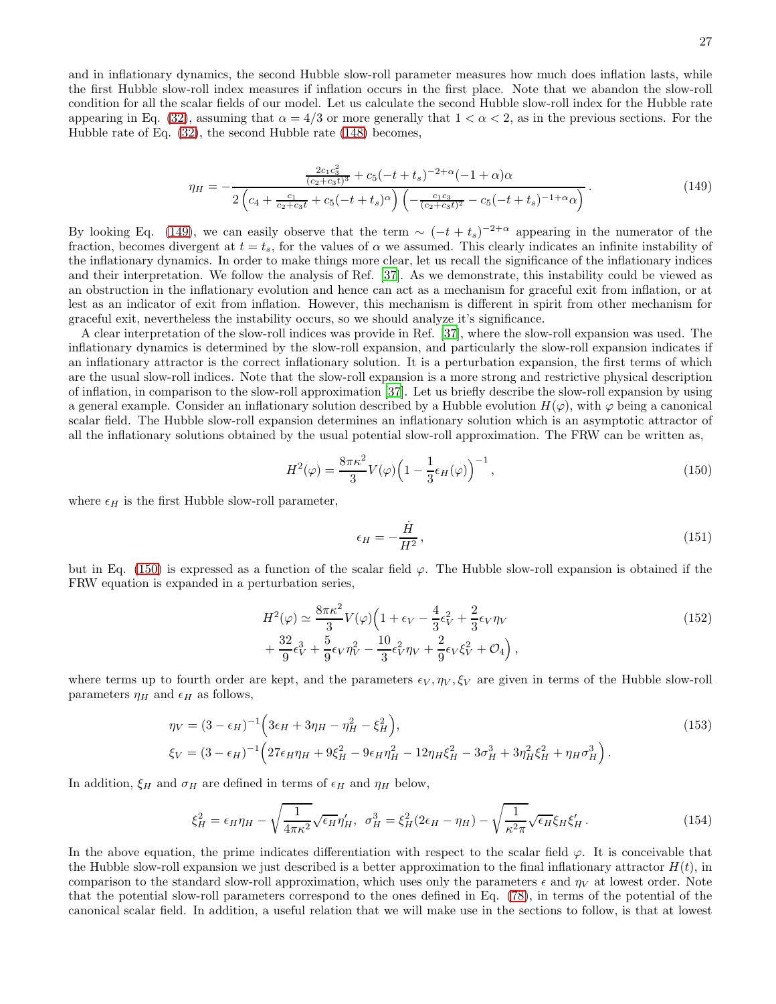and in inflationary dynamics, the second Hubble slow-roll parameter measures how much does inflation lasts, while the first Hubble slow-roll index measures if inflation occurs in the first place. Note that we abandon the slow-roll condition for all the scalar fields of our model. Let us calculate the second Hubble slow-roll index for the Hubble rate appearing in Eq. [\(32\)](#page-6-1), assuming that  $\alpha = 4/3$  or more generally that  $1 < \alpha < 2$ , as in the previous sections. For the Hubble rate of Eq. [\(32\)](#page-6-1), the second Hubble rate [\(148\)](#page-25-0) becomes,

<span id="page-26-0"></span>
$$
\eta_H = -\frac{\frac{2c_1c_3^2}{(c_2+c_3t)^3} + c_5(-t+t_s)^{-2+\alpha}(-1+\alpha)\alpha}{2\left(c_4 + \frac{c_1}{c_2+c_3t} + c_5(-t+t_s)^{\alpha}\right)\left(-\frac{c_1c_3}{(c_2+c_3t)^2} - c_5(-t+t_s)^{-1+\alpha}\alpha\right)}.
$$
\n(149)

By looking Eq. [\(149\)](#page-26-0), we can easily observe that the term  $\sim (-t+t_s)^{-2+\alpha}$  appearing in the numerator of the fraction, becomes divergent at  $t = t_s$ , for the values of  $\alpha$  we assumed. This clearly indicates an infinite instability of the inflationary dynamics. In order to make things more clear, let us recall the significance of the inflationary indices and their interpretation. We follow the analysis of Ref. [\[37](#page-33-10)]. As we demonstrate, this instability could be viewed as an obstruction in the inflationary evolution and hence can act as a mechanism for graceful exit from inflation, or at lest as an indicator of exit from inflation. However, this mechanism is different in spirit from other mechanism for graceful exit, nevertheless the instability occurs, so we should analyze it's significance.

A clear interpretation of the slow-roll indices was provide in Ref. [\[37\]](#page-33-10), where the slow-roll expansion was used. The inflationary dynamics is determined by the slow-roll expansion, and particularly the slow-roll expansion indicates if an inflationary attractor is the correct inflationary solution. It is a perturbation expansion, the first terms of which are the usual slow-roll indices. Note that the slow-roll expansion is a more strong and restrictive physical description of inflation, in comparison to the slow-roll approximation [\[37](#page-33-10)]. Let us briefly describe the slow-roll expansion by using a general example. Consider an inflationary solution described by a Hubble evolution  $H(\varphi)$ , with  $\varphi$  being a canonical scalar field. The Hubble slow-roll expansion determines an inflationary solution which is an asymptotic attractor of all the inflationary solutions obtained by the usual potential slow-roll approximation. The FRW can be written as,

<span id="page-26-1"></span>
$$
H^{2}(\varphi) = \frac{8\pi\kappa^{2}}{3}V(\varphi)\left(1 - \frac{1}{3}\epsilon_{H}(\varphi)\right)^{-1},\tag{150}
$$

where  $\epsilon_H$  is the first Hubble slow-roll parameter,

$$
\epsilon_H = -\frac{\dot{H}}{H^2},\tag{151}
$$

but in Eq. [\(150\)](#page-26-1) is expressed as a function of the scalar field  $\varphi$ . The Hubble slow-roll expansion is obtained if the FRW equation is expanded in a perturbation series,

$$
H^{2}(\varphi) \simeq \frac{8\pi\kappa^{2}}{3} V(\varphi) \left( 1 + \epsilon_{V} - \frac{4}{3} \epsilon_{V}^{2} + \frac{2}{3} \epsilon_{V} \eta_{V} + \frac{32}{9} \epsilon_{V}^{3} + \frac{5}{9} \epsilon_{V} \eta_{V}^{2} - \frac{10}{3} \epsilon_{V}^{2} \eta_{V} + \frac{2}{9} \epsilon_{V} \xi_{V}^{2} + \mathcal{O}_{4} \right), \tag{152}
$$

where terms up to fourth order are kept, and the parameters  $\epsilon_V, \eta_V, \xi_V$  are given in terms of the Hubble slow-roll parameters  $\eta_H$  and  $\epsilon_H$  as follows,

$$
\eta_V = (3 - \epsilon_H)^{-1} \left( 3\epsilon_H + 3\eta_H - \eta_H^2 - \xi_H^2 \right),
$$
\n
$$
\xi_V = (3 - \epsilon_H)^{-1} \left( 27\epsilon_H \eta_H + 9\xi_H^2 - 9\epsilon_H \eta_H^2 - 12\eta_H \xi_H^2 - 3\sigma_H^3 + 3\eta_H^2 \xi_H^2 + \eta_H \sigma_H^3 \right).
$$
\n(153)

In addition,  $\xi_H$  and  $\sigma_H$  are defined in terms of  $\epsilon_H$  and  $\eta_H$  below,

$$
\xi_H^2 = \epsilon_H \eta_H - \sqrt{\frac{1}{4\pi\kappa^2}} \sqrt{\epsilon_H} \eta'_H, \quad \sigma_H^3 = \xi_H^2 (2\epsilon_H - \eta_H) - \sqrt{\frac{1}{\kappa^2 \pi}} \sqrt{\epsilon_H} \xi_H \xi'_H. \tag{154}
$$

In the above equation, the prime indicates differentiation with respect to the scalar field  $\varphi$ . It is conceivable that the Hubble slow-roll expansion we just described is a better approximation to the final inflationary attractor  $H(t)$ , in comparison to the standard slow-roll approximation, which uses only the parameters  $\epsilon$  and  $\eta_V$  at lowest order. Note that the potential slow-roll parameters correspond to the ones defined in Eq. [\(78\)](#page-14-2), in terms of the potential of the canonical scalar field. In addition, a useful relation that we will make use in the sections to follow, is that at lowest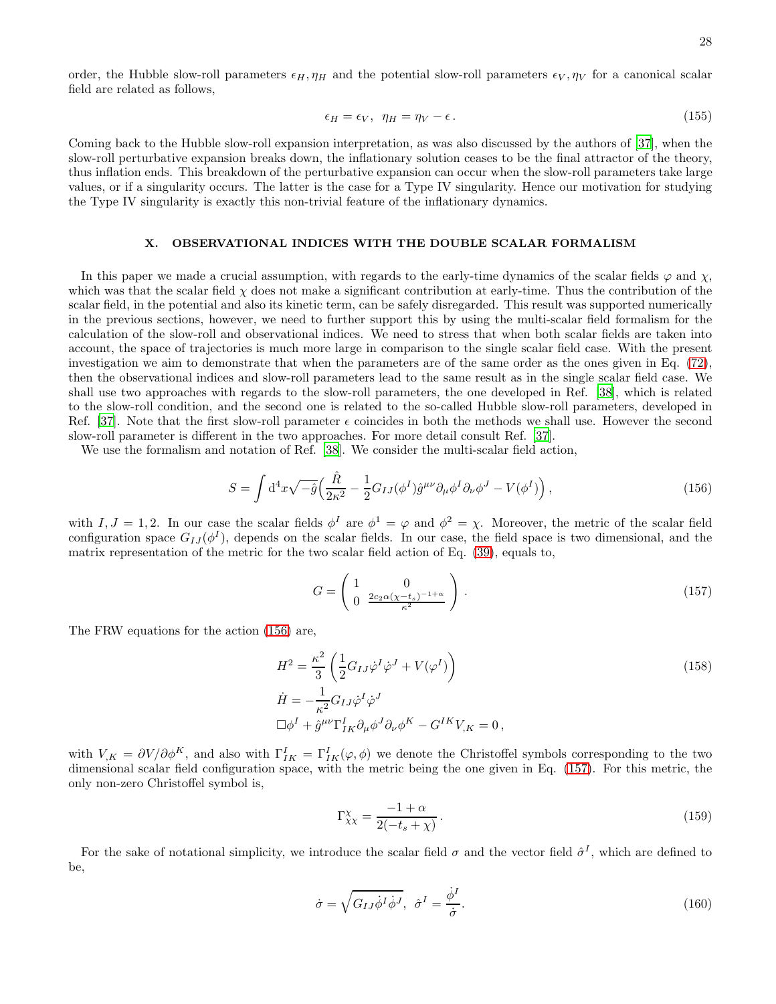order, the Hubble slow-roll parameters  $\epsilon_H, \eta_H$  and the potential slow-roll parameters  $\epsilon_V, \eta_V$  for a canonical scalar field are related as follows,

<span id="page-27-4"></span>
$$
\epsilon_H = \epsilon_V, \ \ \eta_H = \eta_V - \epsilon \,. \tag{155}
$$

Coming back to the Hubble slow-roll expansion interpretation, as was also discussed by the authors of [\[37\]](#page-33-10), when the slow-roll perturbative expansion breaks down, the inflationary solution ceases to be the final attractor of the theory, thus inflation ends. This breakdown of the perturbative expansion can occur when the slow-roll parameters take large values, or if a singularity occurs. The latter is the case for a Type IV singularity. Hence our motivation for studying the Type IV singularity is exactly this non-trivial feature of the inflationary dynamics.

# X. OBSERVATIONAL INDICES WITH THE DOUBLE SCALAR FORMALISM

In this paper we made a crucial assumption, with regards to the early-time dynamics of the scalar fields  $\varphi$  and  $\chi$ , which was that the scalar field  $\chi$  does not make a significant contribution at early-time. Thus the contribution of the scalar field, in the potential and also its kinetic term, can be safely disregarded. This result was supported numerically in the previous sections, however, we need to further support this by using the multi-scalar field formalism for the calculation of the slow-roll and observational indices. We need to stress that when both scalar fields are taken into account, the space of trajectories is much more large in comparison to the single scalar field case. With the present investigation we aim to demonstrate that when the parameters are of the same order as the ones given in Eq. [\(72\)](#page-10-1), then the observational indices and slow-roll parameters lead to the same result as in the single scalar field case. We shall use two approaches with regards to the slow-roll parameters, the one developed in Ref. [\[38\]](#page-33-15), which is related to the slow-roll condition, and the second one is related to the so-called Hubble slow-roll parameters, developed in Ref. [\[37\]](#page-33-10). Note that the first slow-roll parameter  $\epsilon$  coincides in both the methods we shall use. However the second slow-roll parameter is different in the two approaches. For more detail consult Ref. [\[37\]](#page-33-10).

We use the formalism and notation of Ref. [\[38](#page-33-15)]. We consider the multi-scalar field action,

<span id="page-27-0"></span>
$$
S = \int d^4x \sqrt{-\hat{g}} \left( \frac{\hat{R}}{2\kappa^2} - \frac{1}{2} G_{IJ} (\phi^I) \hat{g}^{\mu\nu} \partial_\mu \phi^I \partial_\nu \phi^J - V(\phi^I) \right), \tag{156}
$$

with  $I, J = 1, 2$ . In our case the scalar fields  $\phi^I$  are  $\phi^1 = \varphi$  and  $\phi^2 = \chi$ . Moreover, the metric of the scalar field configuration space  $G_{IJ}(\phi^I)$ , depends on the scalar fields. In our case, the field space is two dimensional, and the matrix representation of the metric for the two scalar field action of Eq. [\(39\)](#page-6-4), equals to,

<span id="page-27-1"></span>
$$
G = \begin{pmatrix} 1 & 0 \\ 0 & \frac{2c_2\alpha(\chi - t_s)^{-1+\alpha}}{\kappa^2} \end{pmatrix} \tag{157}
$$

The FRW equations for the action [\(156\)](#page-27-0) are,

$$
H^{2} = \frac{\kappa^{2}}{3} \left( \frac{1}{2} G_{IJ} \dot{\varphi}^{I} \dot{\varphi}^{J} + V(\varphi^{I}) \right)
$$
  
\n
$$
\dot{H} = -\frac{1}{\kappa^{2}} G_{IJ} \dot{\varphi}^{I} \dot{\varphi}^{J}
$$
  
\n
$$
\Box \phi^{I} + \hat{g}^{\mu\nu} \Gamma^{I}_{IK} \partial_{\mu} \phi^{J} \partial_{\nu} \phi^{K} - G^{IK} V_{,K} = 0,
$$
\n(158)

with  $V_{,K} = \partial V / \partial \phi^K$ , and also with  $\Gamma^I_{IK} = \Gamma^I_{IK}(\varphi, \phi)$  we denote the Christoffel symbols corresponding to the two dimensional scalar field configuration space, with the metric being the one given in Eq. [\(157\)](#page-27-1). For this metric, the only non-zero Christoffel symbol is,

<span id="page-27-2"></span>
$$
\Gamma_{\chi\chi}^{\chi} = \frac{-1 + \alpha}{2(-t_s + \chi)}.
$$
\n(159)

For the sake of notational simplicity, we introduce the scalar field  $\sigma$  and the vector field  $\hat{\sigma}^I$ , which are defined to be,

<span id="page-27-3"></span>
$$
\dot{\sigma} = \sqrt{G_{IJ}\dot{\phi}^I\dot{\phi}^J}, \quad \hat{\sigma}^I = \frac{\dot{\phi}^I}{\dot{\sigma}}.
$$
\n(160)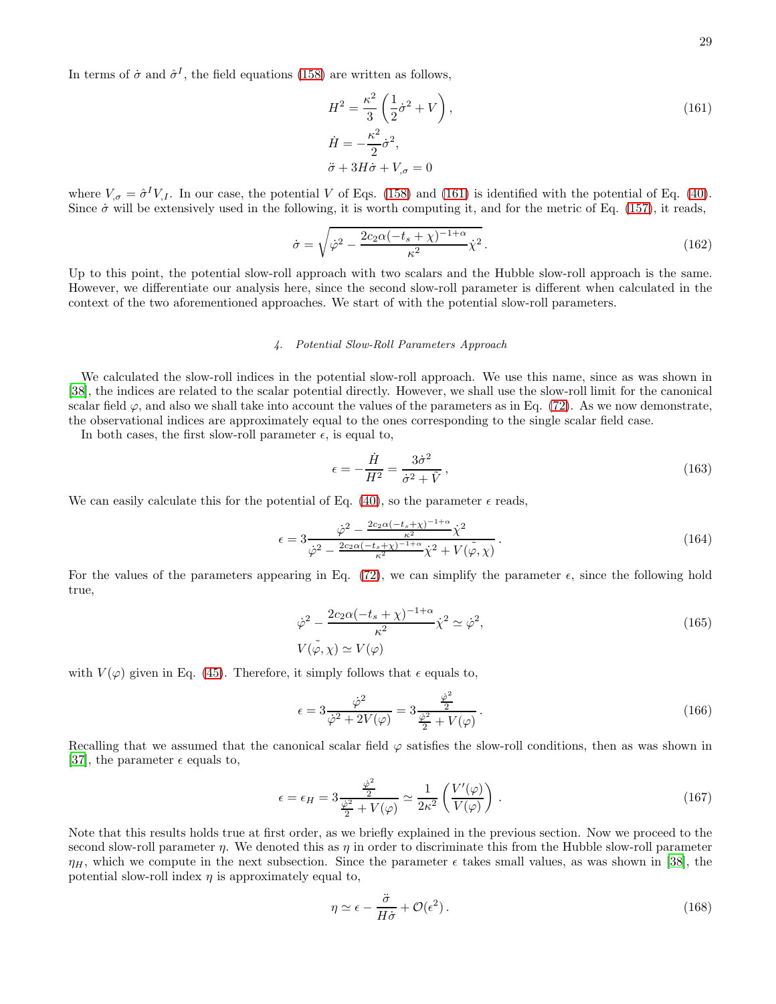In terms of  $\dot{\sigma}$  and  $\hat{\sigma}^I$ , the field equations [\(158\)](#page-27-2) are written as follows,

<span id="page-28-1"></span><span id="page-28-0"></span>
$$
H^{2} = \frac{\kappa^{2}}{3} \left( \frac{1}{2} \dot{\sigma}^{2} + V \right),
$$
  
\n
$$
\dot{H} = -\frac{\kappa^{2}}{2} \dot{\sigma}^{2},
$$
  
\n
$$
\ddot{\sigma} + 3H\dot{\sigma} + V_{,\sigma} = 0
$$
\n(161)

where  $V_{,\sigma} = \hat{\sigma}^I V_{,I}$ . In our case, the potential V of Eqs. [\(158\)](#page-27-2) and [\(161\)](#page-28-0) is identified with the potential of Eq. [\(40\)](#page-6-5). Since  $\dot{\sigma}$  will be extensively used in the following, it is worth computing it, and for the metric of Eq. [\(157\)](#page-27-1), it reads,

$$
\dot{\sigma} = \sqrt{\dot{\varphi}^2 - \frac{2c_2\alpha(-t_s + \chi)^{-1+\alpha}}{\kappa^2}} \dot{\chi}^2.
$$
\n(162)

Up to this point, the potential slow-roll approach with two scalars and the Hubble slow-roll approach is the same. However, we differentiate our analysis here, since the second slow-roll parameter is different when calculated in the context of the two aforementioned approaches. We start of with the potential slow-roll parameters.

# *4. Potential Slow-Roll Parameters Approach*

We calculated the slow-roll indices in the potential slow-roll approach. We use this name, since as was shown in [\[38\]](#page-33-15), the indices are related to the scalar potential directly. However, we shall use the slow-roll limit for the canonical scalar field  $\varphi$ , and also we shall take into account the values of the parameters as in Eq. [\(72\)](#page-10-1). As we now demonstrate, the observational indices are approximately equal to the ones corresponding to the single scalar field case.

In both cases, the first slow-roll parameter  $\epsilon$ , is equal to,

$$
\epsilon = -\frac{\dot{H}}{H^2} = \frac{3\dot{\sigma}^2}{\dot{\sigma}^2 + \tilde{V}},\tag{163}
$$

We can easily calculate this for the potential of Eq. [\(40\)](#page-6-5), so the parameter  $\epsilon$  reads,

$$
\epsilon = 3 \frac{\dot{\varphi}^2 - \frac{2c_2 \alpha (-t_s + \chi)^{-1 + \alpha}}{\kappa^2} \dot{\chi}^2}{\dot{\varphi}^2 - \frac{2c_2 \alpha (-t_s + \chi)^{-1 + \alpha}}{\kappa^2} \dot{\chi}^2 + V(\tilde{\varphi}, \chi)}.
$$
(164)

For the values of the parameters appearing in Eq. [\(72\)](#page-10-1), we can simplify the parameter  $\epsilon$ , since the following hold true,

$$
\dot{\varphi}^2 - \frac{2c_2\alpha(-t_s + \chi)^{-1+\alpha}}{\kappa^2} \dot{\chi}^2 \simeq \dot{\varphi}^2,
$$
  
\n
$$
V(\tilde{\varphi}, \chi) \simeq V(\varphi)
$$
\n(165)

with  $V(\varphi)$  given in Eq. [\(45\)](#page-7-0). Therefore, it simply follows that  $\epsilon$  equals to,

$$
\epsilon = 3 \frac{\dot{\varphi}^2}{\dot{\varphi}^2 + 2V(\varphi)} = 3 \frac{\frac{\dot{\varphi}^2}{2}}{\frac{\dot{\varphi}^2}{2} + V(\varphi)}.
$$
\n(166)

Recalling that we assumed that the canonical scalar field  $\varphi$  satisfies the slow-roll conditions, then as was shown in [\[37\]](#page-33-10), the parameter  $\epsilon$  equals to,

$$
\epsilon = \epsilon_H = 3 \frac{\frac{\dot{\varphi}^2}{2}}{\frac{\dot{\varphi}^2}{2} + V(\varphi)} \simeq \frac{1}{2\kappa^2} \left( \frac{V'(\varphi)}{V(\varphi)} \right). \tag{167}
$$

Note that this results holds true at first order, as we briefly explained in the previous section. Now we proceed to the second slow-roll parameter  $\eta$ . We denoted this as  $\eta$  in order to discriminate this from the Hubble slow-roll parameter  $\eta_H$ , which we compute in the next subsection. Since the parameter  $\epsilon$  takes small values, as was shown in [\[38\]](#page-33-15), the potential slow-roll index  $\eta$  is approximately equal to,

$$
\eta \simeq \epsilon - \frac{\ddot{\sigma}}{H \dot{\sigma}} + \mathcal{O}(\epsilon^2). \tag{168}
$$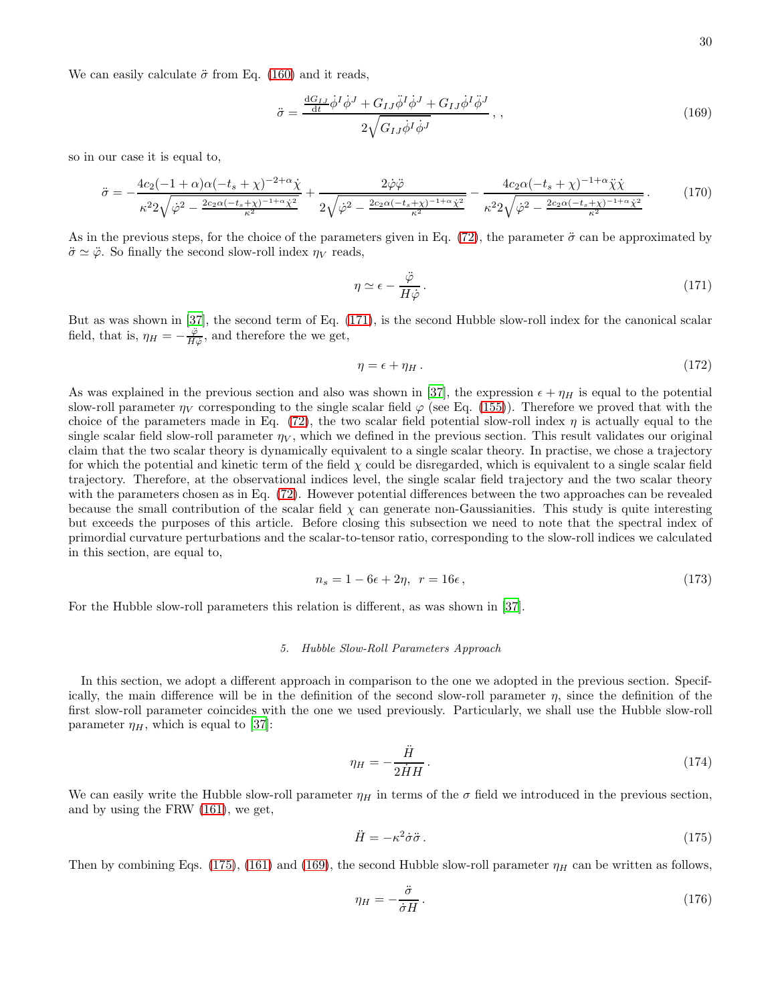We can easily calculate  $\ddot{\sigma}$  from Eq. [\(160\)](#page-27-3) and it reads,

<span id="page-29-2"></span>
$$
\ddot{\sigma} = \frac{\frac{\mathrm{d}G_{IJ}}{\mathrm{d}t} \dot{\phi}^I \dot{\phi}^J + G_{IJ} \ddot{\phi}^I \dot{\phi}^J + G_{IJ} \dot{\phi}^I \ddot{\phi}^J}{2\sqrt{G_{IJ} \dot{\phi}^I \dot{\phi}^J}}, \qquad (169)
$$

so in our case it is equal to,

$$
\ddot{\sigma} = -\frac{4c_2(-1+\alpha)\alpha(-t_s+\chi)^{-2+\alpha}\dot{\chi}}{\kappa^2 2\sqrt{\dot{\varphi}^2 - \frac{2c_2\alpha(-t_s+\chi)^{-1+\alpha}\dot{\chi}^2}{\kappa^2}}} + \frac{2\dot{\varphi}\ddot{\varphi}}{2\sqrt{\dot{\varphi}^2 - \frac{2c_2\alpha(-t_s+\chi)^{-1+\alpha}\dot{\chi}^2}{\kappa^2}}} - \frac{4c_2\alpha(-t_s+\chi)^{-1+\alpha}\ddot{\chi}\dot{\chi}}{\kappa^2 2\sqrt{\dot{\varphi}^2 - \frac{2c_2\alpha(-t_s+\chi)^{-1+\alpha}\dot{\chi}^2}{\kappa^2}}} \,. \tag{170}
$$

As in the previous steps, for the choice of the parameters given in Eq. [\(72\)](#page-10-1), the parameter  $\ddot{\sigma}$  can be approximated by  $\ddot{\sigma} \simeq \ddot{\varphi}$ . So finally the second slow-roll index  $\eta_V$  reads,

<span id="page-29-3"></span><span id="page-29-0"></span>
$$
\eta \simeq \epsilon - \frac{\ddot{\varphi}}{H \dot{\varphi}}.\tag{171}
$$

But as was shown in [\[37\]](#page-33-10), the second term of Eq. [\(171\)](#page-29-0), is the second Hubble slow-roll index for the canonical scalar field, that is,  $\eta_H = -\frac{\ddot{\varphi}}{H\dot{\varphi}}$ , and therefore the we get,

$$
\eta = \epsilon + \eta_H \,. \tag{172}
$$

As was explained in the previous section and also was shown in [\[37\]](#page-33-10), the expression  $\epsilon + \eta_H$  is equal to the potential slow-roll parameter  $\eta_V$  corresponding to the single scalar field  $\varphi$  (see Eq. [\(155\)](#page-27-4)). Therefore we proved that with the choice of the parameters made in Eq. [\(72\)](#page-10-1), the two scalar field potential slow-roll index  $\eta$  is actually equal to the single scalar field slow-roll parameter  $\eta_V$ , which we defined in the previous section. This result validates our original claim that the two scalar theory is dynamically equivalent to a single scalar theory. In practise, we chose a trajectory for which the potential and kinetic term of the field  $\chi$  could be disregarded, which is equivalent to a single scalar field trajectory. Therefore, at the observational indices level, the single scalar field trajectory and the two scalar theory with the parameters chosen as in Eq. [\(72\)](#page-10-1). However potential differences between the two approaches can be revealed because the small contribution of the scalar field  $\chi$  can generate non-Gaussianities. This study is quite interesting but exceeds the purposes of this article. Before closing this subsection we need to note that the spectral index of primordial curvature perturbations and the scalar-to-tensor ratio, corresponding to the slow-roll indices we calculated in this section, are equal to,

<span id="page-29-4"></span>
$$
n_s = 1 - 6\epsilon + 2\eta, \quad r = 16\epsilon \,, \tag{173}
$$

For the Hubble slow-roll parameters this relation is different, as was shown in [\[37\]](#page-33-10).

#### *5. Hubble Slow-Roll Parameters Approach*

In this section, we adopt a different approach in comparison to the one we adopted in the previous section. Specifically, the main difference will be in the definition of the second slow-roll parameter  $\eta$ , since the definition of the first slow-roll parameter coincides with the one we used previously. Particularly, we shall use the Hubble slow-roll parameter  $\eta_H$ , which is equal to [\[37\]](#page-33-10):

$$
\eta_H = -\frac{\ddot{H}}{2\dot{H}H}.\tag{174}
$$

We can easily write the Hubble slow-roll parameter  $\eta_H$  in terms of the  $\sigma$  field we introduced in the previous section, and by using the FRW [\(161\)](#page-28-0), we get,

<span id="page-29-1"></span>
$$
\ddot{H} = -\kappa^2 \dot{\sigma} \ddot{\sigma} \,. \tag{175}
$$

Then by combining Eqs. [\(175\)](#page-29-1), [\(161\)](#page-28-0) and [\(169\)](#page-29-2), the second Hubble slow-roll parameter  $\eta_H$  can be written as follows,

$$
\eta_H = -\frac{\ddot{\sigma}}{\dot{\sigma}H} \,. \tag{176}
$$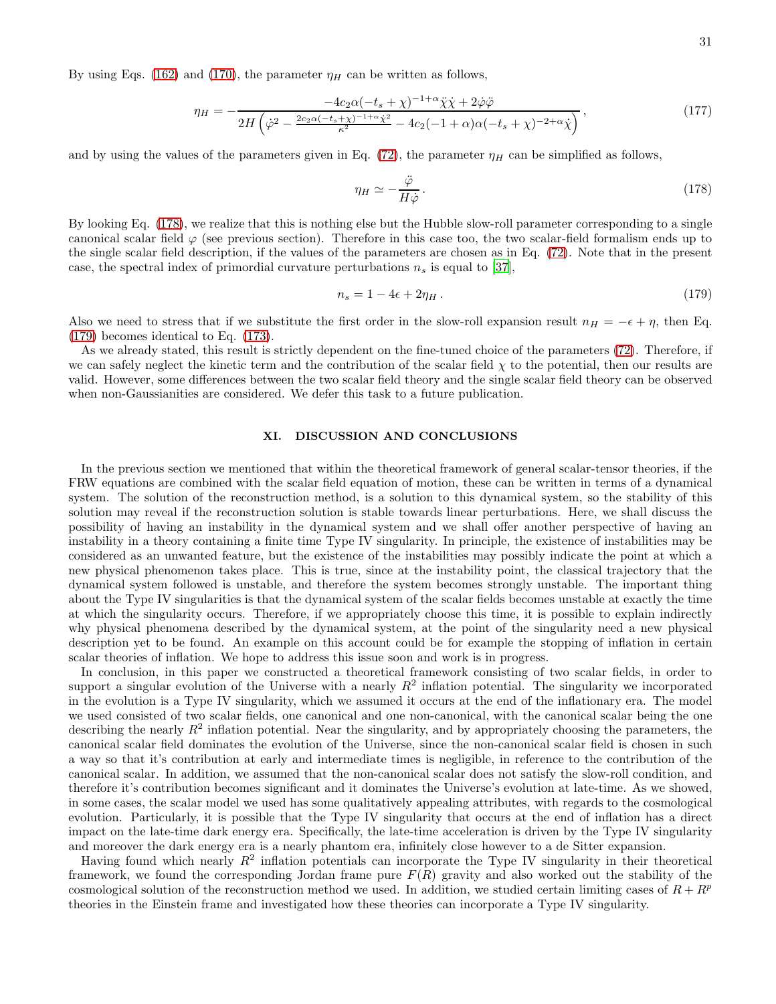By using Eqs. [\(162\)](#page-28-1) and [\(170\)](#page-29-3), the parameter  $\eta_H$  can be written as follows,

$$
\eta_H = -\frac{-4c_2\alpha(-t_s + \chi)^{-1+\alpha}\ddot{\chi}\dot{\chi} + 2\dot{\varphi}\ddot{\varphi}}{2H\left(\dot{\varphi}^2 - \frac{2c_2\alpha(-t_s + \chi)^{-1+\alpha}\dot{\chi}^2}{\kappa^2} - 4c_2(-1+\alpha)\alpha(-t_s + \chi)^{-2+\alpha}\dot{\chi}\right)},
$$
\n(177)

and by using the values of the parameters given in Eq. [\(72\)](#page-10-1), the parameter  $\eta_H$  can be simplified as follows,

<span id="page-30-0"></span>
$$
\eta_H \simeq -\frac{\ddot{\varphi}}{H\dot{\varphi}}.\tag{178}
$$

By looking Eq. [\(178\)](#page-30-0), we realize that this is nothing else but the Hubble slow-roll parameter corresponding to a single canonical scalar field  $\varphi$  (see previous section). Therefore in this case too, the two scalar-field formalism ends up to the single scalar field description, if the values of the parameters are chosen as in Eq. [\(72\)](#page-10-1). Note that in the present case, the spectral index of primordial curvature perturbations  $n<sub>s</sub>$  is equal to [\[37](#page-33-10)],

<span id="page-30-1"></span>
$$
n_s = 1 - 4\epsilon + 2\eta_H \,. \tag{179}
$$

Also we need to stress that if we substitute the first order in the slow-roll expansion result  $n_H = -\epsilon + \eta$ , then Eq. [\(179\)](#page-30-1) becomes identical to Eq. [\(173\)](#page-29-4).

As we already stated, this result is strictly dependent on the fine-tuned choice of the parameters [\(72\)](#page-10-1). Therefore, if we can safely neglect the kinetic term and the contribution of the scalar field  $\chi$  to the potential, then our results are valid. However, some differences between the two scalar field theory and the single scalar field theory can be observed when non-Gaussianities are considered. We defer this task to a future publication.

# XI. DISCUSSION AND CONCLUSIONS

In the previous section we mentioned that within the theoretical framework of general scalar-tensor theories, if the FRW equations are combined with the scalar field equation of motion, these can be written in terms of a dynamical system. The solution of the reconstruction method, is a solution to this dynamical system, so the stability of this solution may reveal if the reconstruction solution is stable towards linear perturbations. Here, we shall discuss the possibility of having an instability in the dynamical system and we shall offer another perspective of having an instability in a theory containing a finite time Type IV singularity. In principle, the existence of instabilities may be considered as an unwanted feature, but the existence of the instabilities may possibly indicate the point at which a new physical phenomenon takes place. This is true, since at the instability point, the classical trajectory that the dynamical system followed is unstable, and therefore the system becomes strongly unstable. The important thing about the Type IV singularities is that the dynamical system of the scalar fields becomes unstable at exactly the time at which the singularity occurs. Therefore, if we appropriately choose this time, it is possible to explain indirectly why physical phenomena described by the dynamical system, at the point of the singularity need a new physical description yet to be found. An example on this account could be for example the stopping of inflation in certain scalar theories of inflation. We hope to address this issue soon and work is in progress.

In conclusion, in this paper we constructed a theoretical framework consisting of two scalar fields, in order to support a singular evolution of the Universe with a nearly  $R^2$  inflation potential. The singularity we incorporated in the evolution is a Type IV singularity, which we assumed it occurs at the end of the inflationary era. The model we used consisted of two scalar fields, one canonical and one non-canonical, with the canonical scalar being the one describing the nearly  $R^2$  inflation potential. Near the singularity, and by appropriately choosing the parameters, the canonical scalar field dominates the evolution of the Universe, since the non-canonical scalar field is chosen in such a way so that it's contribution at early and intermediate times is negligible, in reference to the contribution of the canonical scalar. In addition, we assumed that the non-canonical scalar does not satisfy the slow-roll condition, and therefore it's contribution becomes significant and it dominates the Universe's evolution at late-time. As we showed, in some cases, the scalar model we used has some qualitatively appealing attributes, with regards to the cosmological evolution. Particularly, it is possible that the Type IV singularity that occurs at the end of inflation has a direct impact on the late-time dark energy era. Specifically, the late-time acceleration is driven by the Type IV singularity and moreover the dark energy era is a nearly phantom era, infinitely close however to a de Sitter expansion.

Having found which nearly  $R^2$  inflation potentials can incorporate the Type IV singularity in their theoretical framework, we found the corresponding Jordan frame pure  $F(R)$  gravity and also worked out the stability of the cosmological solution of the reconstruction method we used. In addition, we studied certain limiting cases of  $R + R^p$ theories in the Einstein frame and investigated how these theories can incorporate a Type IV singularity.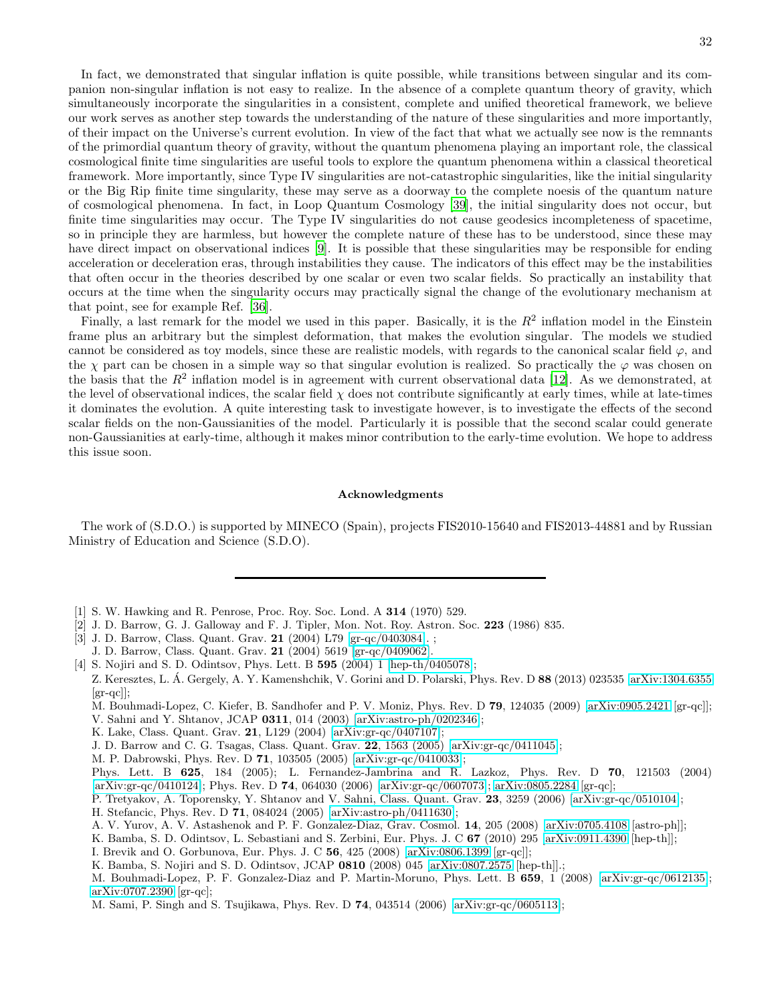In fact, we demonstrated that singular inflation is quite possible, while transitions between singular and its companion non-singular inflation is not easy to realize. In the absence of a complete quantum theory of gravity, which simultaneously incorporate the singularities in a consistent, complete and unified theoretical framework, we believe our work serves as another step towards the understanding of the nature of these singularities and more importantly, of their impact on the Universe's current evolution. In view of the fact that what we actually see now is the remnants of the primordial quantum theory of gravity, without the quantum phenomena playing an important role, the classical cosmological finite time singularities are useful tools to explore the quantum phenomena within a classical theoretical framework. More importantly, since Type IV singularities are not-catastrophic singularities, like the initial singularity or the Big Rip finite time singularity, these may serve as a doorway to the complete noesis of the quantum nature of cosmological phenomena. In fact, in Loop Quantum Cosmology [\[39\]](#page-33-16), the initial singularity does not occur, but finite time singularities may occur. The Type IV singularities do not cause geodesics incompleteness of spacetime, so in principle they are harmless, but however the complete nature of these has to be understood, since these may have direct impact on observational indices [\[9\]](#page-32-3). It is possible that these singularities may be responsible for ending acceleration or deceleration eras, through instabilities they cause. The indicators of this effect may be the instabilities that often occur in the theories described by one scalar or even two scalar fields. So practically an instability that occurs at the time when the singularity occurs may practically signal the change of the evolutionary mechanism at that point, see for example Ref. [\[36\]](#page-33-14).

Finally, a last remark for the model we used in this paper. Basically, it is the  $R^2$  inflation model in the Einstein frame plus an arbitrary but the simplest deformation, that makes the evolution singular. The models we studied cannot be considered as toy models, since these are realistic models, with regards to the canonical scalar field  $\varphi$ , and the  $\chi$  part can be chosen in a simple way so that singular evolution is realized. So practically the  $\varphi$  was chosen on the basis that the  $R^2$  inflation model is in agreement with current observational data [\[12\]](#page-32-6). As we demonstrated, at the level of observational indices, the scalar field  $\chi$  does not contribute significantly at early times, while at late-times it dominates the evolution. A quite interesting task to investigate however, is to investigate the effects of the second scalar fields on the non-Gaussianities of the model. Particularly it is possible that the second scalar could generate non-Gaussianities at early-time, although it makes minor contribution to the early-time evolution. We hope to address this issue soon.

#### Acknowledgments

The work of (S.D.O.) is supported by MINECO (Spain), projects FIS2010-15640 and FIS2013-44881 and by Russian Ministry of Education and Science (S.D.O).

- <span id="page-31-0"></span>[1] S. W. Hawking and R. Penrose, Proc. Roy. Soc. Lond. A 314 (1970) 529.
- <span id="page-31-1"></span>[2] J. D. Barrow, G. J. Galloway and F. J. Tipler, Mon. Not. Roy. Astron. Soc. 223 (1986) 835.
- <span id="page-31-2"></span>[3] J. D. Barrow, Class. Quant. Grav. 21 (2004) L79 [\[gr-qc/0403084\]](http://arxiv.org/abs/gr-qc/0403084). ;
- J. D. Barrow, Class. Quant. Grav. 21 (2004) 5619 [\[gr-qc/0409062\]](http://arxiv.org/abs/gr-qc/0409062).
- <span id="page-31-3"></span>[4] S. Nojiri and S. D. Odintsov, Phys. Lett. B **595** (2004) 1 [\[hep-th/0405078\]](http://arxiv.org/abs/hep-th/0405078);
- Z. Keresztes, L. Á. Gergely, A. Y. Kamenshchik, V. Gorini and D. Polarski, Phys. Rev. D 88 (2013) 023535 [\[arXiv:1304.6355](http://arxiv.org/abs/1304.6355)] [gr-qc]];
	- M. Bouhmadi-Lopez, C. Kiefer, B. Sandhofer and P. V. Moniz, Phys. Rev. D 79, 124035 (2009) [\[arXiv:0905.2421](http://arxiv.org/abs/0905.2421) [gr-qc]];
	- V. Sahni and Y. Shtanov, JCAP 0311, 014 (2003) [\[arXiv:astro-ph/0202346\]](http://arxiv.org/abs/astro-ph/0202346);
	- K. Lake, Class. Quant. Grav. 21, L129 (2004) [\[arXiv:gr-qc/0407107\]](http://arxiv.org/abs/gr-qc/0407107);
	- J. D. Barrow and C. G. Tsagas, Class. Quant. Grav. 22, 1563 (2005) [\[arXiv:gr-qc/0411045\]](http://arxiv.org/abs/gr-qc/0411045);
	- M. P. Dabrowski, Phys. Rev. D 71, 103505 (2005) [\[arXiv:gr-qc/0410033\]](http://arxiv.org/abs/gr-qc/0410033);
- Phys. Lett. B 625, 184 (2005); L. Fernandez-Jambrina and R. Lazkoz, Phys. Rev. D 70, 121503 (2004) [\[arXiv:gr-qc/0410124\]](http://arxiv.org/abs/gr-qc/0410124); Phys. Rev. D 74, 064030 (2006) [\[arXiv:gr-qc/0607073\]](http://arxiv.org/abs/gr-qc/0607073); [arXiv:0805.2284](http://arxiv.org/abs/0805.2284) [gr-qc];
- P. Tretyakov, A. Toporensky, Y. Shtanov and V. Sahni, Class. Quant. Grav. 23, 3259 (2006) [\[arXiv:gr-qc/0510104\]](http://arxiv.org/abs/gr-qc/0510104);
- H. Stefancic, Phys. Rev. D 71, 084024 (2005) [\[arXiv:astro-ph/0411630\]](http://arxiv.org/abs/astro-ph/0411630);
- A. V. Yurov, A. V. Astashenok and P. F. Gonzalez-Diaz, Grav. Cosmol. 14, 205 (2008) [\[arXiv:0705.4108](http://arxiv.org/abs/0705.4108) [astro-ph]];
- K. Bamba, S. D. Odintsov, L. Sebastiani and S. Zerbini, Eur. Phys. J. C 67 (2010) 295 [\[arXiv:0911.4390](http://arxiv.org/abs/0911.4390) [hep-th]];
- I. Brevik and O. Gorbunova, Eur. Phys. J. C 56, 425 (2008) [\[arXiv:0806.1399](http://arxiv.org/abs/0806.1399) [gr-qc]];
- K. Bamba, S. Nojiri and S. D. Odintsov, JCAP 0810 (2008) 045 [\[arXiv:0807.2575](http://arxiv.org/abs/0807.2575) [hep-th]].;

M. Sami, P. Singh and S. Tsujikawa, Phys. Rev. D 74, 043514 (2006) [\[arXiv:gr-qc/0605113\]](http://arxiv.org/abs/gr-qc/0605113);

M. Bouhmadi-Lopez, P. F. Gonzalez-Diaz and P. Martin-Moruno, Phys. Lett. B 659, 1 (2008) [\[arXiv:gr-qc/0612135\]](http://arxiv.org/abs/gr-qc/0612135); [arXiv:0707.2390](http://arxiv.org/abs/0707.2390) [gr-qc];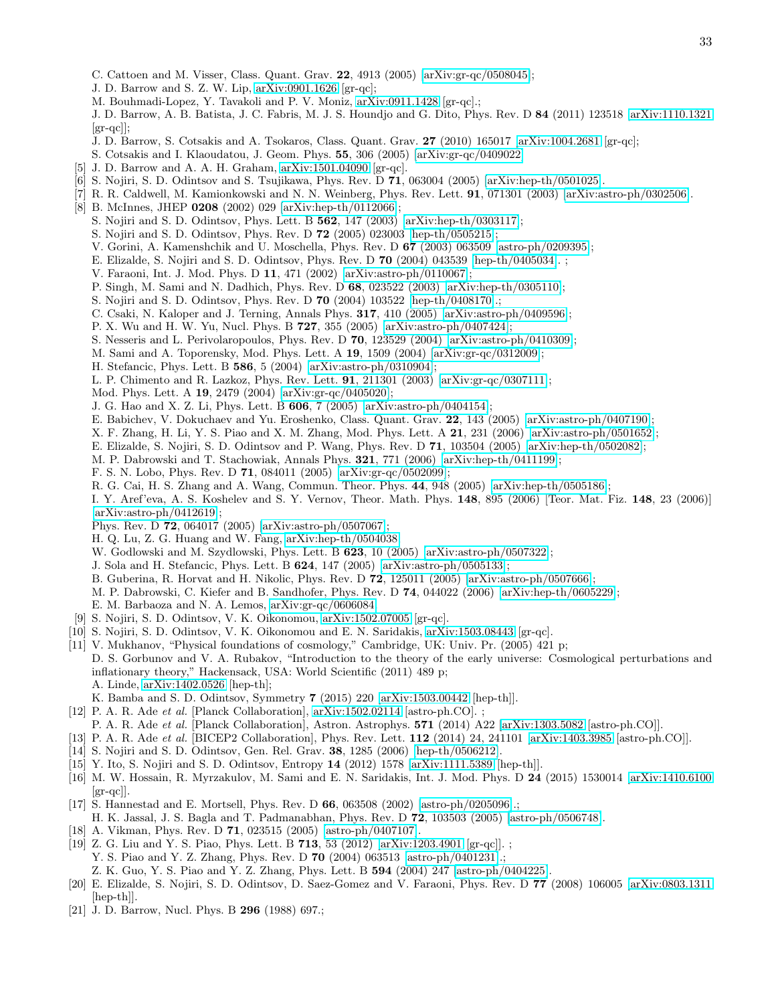- C. Cattoen and M. Visser, Class. Quant. Grav. 22, 4913 (2005) [\[arXiv:gr-qc/0508045\]](http://arxiv.org/abs/gr-qc/0508045);
- J. D. Barrow and S. Z. W. Lip, [arXiv:0901.1626](http://arxiv.org/abs/0901.1626) [gr-qc];
- M. Bouhmadi-Lopez, Y. Tavakoli and P. V. Moniz, [arXiv:0911.1428](http://arxiv.org/abs/0911.1428) [gr-qc].;

J. D. Barrow, A. B. Batista, J. C. Fabris, M. J. S. Houndjo and G. Dito, Phys. Rev. D 84 (2011) 123518 [\[arXiv:1110.1321](http://arxiv.org/abs/1110.1321)  $|gr-qc|$ 

- J. D. Barrow, S. Cotsakis and A. Tsokaros, Class. Quant. Grav. 27 (2010) 165017 [\[arXiv:1004.2681](http://arxiv.org/abs/1004.2681) [gr-qc];
- S. Cotsakis and I. Klaoudatou, J. Geom. Phys. 55, 306 (2005) [\[arXiv:gr-qc/0409022\]](http://arxiv.org/abs/gr-qc/0409022)
- <span id="page-32-0"></span>[5] J. D. Barrow and A. A. H. Graham, [arXiv:1501.04090](http://arxiv.org/abs/1501.04090) [gr-qc].
- <span id="page-32-1"></span>[6] S. Nojiri, S. D. Odintsov and S. Tsujikawa, Phys. Rev. D 71, 063004 (2005) [\[arXiv:hep-th/0501025\]](http://arxiv.org/abs/hep-th/0501025).
- <span id="page-32-15"></span>[7] R. R. Caldwell, M. Kamionkowski and N. N. Weinberg, Phys. Rev. Lett. 91, 071301 (2003) [\[arXiv:astro-ph/0302506\]](http://arxiv.org/abs/astro-ph/0302506).
- <span id="page-32-2"></span>[8] B. McInnes, JHEP 0208 (2002) 029 [\[arXiv:hep-th/0112066\]](http://arxiv.org/abs/hep-th/0112066);
	- S. Nojiri and S. D. Odintsov, Phys. Lett. B 562, 147 (2003) [\[arXiv:hep-th/0303117\]](http://arxiv.org/abs/hep-th/0303117);
	- S. Nojiri and S. D. Odintsov, Phys. Rev. D 72 (2005) 023003 [\[hep-th/0505215\]](http://arxiv.org/abs/hep-th/0505215);
	- V. Gorini, A. Kamenshchik and U. Moschella, Phys. Rev. D 67 (2003) 063509 [\[astro-ph/0209395\]](http://arxiv.org/abs/astro-ph/0209395);
	- E. Elizalde, S. Nojiri and S. D. Odintsov, Phys. Rev. D 70 (2004) 043539 [\[hep-th/0405034\]](http://arxiv.org/abs/hep-th/0405034). ;
	- V. Faraoni, Int. J. Mod. Phys. D 11, 471 (2002) [\[arXiv:astro-ph/0110067\]](http://arxiv.org/abs/astro-ph/0110067);
	- P. Singh, M. Sami and N. Dadhich, Phys. Rev. D 68, 023522 (2003) [\[arXiv:hep-th/0305110\]](http://arxiv.org/abs/hep-th/0305110);
	- S. Nojiri and S. D. Odintsov, Phys. Rev. D 70 (2004) 103522 [\[hep-th/0408170\]](http://arxiv.org/abs/hep-th/0408170).;
	- C. Csaki, N. Kaloper and J. Terning, Annals Phys. 317, 410 (2005) [\[arXiv:astro-ph/0409596\]](http://arxiv.org/abs/astro-ph/0409596);
	- P. X. Wu and H. W. Yu, Nucl. Phys. B 727, 355 (2005) [\[arXiv:astro-ph/0407424\]](http://arxiv.org/abs/astro-ph/0407424);
	- S. Nesseris and L. Perivolaropoulos, Phys. Rev. D 70, 123529 (2004) [\[arXiv:astro-ph/0410309\]](http://arxiv.org/abs/astro-ph/0410309);
	- M. Sami and A. Toporensky, Mod. Phys. Lett. A 19, 1509 (2004) [\[arXiv:gr-qc/0312009\]](http://arxiv.org/abs/gr-qc/0312009);
	- H. Stefancic, Phys. Lett. B 586, 5 (2004) [\[arXiv:astro-ph/0310904\]](http://arxiv.org/abs/astro-ph/0310904);
	- L. P. Chimento and R. Lazkoz, Phys. Rev. Lett. 91, 211301 (2003) [\[arXiv:gr-qc/0307111\]](http://arxiv.org/abs/gr-qc/0307111);
	- Mod. Phys. Lett. A 19, 2479 (2004) [\[arXiv:gr-qc/0405020\]](http://arxiv.org/abs/gr-qc/0405020);
	- J. G. Hao and X. Z. Li, Phys. Lett. B 606, 7 (2005) [\[arXiv:astro-ph/0404154\]](http://arxiv.org/abs/astro-ph/0404154);
	- E. Babichev, V. Dokuchaev and Yu. Eroshenko, Class. Quant. Grav. 22, 143 (2005) [\[arXiv:astro-ph/0407190\]](http://arxiv.org/abs/astro-ph/0407190);
	- X. F. Zhang, H. Li, Y. S. Piao and X. M. Zhang, Mod. Phys. Lett. A 21, 231 (2006) [\[arXiv:astro-ph/0501652\]](http://arxiv.org/abs/astro-ph/0501652);
	- E. Elizalde, S. Nojiri, S. D. Odintsov and P. Wang, Phys. Rev. D 71, 103504 (2005) [\[arXiv:hep-th/0502082\]](http://arxiv.org/abs/hep-th/0502082);
	- M. P. Dabrowski and T. Stachowiak, Annals Phys. 321, 771 (2006) [\[arXiv:hep-th/0411199\]](http://arxiv.org/abs/hep-th/0411199);
	- F. S. N. Lobo, Phys. Rev. D 71, 084011 (2005) [\[arXiv:gr-qc/0502099\]](http://arxiv.org/abs/gr-qc/0502099);
	- R. G. Cai, H. S. Zhang and A. Wang, Commun. Theor. Phys. 44, 948 (2005) [\[arXiv:hep-th/0505186\]](http://arxiv.org/abs/hep-th/0505186);
	- I. Y. Aref'eva, A. S. Koshelev and S. Y. Vernov, Theor. Math. Phys. 148, 895 (2006) [Teor. Mat. Fiz. 148, 23 (2006)] [\[arXiv:astro-ph/0412619\]](http://arxiv.org/abs/astro-ph/0412619);
	- Phys. Rev. D 72, 064017 (2005) [\[arXiv:astro-ph/0507067\]](http://arxiv.org/abs/astro-ph/0507067);
	- H. Q. Lu, Z. G. Huang and W. Fang, [arXiv:hep-th/0504038;](http://arxiv.org/abs/hep-th/0504038)
	- W. Godlowski and M. Szydlowski, Phys. Lett. B 623, 10 (2005) [\[arXiv:astro-ph/0507322\]](http://arxiv.org/abs/astro-ph/0507322);
	- J. Sola and H. Stefancic, Phys. Lett. B 624, 147 (2005) [\[arXiv:astro-ph/0505133\]](http://arxiv.org/abs/astro-ph/0505133);
	- B. Guberina, R. Horvat and H. Nikolic, Phys. Rev. D 72, 125011 (2005) [\[arXiv:astro-ph/0507666\]](http://arxiv.org/abs/astro-ph/0507666);
	- M. P. Dabrowski, C. Kiefer and B. Sandhofer, Phys. Rev. D 74, 044022 (2006) [\[arXiv:hep-th/0605229\]](http://arxiv.org/abs/hep-th/0605229);
	- E. M. Barbaoza and N. A. Lemos, [arXiv:gr-qc/0606084.](http://arxiv.org/abs/gr-qc/0606084)
- <span id="page-32-3"></span>[9] S. Nojiri, S. D. Odintsov, V. K. Oikonomou, [arXiv:1502.07005](http://arxiv.org/abs/1502.07005) [gr-qc].
- <span id="page-32-4"></span>[10] S. Nojiri, S. D. Odintsov, V. K. Oikonomou and E. N. Saridakis, [arXiv:1503.08443](http://arxiv.org/abs/1503.08443) [gr-qc].
- <span id="page-32-5"></span>[11] V. Mukhanov, "Physical foundations of cosmology," Cambridge, UK: Univ. Pr. (2005) 421 p; D. S. Gorbunov and V. A. Rubakov, "Introduction to the theory of the early universe: Cosmological perturbations and inflationary theory," Hackensack, USA: World Scientific (2011) 489 p; A. Linde, [arXiv:1402.0526](http://arxiv.org/abs/1402.0526) [hep-th];
	- K. Bamba and S. D. Odintsov, Symmetry 7 (2015) 220 [\[arXiv:1503.00442](http://arxiv.org/abs/1503.00442) [hep-th]].
- <span id="page-32-6"></span>[12] P. A. R. Ade *et al.* [Planck Collaboration], [arXiv:1502.02114](http://arxiv.org/abs/1502.02114) [astro-ph.CO]. ;
- P. A. R. Ade *et al.* [Planck Collaboration], Astron. Astrophys. 571 (2014) A22 [\[arXiv:1303.5082](http://arxiv.org/abs/1303.5082) [astro-ph.CO]].
- <span id="page-32-7"></span>[13] P. A. R. Ade *et al.* [BICEP2 Collaboration], Phys. Rev. Lett. 112 (2014) 24, 241101 [\[arXiv:1403.3985](http://arxiv.org/abs/1403.3985) [astro-ph.CO]].
- <span id="page-32-8"></span>[14] S. Nojiri and S. D. Odintsov, Gen. Rel. Grav. 38, 1285 (2006) [\[hep-th/0506212\]](http://arxiv.org/abs/hep-th/0506212).
- <span id="page-32-9"></span>[15] Y. Ito, S. Nojiri and S. D. Odintsov, Entropy 14 (2012) 1578 [\[arXiv:1111.5389](http://arxiv.org/abs/1111.5389) [hep-th]].
- <span id="page-32-13"></span>[16] M. W. Hossain, R. Myrzakulov, M. Sami and E. N. Saridakis, Int. J. Mod. Phys. D 24 (2015) 1530014 [\[arXiv:1410.6100](http://arxiv.org/abs/1410.6100)  $\left[\text{gr-qc}\right]$ .
- <span id="page-32-10"></span>[17] S. Hannestad and E. Mortsell, Phys. Rev. D 66, 063508 (2002) [\[astro-ph/0205096\]](http://arxiv.org/abs/astro-ph/0205096).;
- H. K. Jassal, J. S. Bagla and T. Padmanabhan, Phys. Rev. D 72, 103503 (2005) [\[astro-ph/0506748\]](http://arxiv.org/abs/astro-ph/0506748).
- <span id="page-32-11"></span>[18] A. Vikman, Phys. Rev. D 71, 023515 (2005) [\[astro-ph/0407107\]](http://arxiv.org/abs/astro-ph/0407107).
- <span id="page-32-12"></span>[19] Z. G. Liu and Y. S. Piao, Phys. Lett. B 713, 53 (2012) [\[arXiv:1203.4901](http://arxiv.org/abs/1203.4901) [gr-qc]]. ; Y. S. Piao and Y. Z. Zhang, Phys. Rev. D 70 (2004) 063513 [\[astro-ph/0401231\]](http://arxiv.org/abs/astro-ph/0401231).; Z. K. Guo, Y. S. Piao and Y. Z. Zhang, Phys. Lett. B 594 (2004) 247 [\[astro-ph/0404225\]](http://arxiv.org/abs/astro-ph/0404225).
- <span id="page-32-14"></span>[20] E. Elizalde, S. Nojiri, S. D. Odintsov, D. Saez-Gomez and V. Faraoni, Phys. Rev. D 77 (2008) 106005 [\[arXiv:0803.1311](http://arxiv.org/abs/0803.1311) [hep-th]].
- <span id="page-32-16"></span>[21] J. D. Barrow, Nucl. Phys. B **296** (1988) 697.;